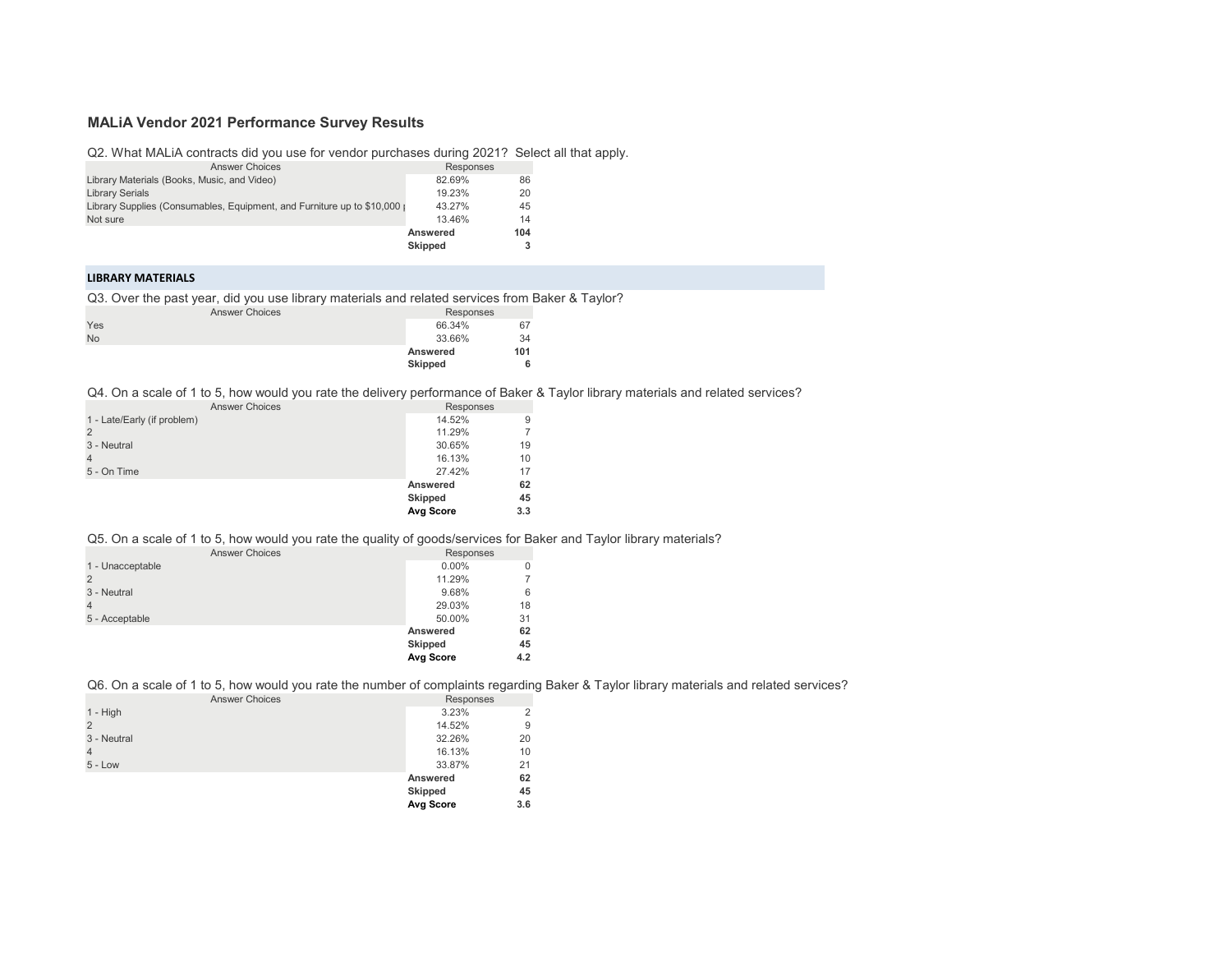# **MALiA Vendor 2021 Performance Survey Results**

Q2. What MALiA contracts did you use for vendor purchases during 2021? Select all that apply.

| <b>Answer Choices</b>                                                    | Responses       |     |
|--------------------------------------------------------------------------|-----------------|-----|
| Library Materials (Books, Music, and Video)                              | 82.69%          | 86  |
| <b>Library Serials</b>                                                   | 19.23%          | 20  |
| Library Supplies (Consumables, Equipment, and Furniture up to \$10,000 p | 43.27%          | 45  |
| Not sure                                                                 | 13.46%          | 14  |
|                                                                          | <b>Answered</b> | 104 |
|                                                                          | Skipped         |     |

## **LIBRARY MATERIALS**

Q3. Over the past year, did you use library materials and related services from Baker & Taylor?

|           | <b>Answer Choices</b> | Responses |     |  |
|-----------|-----------------------|-----------|-----|--|
| Yes       |                       | 66.34%    | 67  |  |
| <b>No</b> |                       | 33.66%    | 34  |  |
|           |                       | Answered  | 101 |  |
|           |                       | Skipped   | 6   |  |

Q4. On a scale of 1 to 5, how would you rate the delivery performance of Baker & Taylor library materials and related services?

| <b>Answer Choices</b>       | Responses      |     |
|-----------------------------|----------------|-----|
| 1 - Late/Early (if problem) | 14.52%         | 9   |
| $\overline{2}$              | 11.29%         | 7   |
| 3 - Neutral                 | 30.65%         | 19  |
| $\overline{4}$              | 16.13%         | 10  |
| 5 - On Time                 | 27.42%         | 17  |
|                             | Answered       | 62  |
|                             | <b>Skipped</b> | 45  |
|                             | Avg Score      | 3.3 |
|                             |                |     |

## Q5. On a scale of 1 to 5, how would you rate the quality of goods/services for Baker and Taylor library materials?

| <b>Answer Choices</b> | Responses      |          |
|-----------------------|----------------|----------|
| 1 - Unacceptable      | $0.00\%$       | $\Omega$ |
| $\overline{2}$        | 11.29%         |          |
| 3 - Neutral           | 9.68%          | 6        |
| $\overline{4}$        | 29.03%         | 18       |
| 5 - Acceptable        | 50.00%         | 31       |
|                       | Answered       | 62       |
|                       | <b>Skipped</b> | 45       |
|                       | Avg Score      | 4.2      |

Q6. On a scale of 1 to 5, how would you rate the number of complaints regarding Baker & Taylor library materials and related services?

|                       |           | ້<br>້ |
|-----------------------|-----------|--------|
| <b>Answer Choices</b> | Responses |        |
|                       | 3.23%     | 2      |
|                       | 14.52%    | 9      |
|                       | 32.26%    | 20     |
|                       | 16.13%    | 10     |
|                       | 33.87%    | 21     |
|                       | Answered  | 62     |
|                       | Skipped   | 45     |
|                       | Avg Score | 3.6    |
|                       |           |        |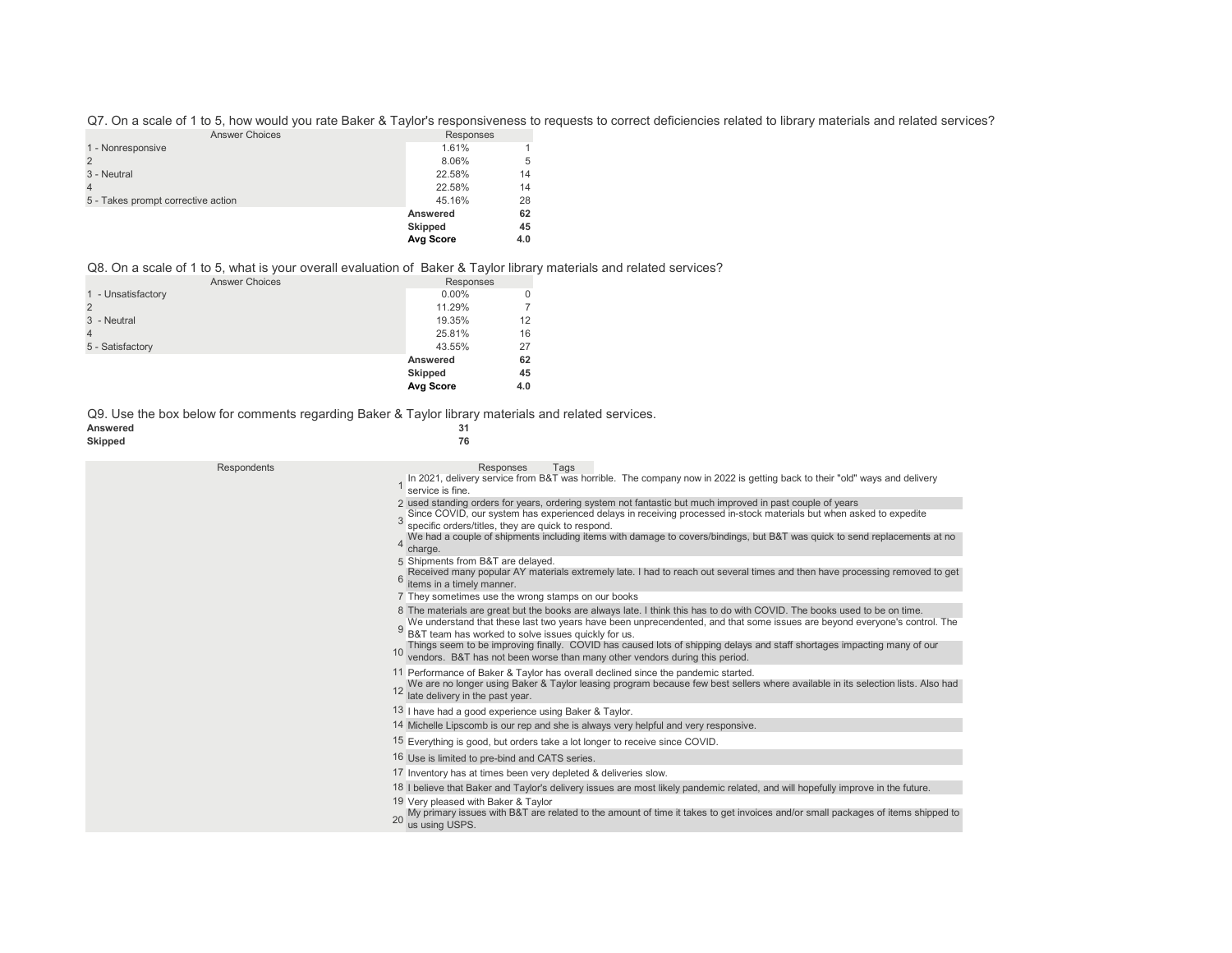Q7. On a scale of 1 to 5, how would you rate Baker & Taylor's responsiveness to requests to correct deficiencies related to library materials and related services?

| <b>Answer Choices</b>              | Responses      |     |
|------------------------------------|----------------|-----|
| 1 - Nonresponsive                  | 1.61%          |     |
|                                    | 8.06%          | 5   |
| 3 - Neutral                        | 22.58%         | 14  |
|                                    | 22.58%         | 14  |
| 5 - Takes prompt corrective action | 45.16%         | 28  |
|                                    | Answered       | 62  |
|                                    | <b>Skipped</b> | 45  |
|                                    | Avg Score      | 4.0 |

## Q8. On a scale of 1 to 5, what is your overall evaluation of Baker & Taylor library materials and related services?

| <b>Answer Choices</b> | Responses |     |
|-----------------------|-----------|-----|
| 1 - Unsatisfactory    | $0.00\%$  |     |
|                       | 11.29%    |     |
| 3 - Neutral           | 19.35%    | 12  |
|                       | 25.81%    | 16  |
| 5 - Satisfactory      | 43.55%    | 27  |
|                       | Answered  | 62  |
|                       | Skipped   | 45  |
|                       | Avg Score | 4.0 |

Q9. Use the box below for comments regarding Baker & Taylor library materials and related services.<br>Answered

#### Answered 31<br>Skipped 76 **Skipped 76**

| Respondents | Responses<br>Tags<br>In 2021, delivery service from B&T was horrible. The company now in 2022 is getting back to their "old" ways and delivery<br>service is fine.<br>2 used standing orders for years, ordering system not fantastic but much improved in past couple of years<br>Since COVID, our system has experienced delays in receiving processed in-stock materials but when asked to expedite<br>specific orders/titles, they are quick to respond.<br>We had a couple of shipments including items with damage to covers/bindings, but B&T was quick to send replacements at no |
|-------------|-------------------------------------------------------------------------------------------------------------------------------------------------------------------------------------------------------------------------------------------------------------------------------------------------------------------------------------------------------------------------------------------------------------------------------------------------------------------------------------------------------------------------------------------------------------------------------------------|
|             | 4<br>charge.<br>5 Shipments from B&T are delayed.<br>Received many popular AY materials extremely late. I had to reach out several times and then have processing removed to get<br>items in a timely manner.<br>7 They sometimes use the wrong stamps on our books                                                                                                                                                                                                                                                                                                                       |
|             | 8 The materials are great but the books are always late. I think this has to do with COVID. The books used to be on time.<br>We understand that these last two years have been unprecendented, and that some issues are beyond everyone's control. The<br>9<br>B&T team has worked to solve issues quickly for us.<br>Things seem to be improving finally. COVID has caused lots of shipping delays and staff shortages impacting many of our<br>vendors. B&T has not been worse than many other vendors during this period.                                                              |
|             | 11 Performance of Baker & Taylor has overall declined since the pandemic started.<br>We are no longer using Baker & Taylor leasing program because few best sellers where available in its selection lists. Also had<br>12<br>late delivery in the past year.                                                                                                                                                                                                                                                                                                                             |
|             | 13 I have had a good experience using Baker & Taylor.<br>14 Michelle Lipscomb is our rep and she is always very helpful and very responsive.                                                                                                                                                                                                                                                                                                                                                                                                                                              |
|             | 15 Everything is good, but orders take a lot longer to receive since COVID.                                                                                                                                                                                                                                                                                                                                                                                                                                                                                                               |
|             | 16 Use is limited to pre-bind and CATS series.                                                                                                                                                                                                                                                                                                                                                                                                                                                                                                                                            |
|             | 17 Inventory has at times been very depleted & deliveries slow.                                                                                                                                                                                                                                                                                                                                                                                                                                                                                                                           |
|             | 18 I believe that Baker and Taylor's delivery issues are most likely pandemic related, and will hopefully improve in the future.<br>19 Very pleased with Baker & Taylor                                                                                                                                                                                                                                                                                                                                                                                                                   |
|             | My primary issues with B&T are related to the amount of time it takes to get invoices and/or small packages of items shipped to<br>us using USPS.                                                                                                                                                                                                                                                                                                                                                                                                                                         |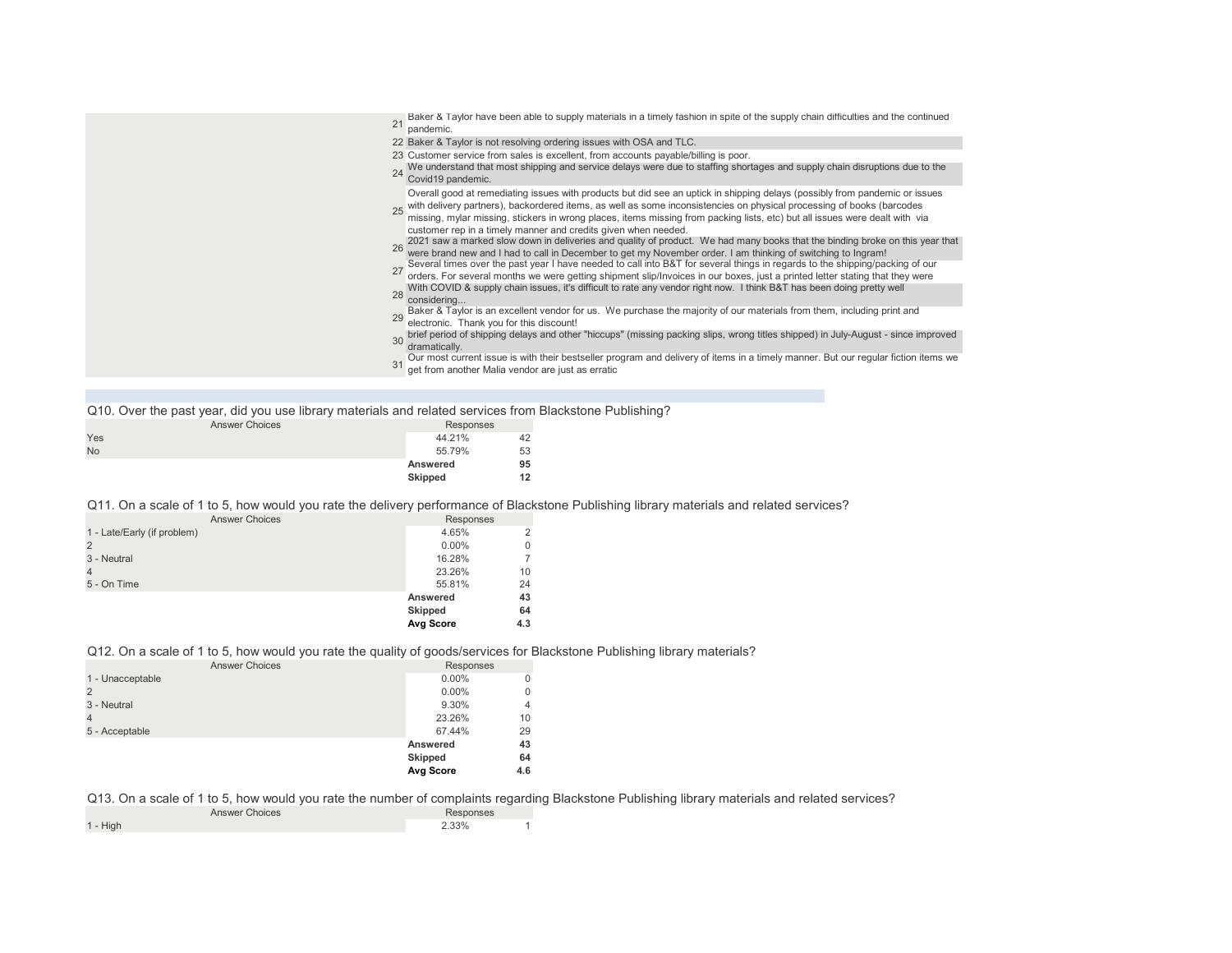| Baker & Taylor have been able to supply materials in a timely fashion in spite of the supply chain difficulties and the continued<br>21<br>pandemic.                                                                                                                                                                                                            |
|-----------------------------------------------------------------------------------------------------------------------------------------------------------------------------------------------------------------------------------------------------------------------------------------------------------------------------------------------------------------|
| 22 Baker & Taylor is not resolving ordering issues with OSA and TLC.                                                                                                                                                                                                                                                                                            |
| 23 Customer service from sales is excellent, from accounts payable/billing is poor.<br>We understand that most shipping and service delays were due to staffing shortages and supply chain disruptions due to the                                                                                                                                               |
| Covid19 pandemic.                                                                                                                                                                                                                                                                                                                                               |
| Overall good at remediating issues with products but did see an uptick in shipping delays (possibly from pandemic or issues<br>with delivery partners), backordered items, as well as some inconsistencies on physical processing of books (barcodes<br>missing, mylar missing, stickers in wrong places, items missing from packing lists, etc) but all issues |
| customer rep in a timely manner and credits given when needed.                                                                                                                                                                                                                                                                                                  |
| 2021 saw a marked slow down in deliveries and quality of product. We had many books that the binding broke on this year that<br>were brand new and I had to call in December to get my November order. I am thinking of switching                                                                                                                               |
|                                                                                                                                                                                                                                                                                                                                                                 |
| Several times over the past year I have needed to call into B&T for several things in regards to the shipping/packing of our orders. For several months we were getting shipment slip/Invoices in our boxes, just a printed le<br>27                                                                                                                            |
| With COVID & supply chain issues, it's difficult to rate any vendor right now. I think B&T has been doing pretty well<br>28<br>considering                                                                                                                                                                                                                      |
| Baker & Taylor is an excellent vendor for us. We purchase the majority of our materials from them, including print and<br>electronic. Thank you for this discount!                                                                                                                                                                                              |
| brief period of shipping delays and other "hiccups" (missing packing slips, wrong titles shipped) in July-August - since improved<br>30<br>dramatically.                                                                                                                                                                                                        |
| Our most current issue is with their bestseller program and delivery of items in a timely manner. But our regular fiction items we<br>get from another Malia vendor are just as erratic                                                                                                                                                                         |

| Q10. Over the past year, did you use library materials and related services from Blackstone Publishing? |           |  |
|---------------------------------------------------------------------------------------------------------|-----------|--|
| Answer Choices                                                                                          | Responses |  |

|           | <b>Skipped</b> | 12 |
|-----------|----------------|----|
|           | Answered       | 95 |
| <b>No</b> | 55.79%         | 53 |
| Yes       | 44.21%         | 42 |
|           |                |    |

## Q11. On a scale of 1 to 5, how would you rate the delivery performance of Blackstone Publishing library materials and related services?

| <b>Answer Choices</b>       | Responses      |          |
|-----------------------------|----------------|----------|
| 1 - Late/Early (if problem) | 4.65%          | 2        |
| $\overline{2}$              | $0.00\%$       | $\Omega$ |
| 3 - Neutral                 | 16.28%         |          |
|                             | 23.26%         | 10       |
| 5 - On Time                 | 55.81%         | 24       |
|                             | Answered       | 43       |
|                             | <b>Skipped</b> | 64       |
|                             | Avg Score      | 4.3      |

## Q12. On a scale of 1 to 5, how would you rate the quality of goods/services for Blackstone Publishing library materials?

| <b>Answer Choices</b> | Responses      |     |
|-----------------------|----------------|-----|
| 1 - Unacceptable      | $0.00\%$       |     |
| $\overline{2}$        | $0.00\%$       | 0   |
| 3 - Neutral           | 9.30%          | 4   |
| $\overline{4}$        | 23.26%         | 10  |
| 5 - Acceptable        | 67.44%         | 29  |
|                       | Answered       | 43  |
|                       | <b>Skipped</b> | 64  |
|                       | Avg Score      | 4.6 |

## Q13. On a scale of 1 to 5, how would you rate the number of complaints regarding Blackstone Publishing library materials and related services?

| <b>Answer Choices</b> |            | Responses |  |  |
|-----------------------|------------|-----------|--|--|
|                       | $1 - High$ | 2.33%     |  |  |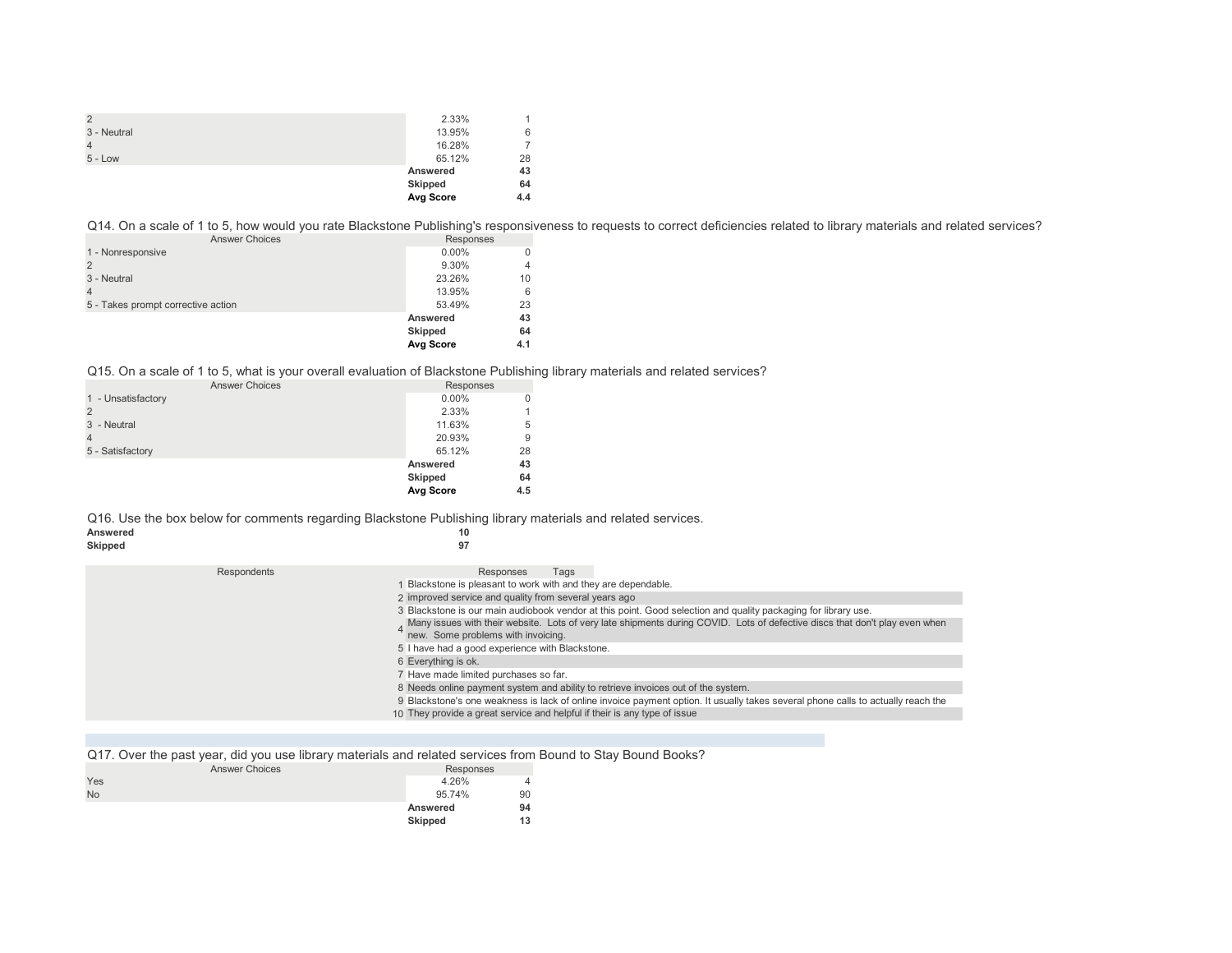|                | <b>Avg Score</b> | 4.4 |
|----------------|------------------|-----|
|                | Skipped          | 64  |
|                | Answered         | 43  |
| $5 - Low$      | 65.12%           | 28  |
| $\overline{4}$ | 16.28%           |     |
| 3 - Neutral    | 13.95%           | 6   |
| $\overline{2}$ | 2.33%            |     |

Q14. On a scale of 1 to 5, how would you rate Blackstone Publishing's responsiveness to requests to correct deficiencies related to library materials and related services?

| <b>Answer Choices</b>              | Responses      |     |
|------------------------------------|----------------|-----|
| 1 - Nonresponsive                  | $0.00\%$       |     |
|                                    | 9.30%          |     |
| 3 - Neutral                        | 23.26%         | 10  |
|                                    | 13.95%         | 6   |
| 5 - Takes prompt corrective action | 53.49%         | 23  |
|                                    | Answered       | 43  |
|                                    | <b>Skipped</b> | 64  |
|                                    | Avg Score      | 4.1 |

## Q15. On a scale of 1 to 5, what is your overall evaluation of Blackstone Publishing library materials and related services?

| <b>Answer Choices</b> | Responses      |     |
|-----------------------|----------------|-----|
| 1 - Unsatisfactory    | $0.00\%$       | 0   |
|                       | 2.33%          |     |
| 3 - Neutral           | 11.63%         | 5   |
|                       | 20.93%         | 9   |
| 5 - Satisfactory      | 65.12%         | 28  |
|                       | Answered       | 43  |
|                       | <b>Skipped</b> | 64  |
|                       | Avg Score      | 4.5 |

#### Q16. Use the box below for comments regarding Blackstone Publishing library materials and related services.

| Answered |  |
|----------|--|
| Skipped  |  |

|             | $\sim$ |  |  |
|-------------|--------|--|--|
| I<br>$\sim$ |        |  |  |

| Respondents | Responses<br>Tags                                                                                                                |
|-------------|----------------------------------------------------------------------------------------------------------------------------------|
|             | Blackstone is pleasant to work with and they are dependable.                                                                     |
|             | 2 improved service and quality from several years ago                                                                            |
|             | 3 Blackstone is our main audiobook vendor at this point. Good selection and quality packaging for library use.                   |
|             | Many issues with their website. Lots of very late shipments during COVID. Lots of defective discs that don't play even when      |
|             | new. Some problems with invoicing.                                                                                               |
|             | 5 I have had a good experience with Blackstone.                                                                                  |
|             | 6 Everything is ok.                                                                                                              |
|             | 7 Have made limited purchases so far.                                                                                            |
|             | 8 Needs online payment system and ability to retrieve invoices out of the system.                                                |
|             | 9 Blackstone's one weakness is lack of online invoice payment option. It usually takes several phone calls to actually reach the |
|             | 10 They provide a great service and helpful if their is any type of issue                                                        |

Q17. Over the past year, did you use library materials and related services from Bound to Stay Bound Books?

| <b>Answer Choices</b> | Responses |    |
|-----------------------|-----------|----|
| Yes                   | 4.26%     | 4  |
| <b>No</b>             | 95.74%    | 90 |
|                       | Answered  | 94 |
|                       | Skipped   | 13 |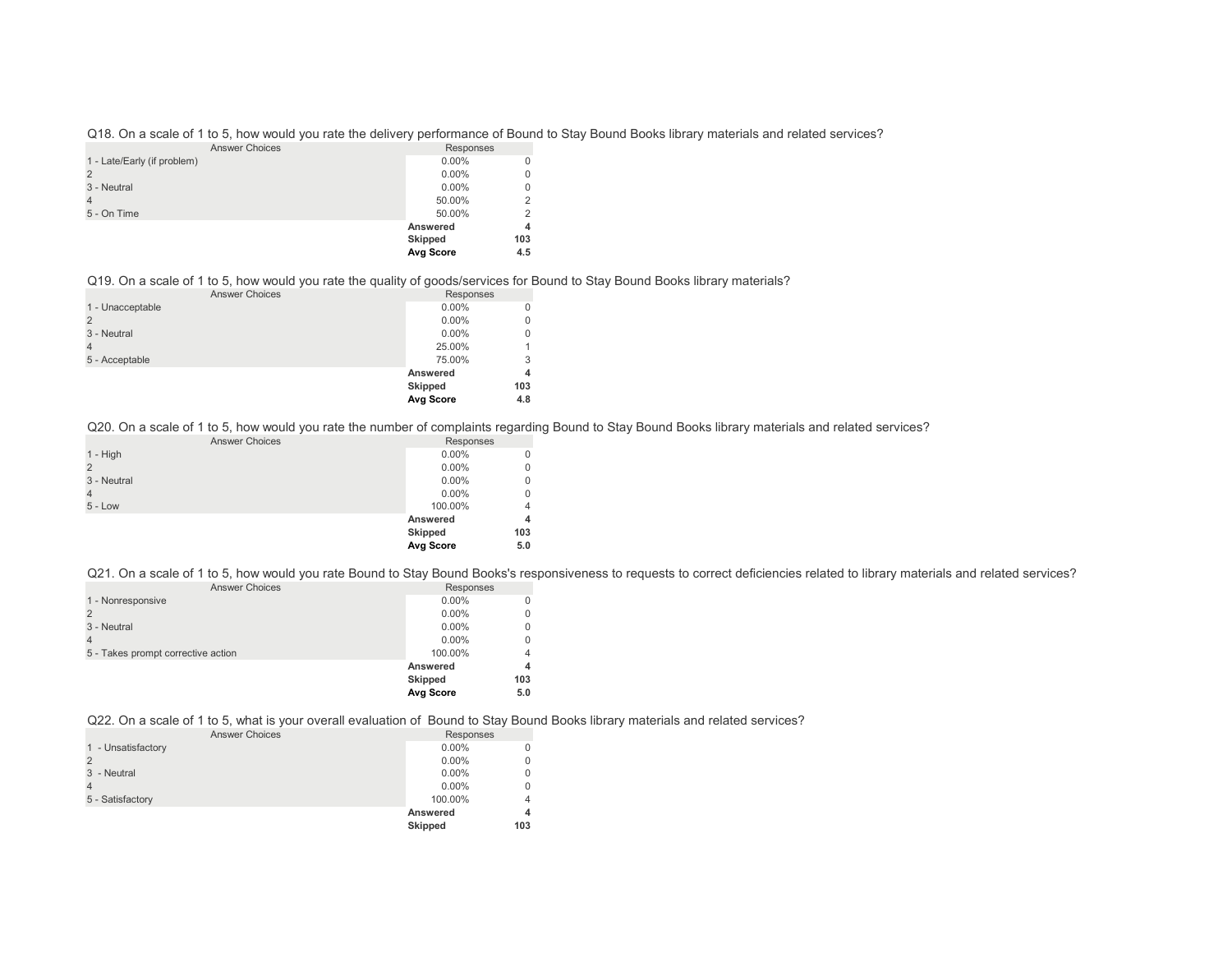Q18. On a scale of 1 to 5, how would you rate the delivery performance of Bound to Stay Bound Books library materials and related services?

| <b>Answer Choices</b>       | Responses      |          |
|-----------------------------|----------------|----------|
| 1 - Late/Early (if problem) | $0.00\%$       | $\Omega$ |
|                             | $0.00\%$       | $\Omega$ |
| 3 - Neutral                 | $0.00\%$       | $\Omega$ |
|                             | 50.00%         | 2        |
| 5 - On Time                 | 50.00%         | 2        |
|                             | Answered       | 4        |
|                             | <b>Skipped</b> | 103      |
|                             | Avg Score      | 4.5      |

Q19. On a scale of 1 to 5, how would you rate the quality of goods/services for Bound to Stay Bound Books library materials?

| <b>Answer Choices</b> | Responses      |             |
|-----------------------|----------------|-------------|
| 1 - Unacceptable      | $0.00\%$       | $\Omega$    |
|                       | $0.00\%$       | $\mathbf 0$ |
| 3 - Neutral           | $0.00\%$       | $\mathbf 0$ |
|                       | 25.00%         | 1           |
| 5 - Acceptable        | 75.00%         | 3           |
|                       | Answered       | 4           |
|                       | <b>Skipped</b> | 103         |
|                       | Avg Score      | 4.8         |

Q20. On a scale of 1 to 5, how would you rate the number of complaints regarding Bound to Stay Bound Books library materials and related services?

| Responses |                                  |
|-----------|----------------------------------|
| $0.00\%$  | 0                                |
| $0.00\%$  | 0                                |
| $0.00\%$  | 0                                |
| $0.00\%$  | 0                                |
| 100.00%   | 4                                |
|           | 4                                |
|           | 103                              |
|           | 5.0                              |
|           | Answered<br>Skipped<br>Avg Score |

Q21. On a scale of 1 to 5, how would you rate Bound to Stay Bound Books's responsiveness to requests to correct deficiencies related to library materials and related services?

| <b>Answer Choices</b>              | Responses      |     |
|------------------------------------|----------------|-----|
| 1 - Nonresponsive                  | $0.00\%$       |     |
|                                    | $0.00\%$       |     |
| 3 - Neutral                        | $0.00\%$       |     |
|                                    | $0.00\%$       |     |
| 5 - Takes prompt corrective action | 100.00%        | 4   |
|                                    | Answered       | 4   |
|                                    | <b>Skipped</b> | 103 |
|                                    | Avg Score      | 5.0 |

Q22. On a scale of 1 to 5, what is your overall evaluation of Bound to Stay Bound Books library materials and related services?

| <b>Answer Choices</b> | Responses |     |
|-----------------------|-----------|-----|
| 1 - Unsatisfactory    | $0.00\%$  |     |
|                       | $0.00\%$  |     |
| 3 - Neutral           | $0.00\%$  |     |
|                       | $0.00\%$  |     |
| 5 - Satisfactory      | 100.00%   |     |
|                       | Answered  |     |
|                       | Skipped   | 103 |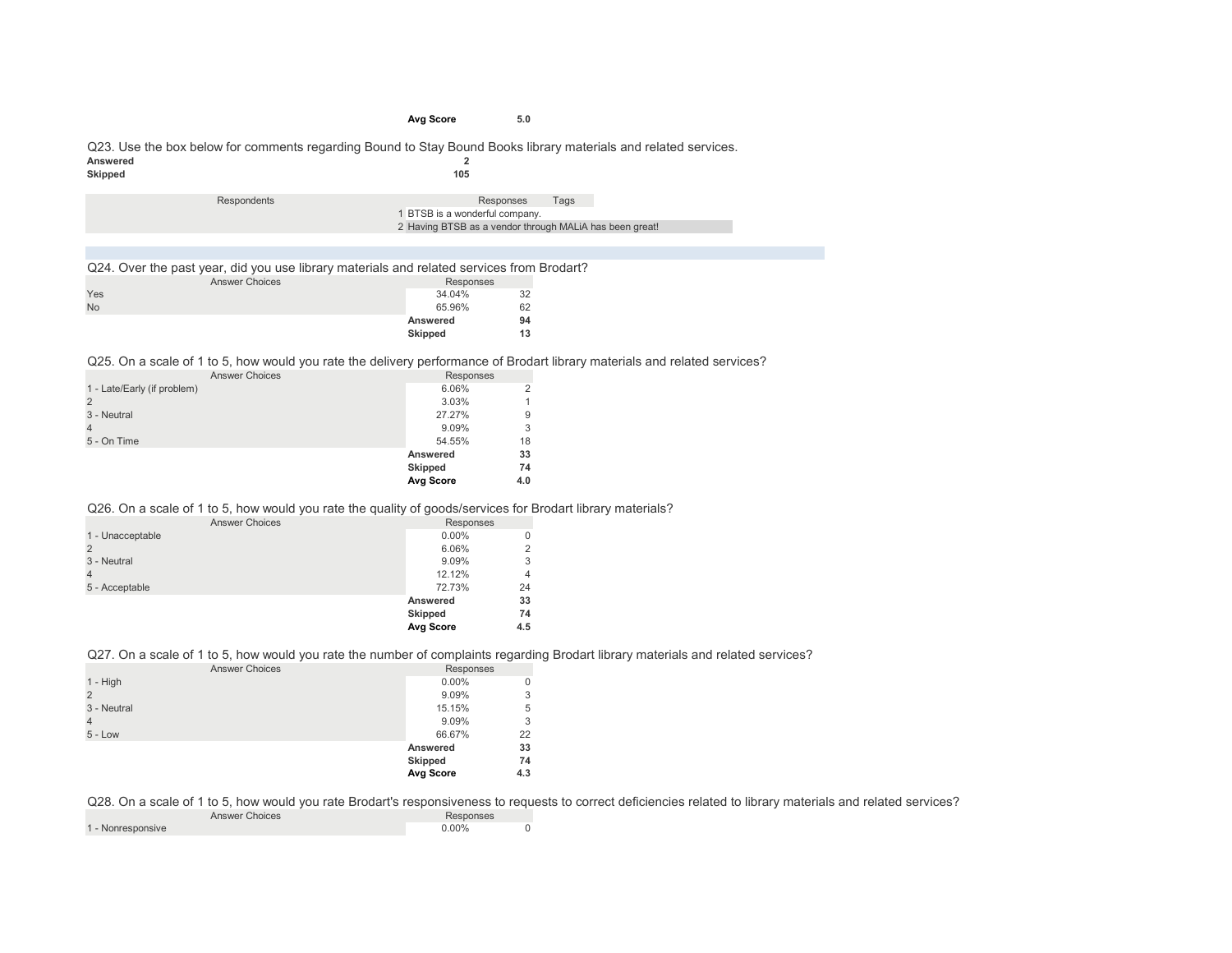#### **Avg Score 5.0**

#### Q23. Use the box below for comments regarding Bound to Stay Bound Books library materials and related services.<br>Answered Answered 2<br> **Answered** 2<br> **2**<br> **2**<br> **2**<br> **2**<br> **2 Skipped 105**

| Respondents | Tags<br>Responses                                       |
|-------------|---------------------------------------------------------|
|             | 1 BTSB is a wonderful company.                          |
|             | 2 Having BTSB as a vendor through MALIA has been great! |

Q24. Over the past year, did you use library materials and related services from Brodart?

|           | <b>Answer Choices</b> | Responses |    |
|-----------|-----------------------|-----------|----|
| Yes       |                       | 34.04%    | 32 |
| <b>No</b> |                       | 65.96%    | 62 |
|           |                       | Answered  | 94 |
|           |                       | Skipped   | 13 |

Q25. On a scale of 1 to 5, how would you rate the delivery performance of Brodart library materials and related services?

| <b>Answer Choices</b>       | Responses      |     |
|-----------------------------|----------------|-----|
| 1 - Late/Early (if problem) | 6.06%          |     |
| $\overline{2}$              | 3.03%          |     |
| 3 - Neutral                 | 27.27%         | 9   |
| $\overline{4}$              | 9.09%          | 3   |
| 5 - On Time                 | 54.55%         | 18  |
|                             | Answered       | 33  |
|                             | <b>Skipped</b> | 74  |
|                             | Avg Score      | 4.0 |

Q26. On a scale of 1 to 5, how would you rate the quality of goods/services for Brodart library materials?

|                       | Avg Score      | 4.5       |
|-----------------------|----------------|-----------|
|                       | <b>Skipped</b> | 74        |
|                       | Answered       | 33        |
| 5 - Acceptable        | 72.73%         | 24        |
|                       | 12.12%         | 4         |
| 3 - Neutral           | 9.09%          | 3         |
|                       | 6.06%          | 2         |
| 1 - Unacceptable      | $0.00\%$       | 0         |
| <b>Answer Choices</b> |                | Responses |

#### Q27. On a scale of 1 to 5, how would you rate the number of complaints regarding Brodart library materials and related services?

| <b>Answer Choices</b> | Responses        |   |
|-----------------------|------------------|---|
| $1 - High$            | $0.00\%$         | 0 |
| $\overline{2}$        | 9.09%            | 3 |
| 3 - Neutral           | 15.15%           | 5 |
| $\overline{4}$        | 9.09%            | 3 |
| $5 - Low$             | 66.67%<br>22     |   |
|                       | 33<br>Answered   |   |
|                       | Skipped<br>74    |   |
|                       | Avg Score<br>4.3 |   |

Q28. On a scale of 1 to 5, how would you rate Brodart's responsiveness to requests to correct deficiencies related to library materials and related services?

| <b>Answer Choices</b> | Responses |  |
|-----------------------|-----------|--|
| 1 - Nonresponsive     | $0.00\%$  |  |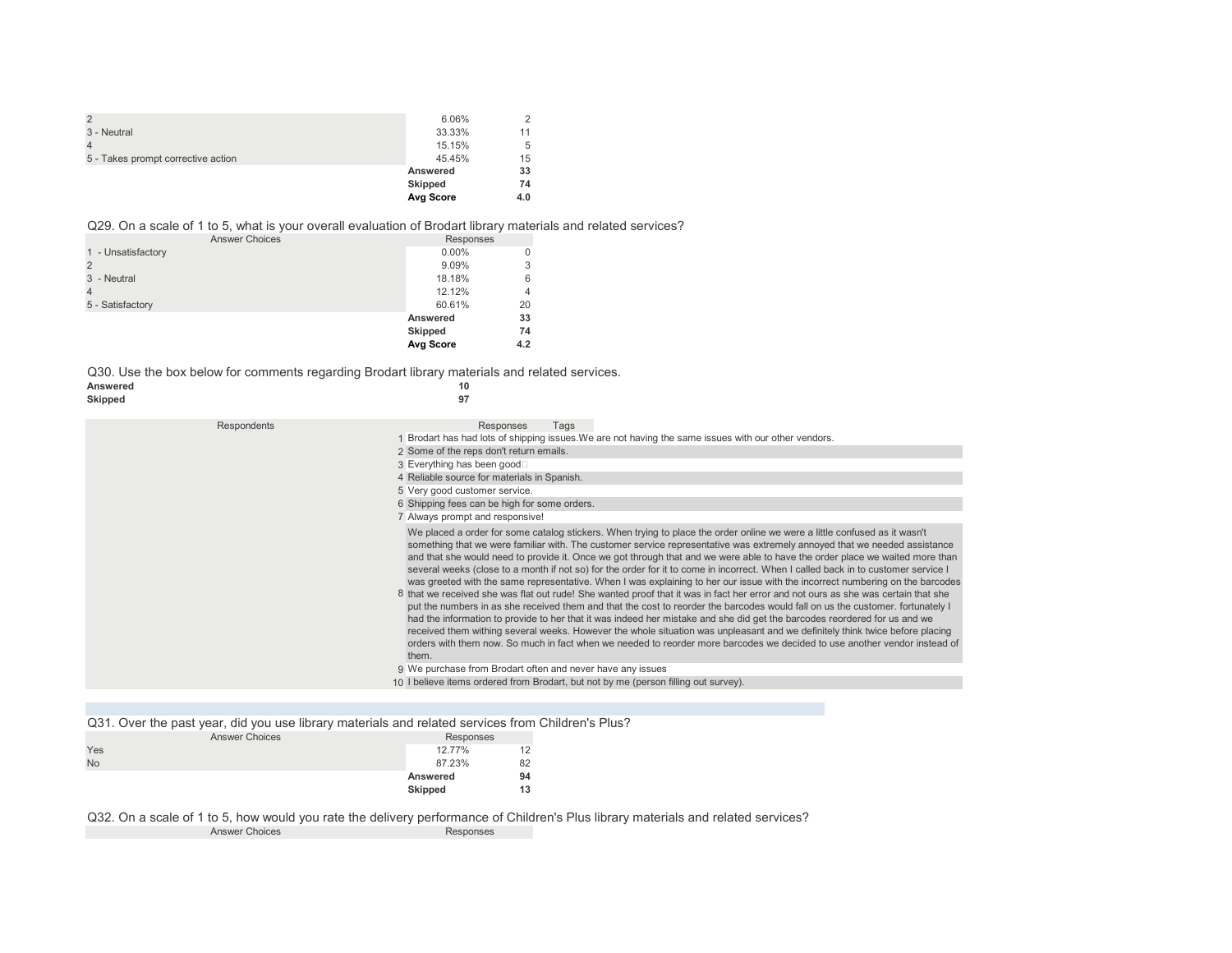| $\overline{2}$                     | 6.06%     |     |
|------------------------------------|-----------|-----|
| 3 - Neutral                        | 33.33%    | 11  |
|                                    | 15.15%    | 5   |
| 5 - Takes prompt corrective action | 45.45%    | 15  |
|                                    | Answered  | 33  |
|                                    | Skipped   | 74  |
|                                    | Avg Score | 4.0 |

#### Q29. On a scale of 1 to 5, what is your overall evaluation of Brodart library materials and related services?

| <b>Answer Choices</b> | Responses      |     |
|-----------------------|----------------|-----|
| 1 - Unsatisfactory    | $0.00\%$       |     |
| $\overline{2}$        | 9.09%          | 3   |
| 3 - Neutral           | 18.18%         | 6   |
| 4                     | 12.12%         | 4   |
| 5 - Satisfactory      | 60.61%         | 20  |
|                       | Answered       | 33  |
|                       | <b>Skipped</b> | 74  |
|                       | Avg Score      | 4.2 |

Q30. Use the box below for comments regarding Brodart library materials and related services.<br>Answered 10 Answered 10<br>Skipped 97

| Skipped     | 97                                                                                                                                                                                                                                                                                                                                                                                                                                                                                                                                                                                                                                                                                                                                                                                                                                                                                                                                                                                                                                                                                                                                                                                                                                                                                                                                     |
|-------------|----------------------------------------------------------------------------------------------------------------------------------------------------------------------------------------------------------------------------------------------------------------------------------------------------------------------------------------------------------------------------------------------------------------------------------------------------------------------------------------------------------------------------------------------------------------------------------------------------------------------------------------------------------------------------------------------------------------------------------------------------------------------------------------------------------------------------------------------------------------------------------------------------------------------------------------------------------------------------------------------------------------------------------------------------------------------------------------------------------------------------------------------------------------------------------------------------------------------------------------------------------------------------------------------------------------------------------------|
| Respondents | Responses<br>Tags                                                                                                                                                                                                                                                                                                                                                                                                                                                                                                                                                                                                                                                                                                                                                                                                                                                                                                                                                                                                                                                                                                                                                                                                                                                                                                                      |
|             | Brodart has had lots of shipping issues. We are not having the same issues with our other vendors.                                                                                                                                                                                                                                                                                                                                                                                                                                                                                                                                                                                                                                                                                                                                                                                                                                                                                                                                                                                                                                                                                                                                                                                                                                     |
|             | 2 Some of the reps don't return emails.                                                                                                                                                                                                                                                                                                                                                                                                                                                                                                                                                                                                                                                                                                                                                                                                                                                                                                                                                                                                                                                                                                                                                                                                                                                                                                |
|             | 3 Everything has been good□                                                                                                                                                                                                                                                                                                                                                                                                                                                                                                                                                                                                                                                                                                                                                                                                                                                                                                                                                                                                                                                                                                                                                                                                                                                                                                            |
|             | 4 Reliable source for materials in Spanish.                                                                                                                                                                                                                                                                                                                                                                                                                                                                                                                                                                                                                                                                                                                                                                                                                                                                                                                                                                                                                                                                                                                                                                                                                                                                                            |
|             | 5 Very good customer service.                                                                                                                                                                                                                                                                                                                                                                                                                                                                                                                                                                                                                                                                                                                                                                                                                                                                                                                                                                                                                                                                                                                                                                                                                                                                                                          |
|             | 6 Shipping fees can be high for some orders.                                                                                                                                                                                                                                                                                                                                                                                                                                                                                                                                                                                                                                                                                                                                                                                                                                                                                                                                                                                                                                                                                                                                                                                                                                                                                           |
|             | 7 Always prompt and responsive!                                                                                                                                                                                                                                                                                                                                                                                                                                                                                                                                                                                                                                                                                                                                                                                                                                                                                                                                                                                                                                                                                                                                                                                                                                                                                                        |
|             | We placed a order for some catalog stickers. When trying to place the order online we were a little confused as it wasn't<br>something that we were familiar with. The customer service representative was extremely annoyed that we needed assistance<br>and that she would need to provide it. Once we got through that and we were able to have the order place we waited more than<br>several weeks (close to a month if not so) for the order for it to come in incorrect. When I called back in to customer service I<br>was greeted with the same representative. When I was explaining to her our issue with the incorrect numbering on the barcodes<br>8 that we received she was flat out rude! She wanted proof that it was in fact her error and not ours as she was certain that she<br>put the numbers in as she received them and that the cost to reorder the barcodes would fall on us the customer, fortunately I<br>had the information to provide to her that it was indeed her mistake and she did get the barcodes reordered for us and we<br>received them withing several weeks. However the whole situation was unpleasant and we definitely think twice before placing<br>orders with them now. So much in fact when we needed to reorder more barcodes we decided to use another vendor instead of<br>them. |
|             | 9 We purchase from Brodart often and never have any issues                                                                                                                                                                                                                                                                                                                                                                                                                                                                                                                                                                                                                                                                                                                                                                                                                                                                                                                                                                                                                                                                                                                                                                                                                                                                             |
|             | 10 I believe items ordered from Brodart, but not by me (person filling out survey).                                                                                                                                                                                                                                                                                                                                                                                                                                                                                                                                                                                                                                                                                                                                                                                                                                                                                                                                                                                                                                                                                                                                                                                                                                                    |

Q31. Over the past year, did you use library materials and related services from Children's Plus?

|           | <b>Answer Choices</b> | Responses |    |
|-----------|-----------------------|-----------|----|
| Yes       |                       | 12.77%    | 12 |
| <b>No</b> |                       | 87.23%    | 82 |
|           |                       | Answered  | 94 |
|           |                       | Skipped   | 13 |

Q32. On a scale of 1 to 5, how would you rate the delivery performance of Children's Plus library materials and related services? Answer Choices Responses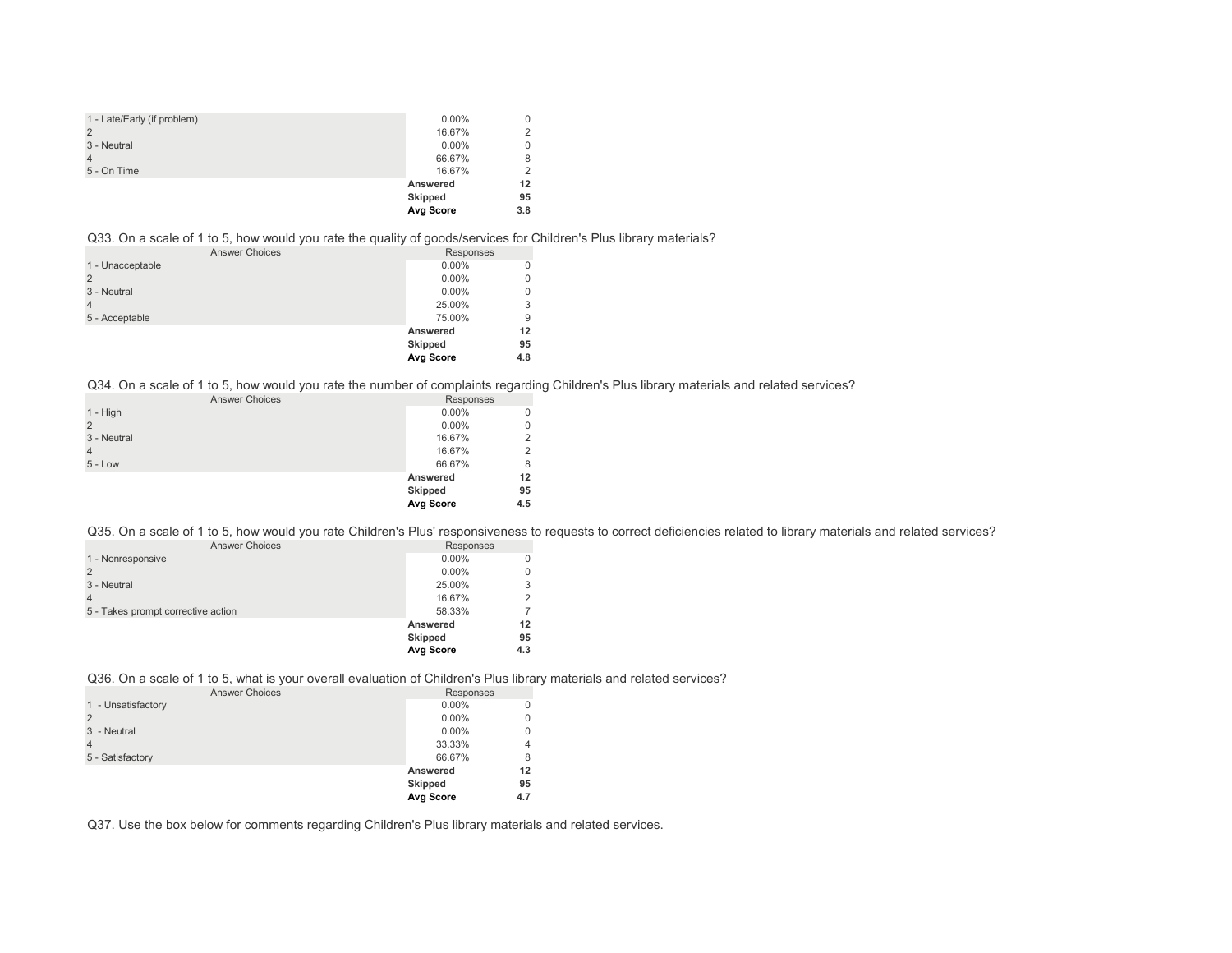| 1 - Late/Early (if problem) | $0.00\%$  | 0   |
|-----------------------------|-----------|-----|
| 2                           | 16.67%    | 2   |
| 3 - Neutral                 | $0.00\%$  | 0   |
| $\overline{4}$              | 66.67%    | 8   |
| 5 - On Time                 | 16.67%    | 2   |
|                             | Answered  | 12  |
|                             | Skipped   | 95  |
|                             | Avg Score | 3.8 |

Q33. On a scale of 1 to 5, how would you rate the quality of goods/services for Children's Plus library materials?

| <b>Answer Choices</b> | Responses |     |
|-----------------------|-----------|-----|
| 1 - Unacceptable      | $0.00\%$  |     |
| $\overline{2}$        | $0.00\%$  | 0   |
| 3 - Neutral           | $0.00\%$  | 0   |
| $\overline{4}$        | 25.00%    | 3   |
| 5 - Acceptable        | 75.00%    | 9   |
|                       | Answered  | 12  |
|                       | Skipped   | 95  |
|                       | Avg Score | 4.8 |

Q34. On a scale of 1 to 5, how would you rate the number of complaints regarding Children's Plus library materials and related services?

| <b>Answer Choices</b> | Responses        |     |
|-----------------------|------------------|-----|
| $1 - High$            | $0.00\%$         | 0   |
| $\overline{2}$        | $0.00\%$         | 0   |
| 3 - Neutral           | 16.67%           | 2   |
| $\overline{4}$        | 16.67%           | 2   |
| $5 - Low$             | 66.67%           | 8   |
|                       | Answered         | 12  |
|                       | Skipped          | 95  |
|                       | <b>Avg Score</b> | 4.5 |

Q35. On a scale of 1 to 5, how would you rate Children's Plus' responsiveness to requests to correct deficiencies related to library materials and related services?

| <b>Answer Choices</b>              | Responses        |     |
|------------------------------------|------------------|-----|
| 1 - Nonresponsive                  | $0.00\%$         |     |
|                                    | $0.00\%$         |     |
| 3 - Neutral                        | 25.00%           |     |
|                                    | 16.67%           |     |
| 5 - Takes prompt corrective action | 58.33%           |     |
|                                    | Answered         | 12  |
|                                    | <b>Skipped</b>   | 95  |
|                                    | <b>Avg Score</b> | 4.3 |

Q36. On a scale of 1 to 5, what is your overall evaluation of Children's Plus library materials and related services?

| <b>Answer Choices</b> | Responses      |     |
|-----------------------|----------------|-----|
| 1 - Unsatisfactory    | $0.00\%$       | 0   |
|                       | $0.00\%$       | 0   |
| 3 - Neutral           | $0.00\%$       | 0   |
| 4                     | 33.33%         | 4   |
| 5 - Satisfactory      | 66.67%         | 8   |
|                       | Answered       | 12  |
|                       | <b>Skipped</b> | 95  |
|                       | Avg Score      | 4.7 |

Q37. Use the box below for comments regarding Children's Plus library materials and related services.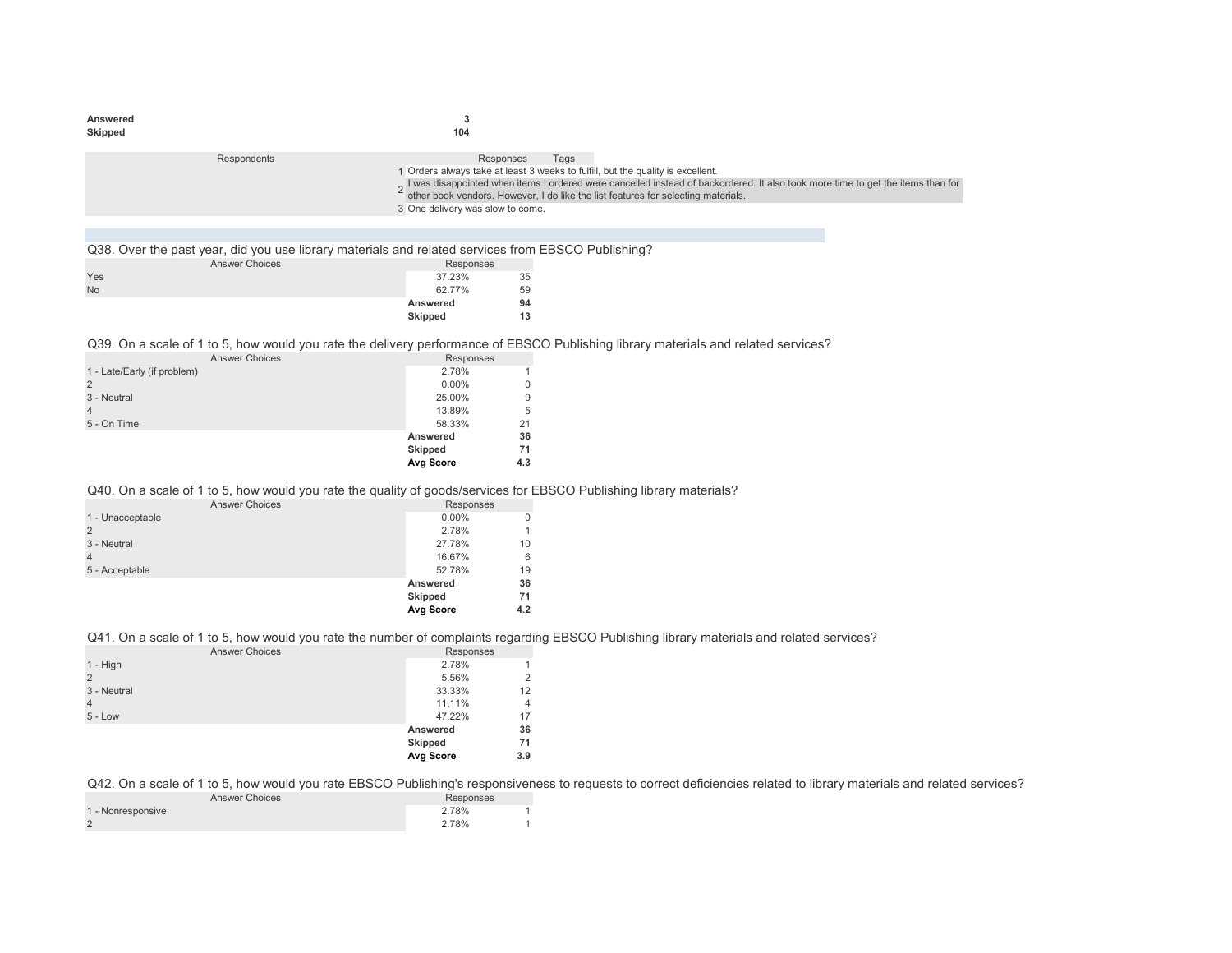| Answered<br>Skipped |             | ٠J<br>104                                                                                                                      |      |                                                                                                                                                                                                                      |
|---------------------|-------------|--------------------------------------------------------------------------------------------------------------------------------|------|----------------------------------------------------------------------------------------------------------------------------------------------------------------------------------------------------------------------|
|                     | Respondents | Responses<br>Orders always take at least 3 weeks to fulfill, but the quality is excellent.<br>3 One delivery was slow to come. | Tags | I was disappointed when items I ordered were cancelled instead of backordered. It also took more time to get the items than for<br>other book vendors. However, I do like the list features for selecting materials. |
|                     |             |                                                                                                                                |      |                                                                                                                                                                                                                      |

Q38. Over the past year, did you use library materials and related services from EBSCO Publishing?

|           | <b>Answer Choices</b> | Responses |    |
|-----------|-----------------------|-----------|----|
| Yes       |                       | 37.23%    | 35 |
| <b>No</b> |                       | 62.77%    | 59 |
|           |                       | Answered  | 94 |
|           |                       | Skipped   | 13 |

Q39. On a scale of 1 to 5, how would you rate the delivery performance of EBSCO Publishing library materials and related services?

| <b>Answer Choices</b>       | Responses      |     |
|-----------------------------|----------------|-----|
| 1 - Late/Early (if problem) | 2.78%          |     |
| 2                           | $0.00\%$       |     |
| 3 - Neutral                 | 25.00%         | 9   |
|                             | 13.89%         | 5   |
| 5 - On Time                 | 58.33%         | 21  |
|                             | Answered       | 36  |
|                             | <b>Skipped</b> | 71  |
|                             | Avg Score      | 4.3 |

## Q40. On a scale of 1 to 5, how would you rate the quality of goods/services for EBSCO Publishing library materials?

| <b>Answer Choices</b> | Responses        |     |
|-----------------------|------------------|-----|
| 1 - Unacceptable      | $0.00\%$         |     |
|                       | 2.78%            |     |
| 3 - Neutral           | 27.78%           | 10  |
|                       | 16.67%           | 6   |
| 5 - Acceptable        | 52.78%           | 19  |
|                       | Answered         | 36  |
|                       | Skipped          | 71  |
|                       | <b>Avg Score</b> | 4.2 |

## Q41. On a scale of 1 to 5, how would you rate the number of complaints regarding EBSCO Publishing library materials and related services?

| <b>Answer Choices</b> | Responses |                |
|-----------------------|-----------|----------------|
| $1 - High$            | 2.78%     | 1              |
| $\overline{2}$        | 5.56%     | 2              |
| 3 - Neutral           | 33.33%    | 12             |
| $\overline{4}$        | 11.11%    | $\overline{4}$ |
| $5 - Low$             | 47.22%    | 17             |
|                       | Answered  | 36             |
|                       | Skipped   | 71             |
|                       | Avg Score | 3.9            |
|                       |           |                |

Q42. On a scale of 1 to 5, how would you rate EBSCO Publishing's responsiveness to requests to correct deficiencies related to library materials and related services?

| <b>Answer Choices</b> | Responses |
|-----------------------|-----------|
| 1 - Nonresponsive     | 2.78%     |
|                       | 2.78%     |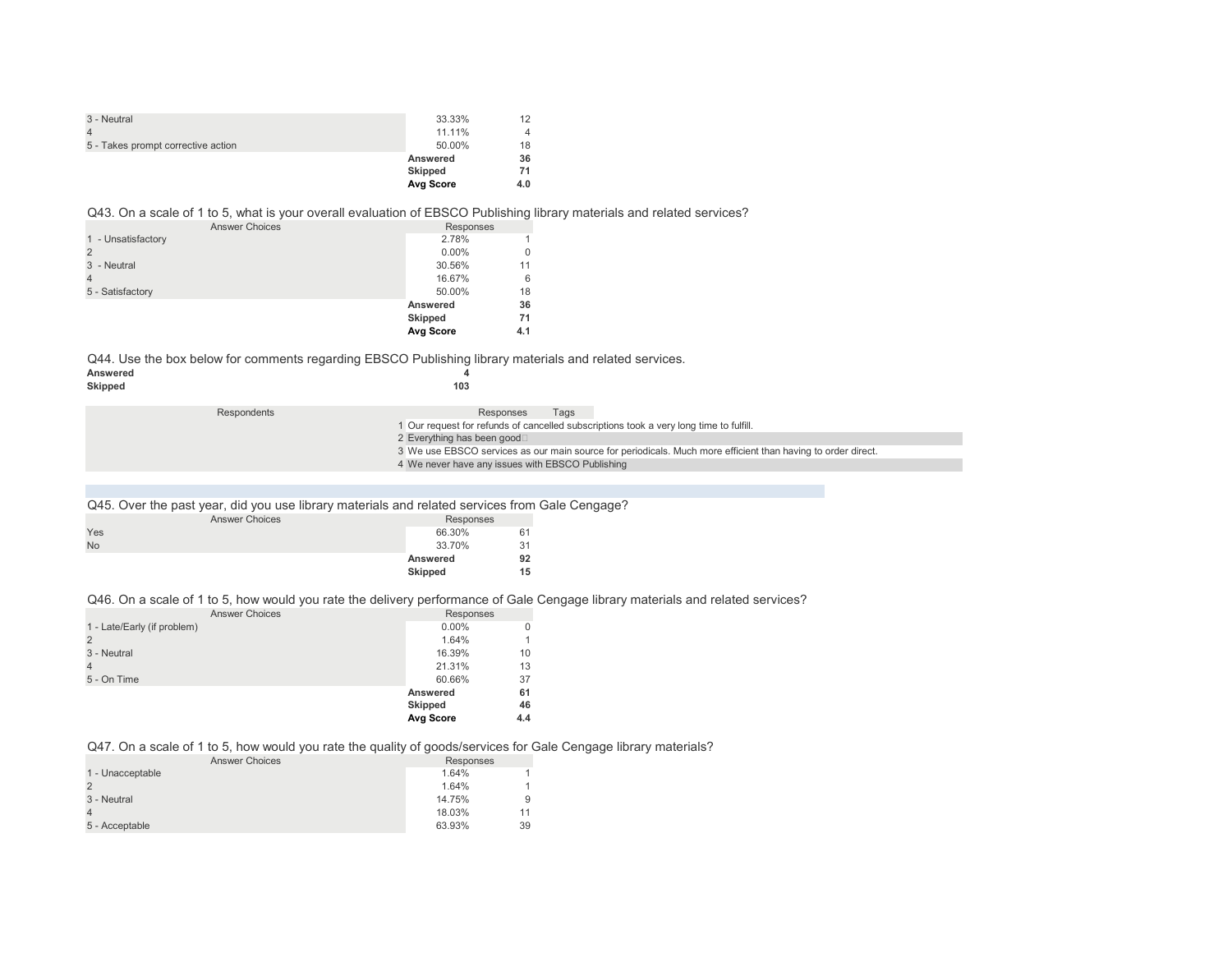| 3 - Neutral                        | 33.33%    | 12  |
|------------------------------------|-----------|-----|
|                                    | 11.11%    | 4   |
| 5 - Takes prompt corrective action | 50.00%    | 18  |
|                                    | Answered  | 36  |
|                                    | Skipped   | 71  |
|                                    | Avg Score | 4.0 |

## Q43. On a scale of 1 to 5, what is your overall evaluation of EBSCO Publishing library materials and related services?

| <b>Answer Choices</b> | Responses |     |
|-----------------------|-----------|-----|
| 1 - Unsatisfactory    | 2.78%     |     |
|                       | $0.00\%$  | 0   |
| 3 - Neutral           | 30.56%    | 11  |
|                       | 16.67%    | 6   |
| 5 - Satisfactory      | 50.00%    | 18  |
|                       | Answered  | 36  |
|                       | Skipped   | 71  |
|                       | Avg Score | 4.1 |

Q44. Use the box below for comments regarding EBSCO Publishing library materials and related services.<br>Answered Answered **4**<br>Skipped 103  $Skipped$ 

| Respondents | Responses<br>Tags                                                                                            |
|-------------|--------------------------------------------------------------------------------------------------------------|
|             | 1 Our request for refunds of cancelled subscriptions took a very long time to fulfill.                       |
|             | 2 Everything has been good□                                                                                  |
|             | 3 We use EBSCO services as our main source for periodicals. Much more efficient than having to order direct. |
|             | 4 We never have any issues with EBSCO Publishing                                                             |

| Q45. Over the past year, did you use library materials and related services from Gale Cengage? |                |    |
|------------------------------------------------------------------------------------------------|----------------|----|
| <b>Answer Choices</b>                                                                          | Responses      |    |
| Yes                                                                                            | 66.30%         | 61 |
| N <sub>o</sub>                                                                                 | 33.70%         |    |
|                                                                                                | Answered       | 92 |
|                                                                                                | <b>Skipped</b> | 15 |

## Q46. On a scale of 1 to 5, how would you rate the delivery performance of Gale Cengage library materials and related services?

| <b>Answer Choices</b>       | Responses      |              |
|-----------------------------|----------------|--------------|
| 1 - Late/Early (if problem) | $0.00\%$       | 0            |
| $\overline{2}$              | 1.64%          | $\mathbf{1}$ |
| 3 - Neutral                 | 16.39%         | 10           |
| $\overline{4}$              | 21.31%         | 13           |
| 5 - On Time                 | 60.66%         | 37           |
|                             | Answered       | 61           |
|                             | <b>Skipped</b> | 46           |
|                             | Avg Score      | 4.4          |

## Q47. On a scale of 1 to 5, how would you rate the quality of goods/services for Gale Cengage library materials?

| <b>Answer Choices</b> | Responses |    |
|-----------------------|-----------|----|
| 1 - Unacceptable      | 1.64%     |    |
|                       | 1.64%     |    |
| 3 - Neutral           | 14.75%    | 9  |
|                       | 18.03%    | 11 |
| 5 - Acceptable        | 63.93%    | 39 |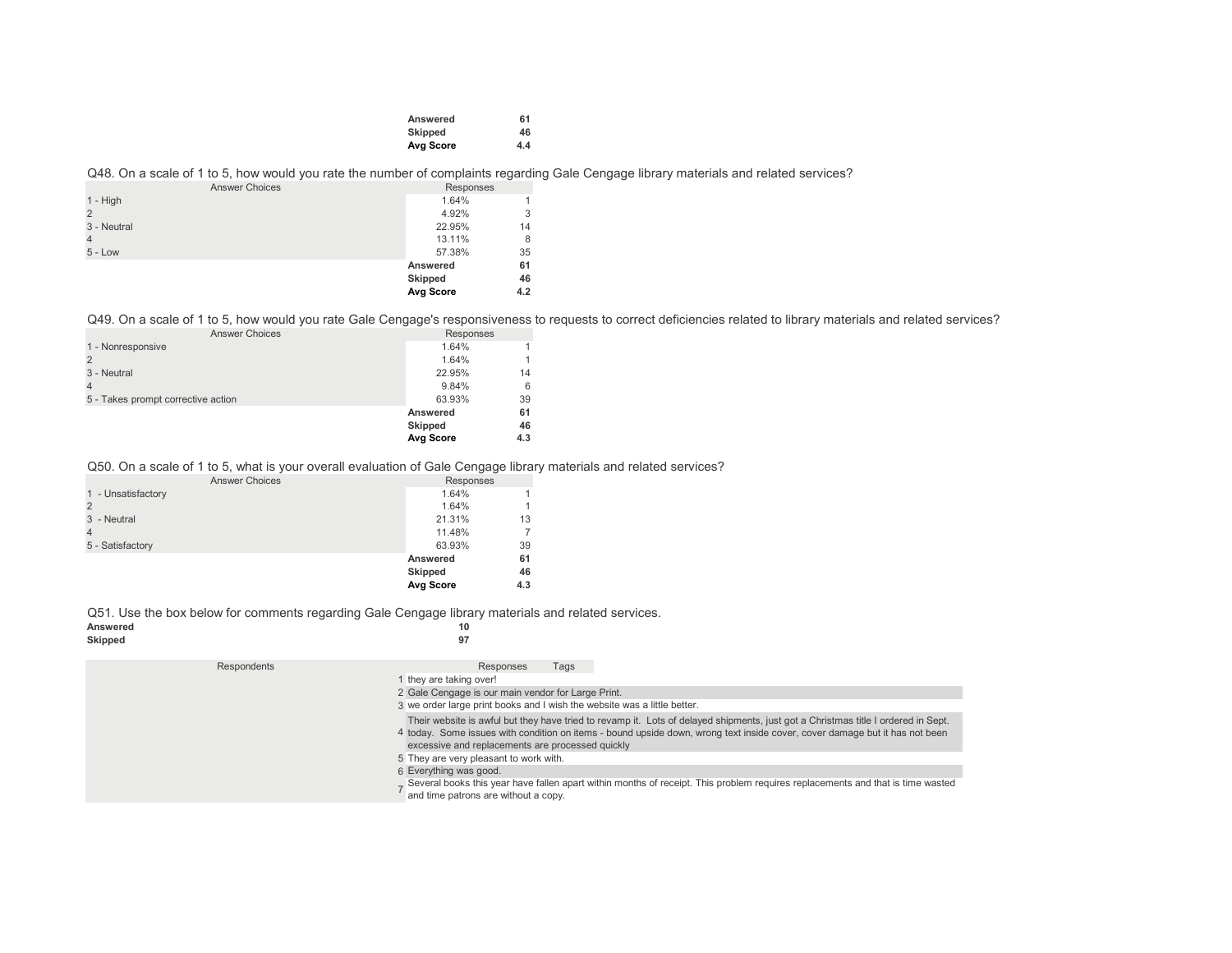| Answered  | 61  |
|-----------|-----|
| Skipped   | 46  |
| Avg Score | 4.4 |

## Q48. On a scale of 1 to 5, how would you rate the number of complaints regarding Gale Cengage library materials and related services?

|             | <b>Answer Choices</b> | Responses |     |  |
|-------------|-----------------------|-----------|-----|--|
| $1 - High$  |                       | 1.64%     |     |  |
|             |                       | 4.92%     | 3   |  |
| 3 - Neutral |                       | 22.95%    | 14  |  |
|             |                       | 13.11%    | 8   |  |
| $5 - Low$   |                       | 57.38%    | 35  |  |
|             |                       | Answered  | 61  |  |
|             |                       | Skipped   | 46  |  |
|             |                       | Avg Score | 4.2 |  |

Q49. On a scale of 1 to 5, how would you rate Gale Cengage's responsiveness to requests to correct deficiencies related to library materials and related services?

| Responses      |           |
|----------------|-----------|
| 1.64%          |           |
| 1.64%          |           |
| 22.95%         | 14        |
| 9.84%          | 6         |
| 63.93%         | 39        |
| Answered       | 61        |
| <b>Skipped</b> | 46        |
|                | 4.3       |
|                | Avg Score |

## Q50. On a scale of 1 to 5, what is your overall evaluation of Gale Cengage library materials and related services?

| Responses |                                  |
|-----------|----------------------------------|
| 1.64%     |                                  |
| 1.64%     |                                  |
| 21.31%    | 13                               |
| 11.48%    |                                  |
| 63.93%    | 39                               |
|           | 61                               |
|           | 46                               |
|           | 4.3                              |
|           | Answered<br>Skipped<br>Avg Score |

Q51. Use the box below for comments regarding Gale Cengage library materials and related services.<br>Answered

| Answered |    |
|----------|----|
| Skipped  | 97 |

| Respondents | Tags<br>Responses                                                                                                                                                                                                                                                                                                    |
|-------------|----------------------------------------------------------------------------------------------------------------------------------------------------------------------------------------------------------------------------------------------------------------------------------------------------------------------|
|             | they are taking over!                                                                                                                                                                                                                                                                                                |
|             | 2 Gale Cengage is our main vendor for Large Print.                                                                                                                                                                                                                                                                   |
|             | 3 we order large print books and I wish the website was a little better.                                                                                                                                                                                                                                             |
|             | Their website is awful but they have tried to revamp it. Lots of delayed shipments, just got a Christmas title I ordered in Sept.<br>4 today. Some issues with condition on items - bound upside down, wrong text inside cover, cover damage but it has not been<br>excessive and replacements are processed quickly |
|             | 5 They are very pleasant to work with.                                                                                                                                                                                                                                                                               |
|             | 6 Everything was good.<br>Several books this year have fallen apart within months of receipt. This problem requires replacements and that is time wasted<br>and time patrons are without a copy.                                                                                                                     |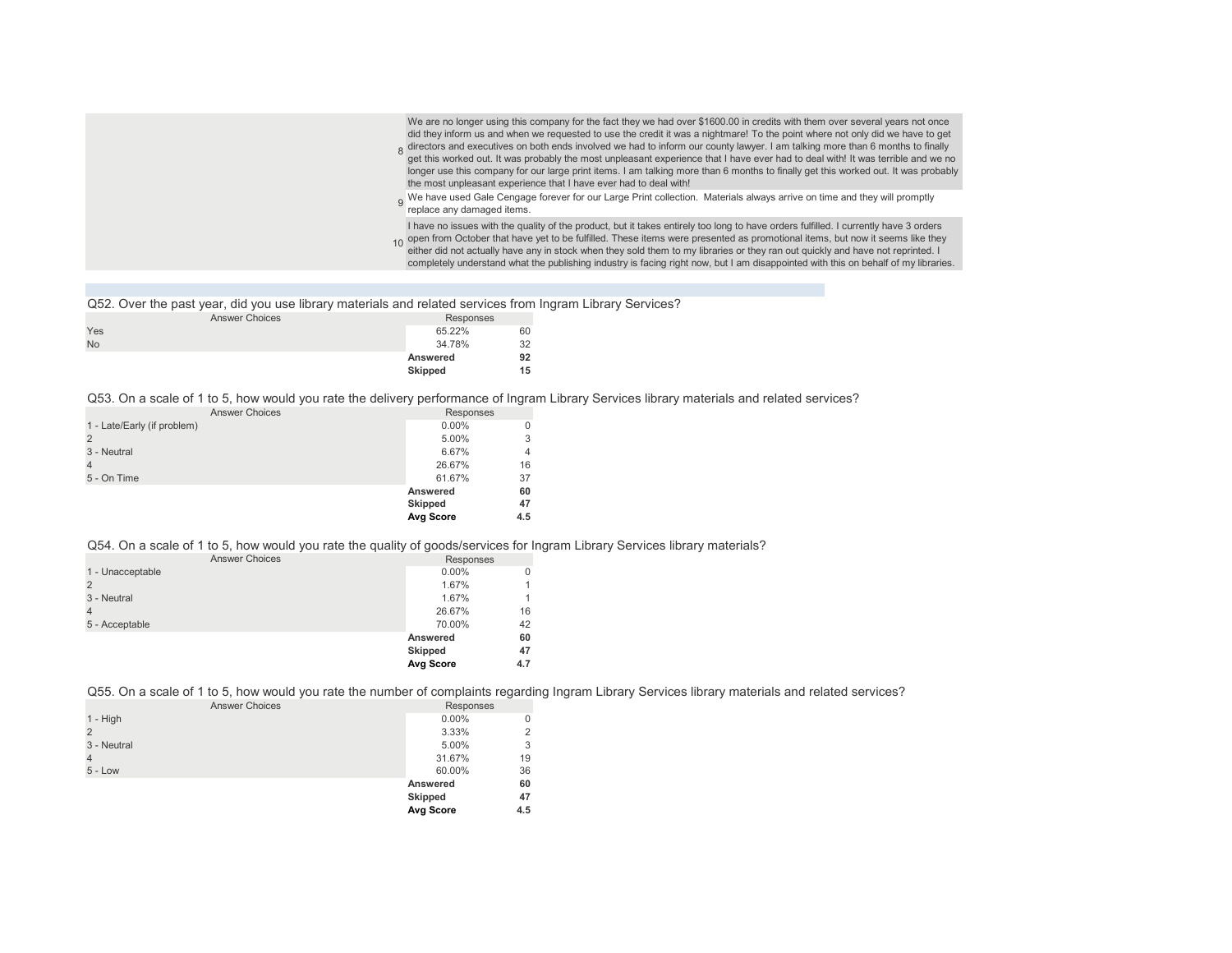| We are no longer using this company for the fact they we had over \$1600.00 in credits with them over several years not once<br>did they inform us and when we requested to use the credit it was a nightmare! To the point where not only did we have to get<br>8 directors and executives on both ends involved we had to inform our county lawyer. I am talking more than 6 months to finally<br>get this worked out. It was probably the most unpleasant experience that I have ever had to de<br>longer use this company for our large print items. I am talking more than 6 months to finally get this worked out. It was probably<br>the most unpleasant experience that I have ever had to deal with!<br>o We have used Gale Cengage forever for our Large Print collection. Materials always arrive on time and they will promptly<br>replace any damaged items. |
|---------------------------------------------------------------------------------------------------------------------------------------------------------------------------------------------------------------------------------------------------------------------------------------------------------------------------------------------------------------------------------------------------------------------------------------------------------------------------------------------------------------------------------------------------------------------------------------------------------------------------------------------------------------------------------------------------------------------------------------------------------------------------------------------------------------------------------------------------------------------------|
| I have no issues with the quality of the product, but it takes entirely too long to have orders fulfilled. I currently have 3 orders<br>10 open from October that have yet to be fulfilled. These items were presented as promotional items, but now it seems like they<br>either did not actually have any in stock when they sold them to my libraries or they ran out quickly and have not reprinted. I<br>completely understand what the publishing industry is facing right now, but I am disappointed with this on behalf of my libraries.                                                                                                                                                                                                                                                                                                                          |

Q52. Over the past year, did you use library materials and related services from Ingram Library Services?

| <b>Answer Choices</b> | Responses      |  |
|-----------------------|----------------|--|
| Yes                   | 65.22%<br>60   |  |
| <b>No</b>             | 34.78%<br>32   |  |
|                       | 92<br>Answered |  |
|                       | Skipped<br>15  |  |

Q53. On a scale of 1 to 5, how would you rate the delivery performance of Ingram Library Services library materials and related services?

| <b>Answer Choices</b>       | Responses      |     |
|-----------------------------|----------------|-----|
| 1 - Late/Early (if problem) | $0.00\%$       | 0   |
| $\overline{2}$              | 5.00%          | 3   |
| 3 - Neutral                 | 6.67%          | 4   |
| $\overline{4}$              | 26.67%         | 16  |
| 5 - On Time                 | 61.67%         | 37  |
|                             | Answered       | 60  |
|                             | <b>Skipped</b> | 47  |
|                             | Avg Score      | 4.5 |

## Q54. On a scale of 1 to 5, how would you rate the quality of goods/services for Ingram Library Services library materials?

| <b>Answer Choices</b> | Responses      |     |
|-----------------------|----------------|-----|
| 1 - Unacceptable      | $0.00\%$       |     |
|                       | 1.67%          |     |
| 3 - Neutral           | 1.67%          |     |
|                       | 26.67%         | 16  |
| 5 - Acceptable        | 70.00%         | 42  |
|                       | Answered       | 60  |
|                       | <b>Skipped</b> | 47  |
|                       | Avg Score      | 4.7 |

Q55. On a scale of 1 to 5, how would you rate the number of complaints regarding Ingram Library Services library materials and related services?

| <b>Answer Choices</b> | Responses |     |
|-----------------------|-----------|-----|
| $1 - High$            | $0.00\%$  |     |
| $\overline{2}$        | 3.33%     |     |
| 3 - Neutral           | 5.00%     | 3   |
| $\overline{4}$        | 31.67%    | 19  |
| $5 - Low$             | 60.00%    | 36  |
|                       | Answered  | 60  |
|                       | Skipped   | 47  |
|                       | Avg Score | 4.5 |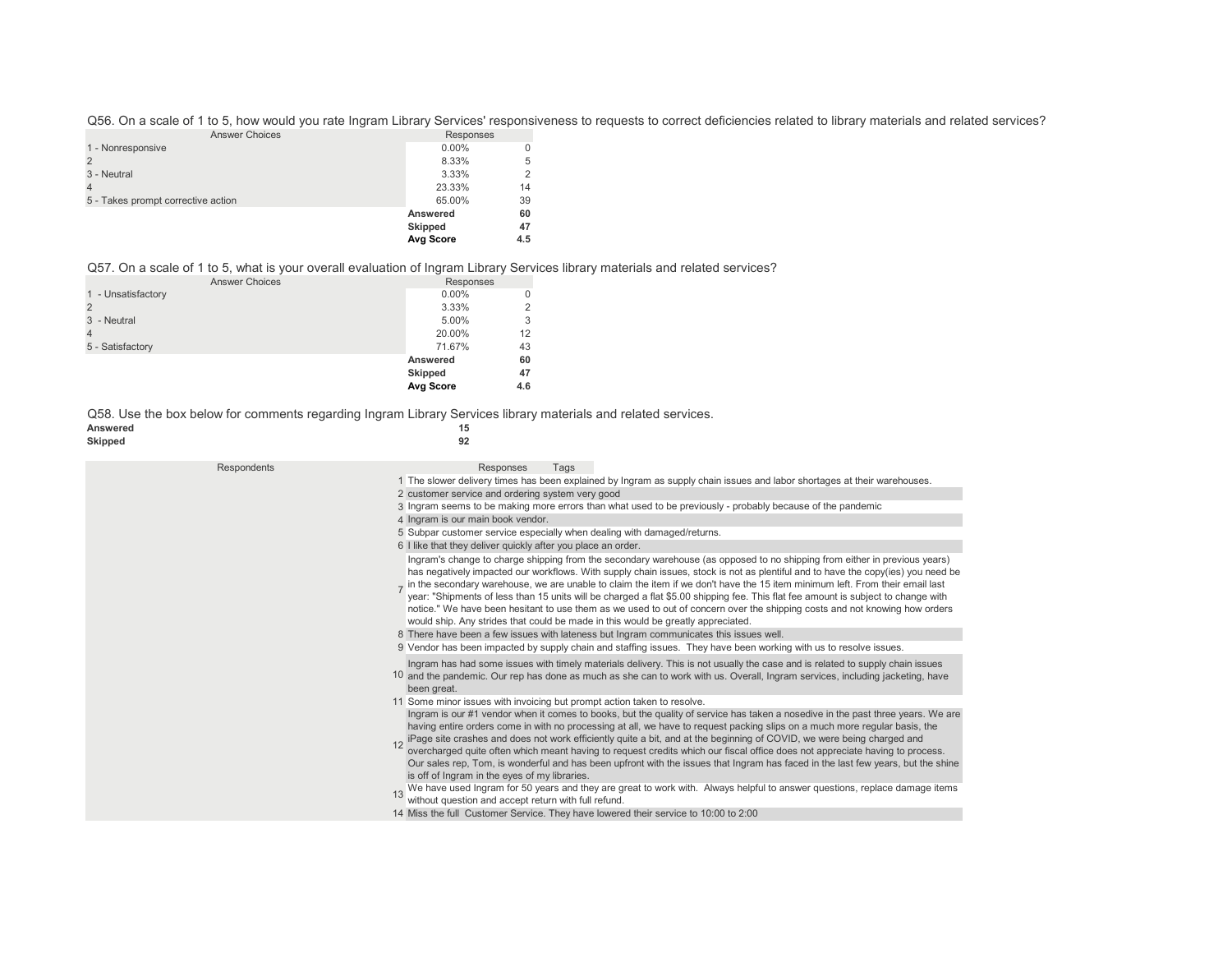Q56. On a scale of 1 to 5, how would you rate Ingram Library Services' responsiveness to requests to correct deficiencies related to library materials and related services? Answer Choices Responses

|                                    | Avg Score                  | 4.5      |
|------------------------------------|----------------------------|----------|
|                                    | Answered<br><b>Skipped</b> | 60<br>47 |
| 5 - Takes prompt corrective action | 65.00%                     | 39       |
|                                    | 23.33%                     | 14       |
| 3 - Neutral                        | 3.33%                      | 2        |
|                                    | 8.33%                      | 5        |
| 1 - Nonresponsive                  | $0.00\%$                   | 0        |
| AIISWEI UNUCES                     | Responses                  |          |

#### Q57. On a scale of 1 to 5, what is your overall evaluation of Ingram Library Services library materials and related services?

| <b>Answer Choices</b> | Responses        |     |
|-----------------------|------------------|-----|
| 1 - Unsatisfactory    | $0.00\%$         |     |
|                       | 3.33%            |     |
| 3 - Neutral           | 5.00%            | 3   |
|                       | 20.00%           | 12  |
| 5 - Satisfactory      | 71.67%           | 43  |
|                       | Answered         | 60  |
|                       | Skipped          | 47  |
|                       | <b>Avg Score</b> | 4.6 |

Q58. Use the box below for comments regarding Ingram Library Services library materials and related services.

#### **Answered 15**  $\mathsf{Skipped}$

| $\sim$ |
|--------|
| I      |

| Respondents | Responses<br>Tags                                                                                                                                                                                                                                                                                                                                                                                                                                                                                                                                                                                                                                                                                                                                                                                                     |
|-------------|-----------------------------------------------------------------------------------------------------------------------------------------------------------------------------------------------------------------------------------------------------------------------------------------------------------------------------------------------------------------------------------------------------------------------------------------------------------------------------------------------------------------------------------------------------------------------------------------------------------------------------------------------------------------------------------------------------------------------------------------------------------------------------------------------------------------------|
|             | 1 The slower delivery times has been explained by Ingram as supply chain issues and labor shortages at their warehouses.                                                                                                                                                                                                                                                                                                                                                                                                                                                                                                                                                                                                                                                                                              |
|             | 2 customer service and ordering system very good                                                                                                                                                                                                                                                                                                                                                                                                                                                                                                                                                                                                                                                                                                                                                                      |
|             | 3 Ingram seems to be making more errors than what used to be previously - probably because of the pandemic                                                                                                                                                                                                                                                                                                                                                                                                                                                                                                                                                                                                                                                                                                            |
|             | 4 Ingram is our main book vendor.                                                                                                                                                                                                                                                                                                                                                                                                                                                                                                                                                                                                                                                                                                                                                                                     |
|             | 5 Subpar customer service especially when dealing with damaged/returns.                                                                                                                                                                                                                                                                                                                                                                                                                                                                                                                                                                                                                                                                                                                                               |
|             |                                                                                                                                                                                                                                                                                                                                                                                                                                                                                                                                                                                                                                                                                                                                                                                                                       |
|             | 6 I like that they deliver quickly after you place an order.                                                                                                                                                                                                                                                                                                                                                                                                                                                                                                                                                                                                                                                                                                                                                          |
|             | Ingram's change to charge shipping from the secondary warehouse (as opposed to no shipping from either in previous years)<br>has negatively impacted our workflows. With supply chain issues, stock is not as plentiful and to have the copy(ies) you need be<br>in the secondary warehouse, we are unable to claim the item if we don't have the 15 item minimum left. From their email last<br>year: "Shipments of less than 15 units will be charged a flat \$5.00 shipping fee. This flat fee amount is subject to change with<br>notice." We have been hesitant to use them as we used to out of concern over the shipping costs and not knowing how orders<br>would ship. Any strides that could be made in this would be greatly appreciated.                                                                  |
|             | 8 There have been a few issues with lateness but Ingram communicates this issues well.                                                                                                                                                                                                                                                                                                                                                                                                                                                                                                                                                                                                                                                                                                                                |
|             | 9 Vendor has been impacted by supply chain and staffing issues. They have been working with us to resolve issues.                                                                                                                                                                                                                                                                                                                                                                                                                                                                                                                                                                                                                                                                                                     |
|             | Ingram has had some issues with timely materials delivery. This is not usually the case and is related to supply chain issues<br>10 and the pandemic. Our rep has done as much as she can to work with us. Overall, Ingram services, including jacketing, have<br>been great.                                                                                                                                                                                                                                                                                                                                                                                                                                                                                                                                         |
|             | 11 Some minor issues with invoicing but prompt action taken to resolve.                                                                                                                                                                                                                                                                                                                                                                                                                                                                                                                                                                                                                                                                                                                                               |
|             | Ingram is our #1 vendor when it comes to books, but the quality of service has taken a nosedive in the past three years. We are<br>having entire orders come in with no processing at all, we have to request packing slips on a much more regular basis, the<br>12 iPage site crashes and does not work efficiently quite a bit, and at the beginning of COVID, we were being charged and<br>overcharged quite often which meant having to request credits which our fiscal office does not appre<br>Our sales rep, Tom, is wonderful and has been upfront with the issues that Ingram has faced in the last few years, but the shine<br>is off of Ingram in the eyes of my libraries.<br>We have used Ingram for 50 years and they are great to work with. Always helpful to answer questions, replace damage items |
|             | without question and accept return with full refund.                                                                                                                                                                                                                                                                                                                                                                                                                                                                                                                                                                                                                                                                                                                                                                  |
|             | 14 Miss the full Customer Service. They have lowered their service to 10:00 to 2:00                                                                                                                                                                                                                                                                                                                                                                                                                                                                                                                                                                                                                                                                                                                                   |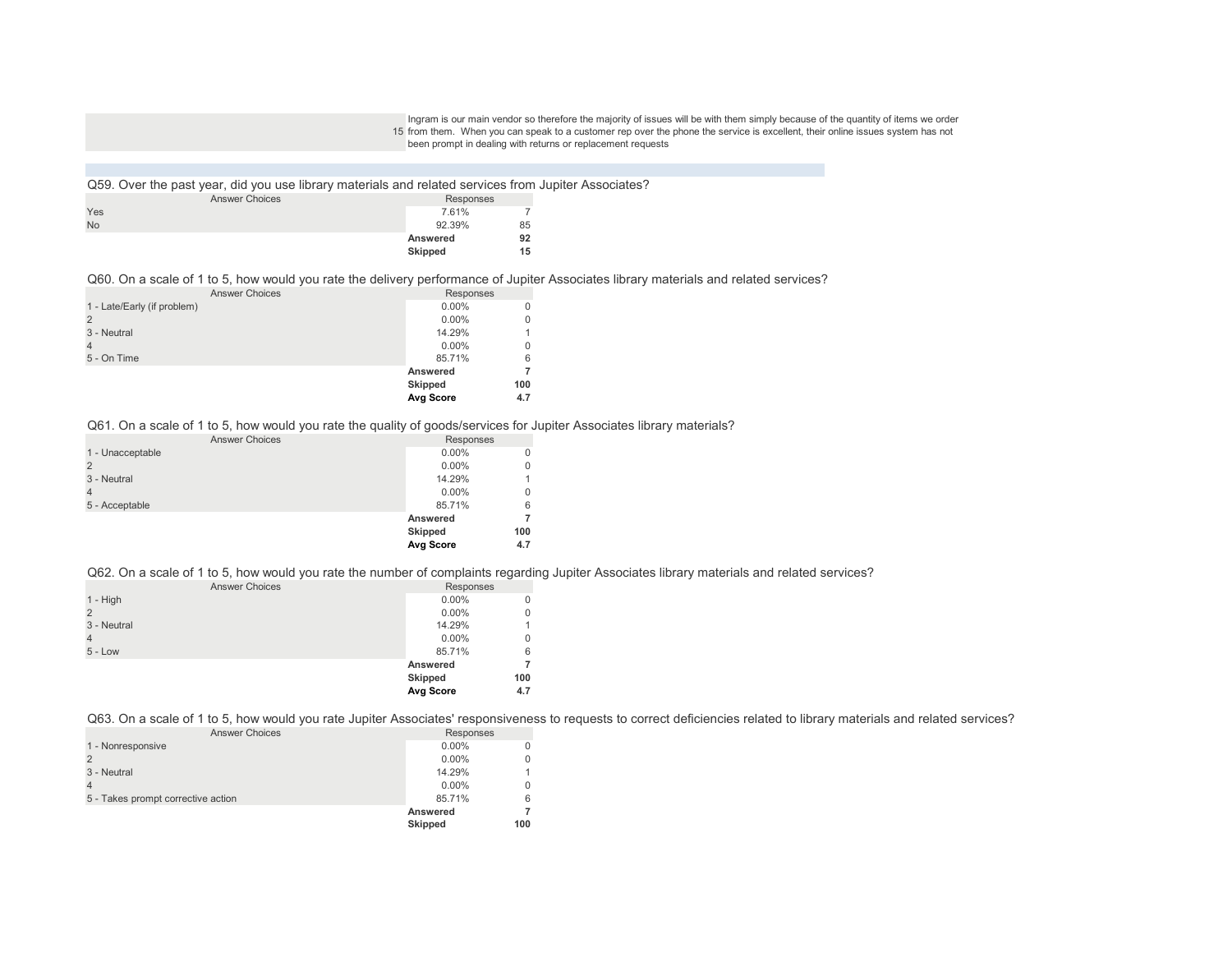15 from them. When you can speak to a customer rep over the phone the service is excellent, their online issues system has not Ingram is our main vendor so therefore the majority of issues will be with them simply because of the quantity of items we order been prompt in dealing with returns or replacement requests

Q59. Over the past year, did you use library materials and related services from Jupiter Associates? Answer Choices  $Y$ es 7.61% 7.7 °C and 7.61% 7.7 °C and 7.61% 7.7 °C and 7.61% 7.7 °C and 7.61% 7.7 °C and 7.61% 7.7 °C and 7.7 °C and 7.7 °C and 7.7 °C and 7.7 °C and 7.7 °C and 7.7 °C and 7.7 °C and 7.7 °C and 7.7 °C and 7.7 °C and 7.7 No 92.39% 85 **Answered 92 Skipped 15** Responses<br>7.61%

#### Q60. On a scale of 1 to 5, how would you rate the delivery performance of Jupiter Associates library materials and related services?

| <b>Answer Choices</b>       | Responses |          |
|-----------------------------|-----------|----------|
| 1 - Late/Early (if problem) | $0.00\%$  | $\Omega$ |
| $\overline{2}$              | $0.00\%$  | 0        |
| 3 - Neutral                 | 14.29%    | 1        |
| $\overline{4}$              | $0.00\%$  | 0        |
| 5 - On Time                 | 85.71%    | 6        |
|                             | Answered  | 7        |
|                             | Skipped   | 100      |
|                             | Avg Score | 4.7      |

#### Q61. On a scale of 1 to 5, how would you rate the quality of goods/services for Jupiter Associates library materials?

| <b>Answer Choices</b> | Responses |     |
|-----------------------|-----------|-----|
| 1 - Unacceptable      | $0.00\%$  |     |
|                       | $0.00\%$  | 0   |
| 3 - Neutral           | 14.29%    |     |
|                       | $0.00\%$  | 0   |
| 5 - Acceptable        | 85.71%    | 6   |
|                       | Answered  |     |
|                       | Skipped   | 100 |
|                       | Avg Score | 4.7 |

#### Q62. On a scale of 1 to 5, how would you rate the number of complaints regarding Jupiter Associates library materials and related services?

| <b>Answer Choices</b> | Responses |          |
|-----------------------|-----------|----------|
| $1 - High$            | $0.00\%$  | $\Omega$ |
| $\overline{2}$        | $0.00\%$  | 0        |
| 3 - Neutral           | 14.29%    | 1        |
| $\overline{4}$        | $0.00\%$  | 0        |
| $5 - Low$             | 85.71%    | 6        |
|                       | Answered  |          |
|                       | Skipped   | 100      |
|                       | Avg Score | 4.7      |

Q63. On a scale of 1 to 5, how would you rate Jupiter Associates' responsiveness to requests to correct deficiencies related to library materials and related services?

| <b>Answer Choices</b>              | Responses      |     |
|------------------------------------|----------------|-----|
| 1 - Nonresponsive                  | $0.00\%$       |     |
|                                    | $0.00\%$       |     |
| 3 - Neutral                        | 14.29%         |     |
|                                    | $0.00\%$       |     |
| 5 - Takes prompt corrective action | 85.71%         | 6   |
|                                    | Answered       |     |
|                                    | <b>Skipped</b> | 100 |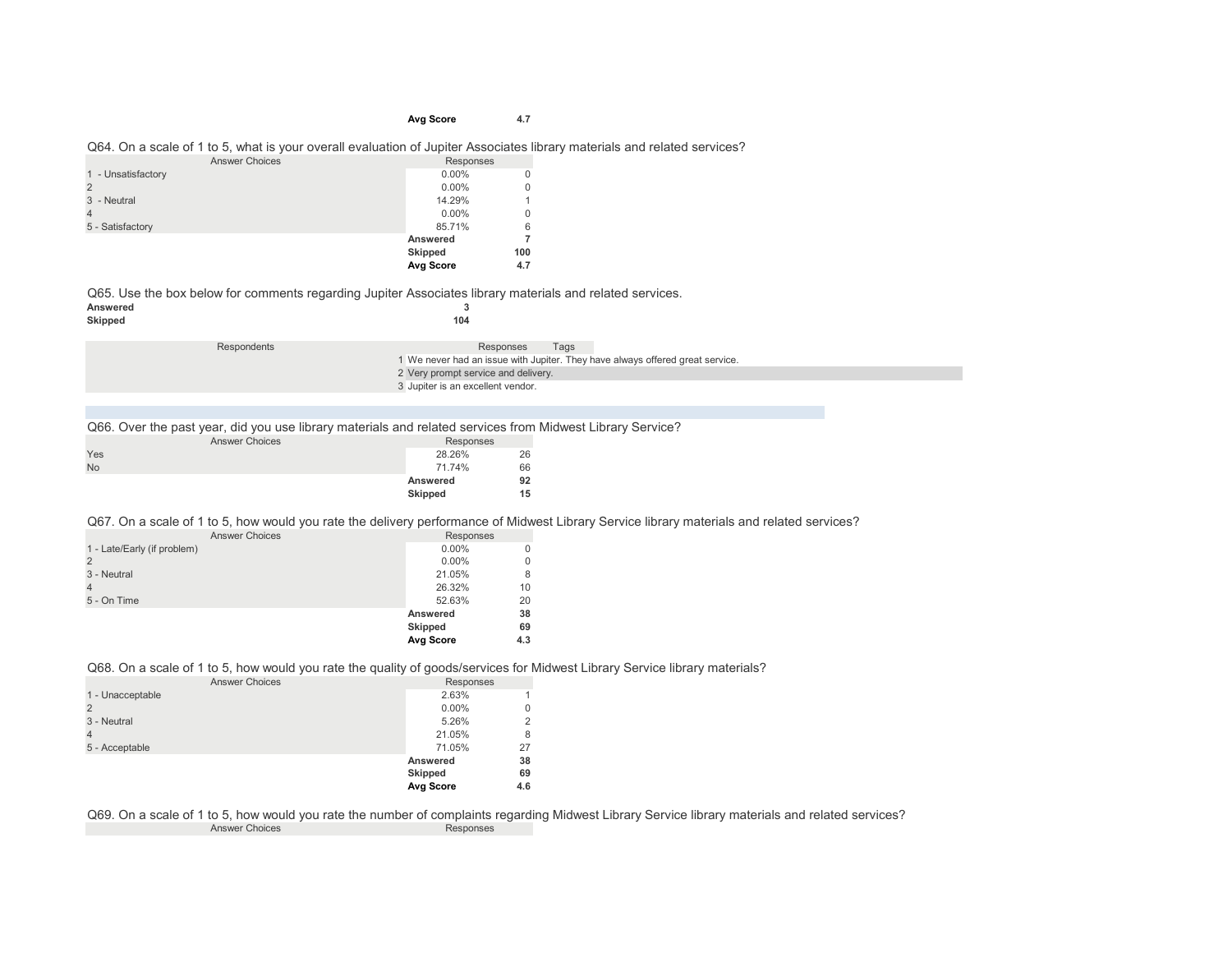## **Avg Score 4.7**

#### Q64. On a scale of 1 to 5, what is your overall evaluation of Jupiter Associates library materials and related services?

| <b>Answer Choices</b> | Responses      |             |
|-----------------------|----------------|-------------|
| 1 - Unsatisfactory    | $0.00\%$       | 0           |
| $\overline{2}$        | $0.00\%$       | $\mathbf 0$ |
| 3 - Neutral           | 14.29%         |             |
| $\overline{4}$        | $0.00\%$       | 0           |
| 5 - Satisfactory      | 85.71%         | 6           |
|                       | Answered       |             |
|                       | <b>Skipped</b> | 100         |
|                       | Avg Score      | 4.7         |

Q65. Use the box below for comments regarding Jupiter Associates library materials and related services.<br>Answered

| Answered       |       |
|----------------|-------|
| <b>Clinned</b> | 4 O A |

| Skipped |             | 104                                                                                        |      |  |
|---------|-------------|--------------------------------------------------------------------------------------------|------|--|
|         | Respondents | Responses<br>1 We never had an issue with Jupiter. They have always offered great service. | Tags |  |
|         |             | 2 Very prompt service and delivery.                                                        |      |  |
|         |             | 3 Jupiter is an excellent vendor.                                                          |      |  |

Q66. Over the past year, did you use library materials and related services from Midwest Library Service?

|           | . .<br><b>Answer Choices</b> | Responses      |    |
|-----------|------------------------------|----------------|----|
| Yes       |                              | 28.26%         | 26 |
| <b>No</b> |                              | 71.74%         | 66 |
|           |                              | Answered       | 92 |
|           |                              | <b>Skipped</b> | 15 |

Q67. On a scale of 1 to 5, how would you rate the delivery performance of Midwest Library Service library materials and related services?

| <b>Answer Choices</b>       | Responses      |     |
|-----------------------------|----------------|-----|
| 1 - Late/Early (if problem) | $0.00\%$       |     |
| $\overline{2}$              | $0.00\%$       |     |
| 3 - Neutral                 | 21.05%         | 8   |
| $\overline{4}$              | 26.32%         | 10  |
| 5 - On Time                 | 52.63%         | 20  |
|                             | Answered       | 38  |
|                             | <b>Skipped</b> | 69  |
|                             | Avg Score      | 4.3 |

Q68. On a scale of 1 to 5, how would you rate the quality of goods/services for Midwest Library Service library materials?

| <b>Answer Choices</b> | Responses |     |
|-----------------------|-----------|-----|
| 1 - Unacceptable      | 2.63%     |     |
|                       | $0.00\%$  | 0   |
| 3 - Neutral           | 5.26%     | 2   |
|                       | 21.05%    | 8   |
| 5 - Acceptable        | 71.05%    | 27  |
|                       | Answered  | 38  |
|                       | Skipped   | 69  |
|                       | Avg Score | 4.6 |

Q69. On a scale of 1 to 5, how would you rate the number of complaints regarding Midwest Library Service library materials and related services? Answer Choices Responses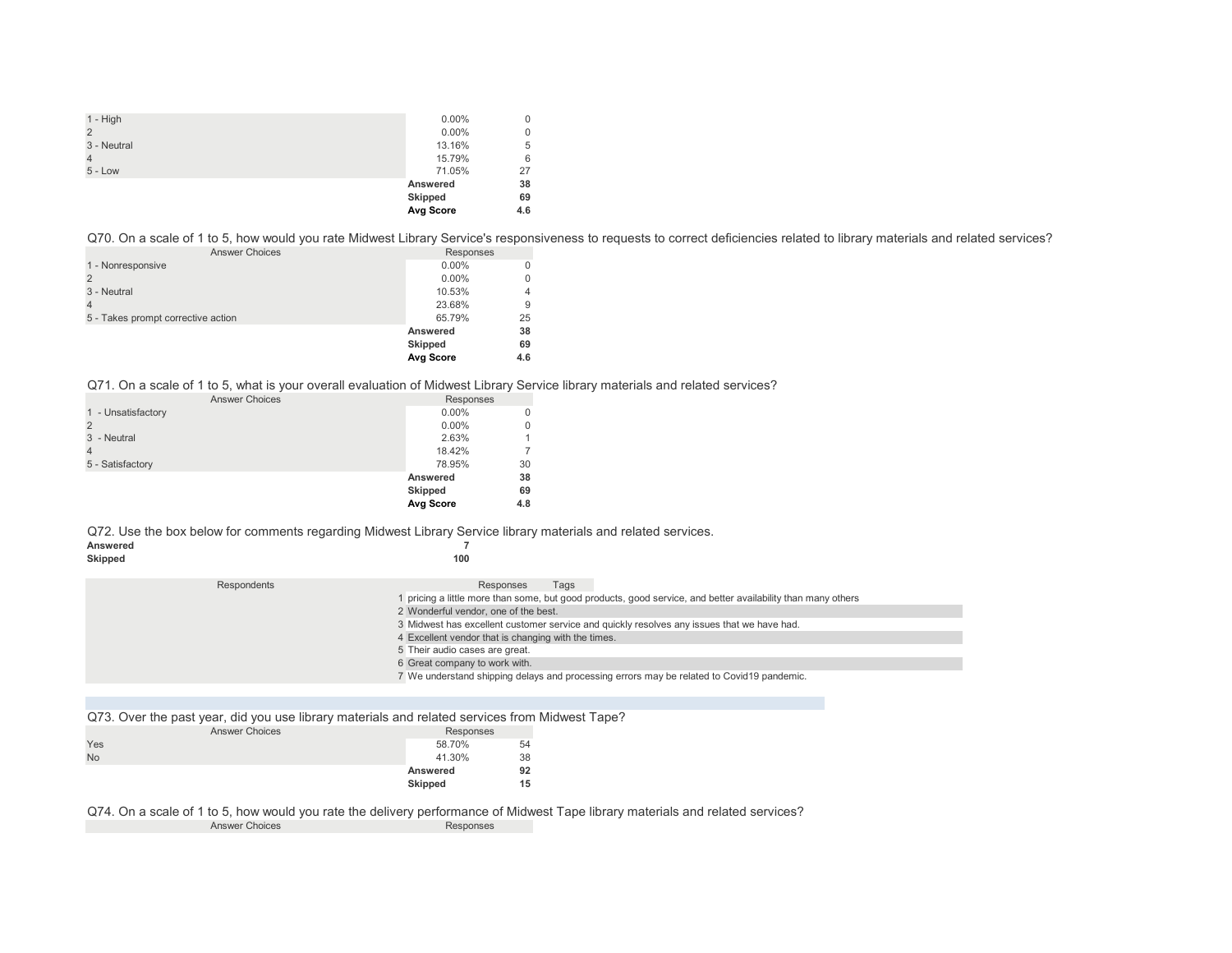| $1 - High$     | $0.00\%$  | 0   |
|----------------|-----------|-----|
| $\overline{2}$ | $0.00\%$  | 0   |
| 3 - Neutral    | 13.16%    | 5   |
| $\overline{4}$ | 15.79%    | 6   |
| $5 - Low$      | 71.05%    | 27  |
|                | Answered  | 38  |
|                | Skipped   | 69  |
|                | Avg Score | 4.6 |

Q70. On a scale of 1 to 5, how would you rate Midwest Library Service's responsiveness to requests to correct deficiencies related to library materials and related services?

| <b>Answer Choices</b>              | Responses      |     |
|------------------------------------|----------------|-----|
| 1 - Nonresponsive                  | $0.00\%$       |     |
|                                    | $0.00\%$       |     |
| 3 - Neutral                        | 10.53%         |     |
|                                    | 23.68%         | 9   |
| 5 - Takes prompt corrective action | 65.79%         | 25  |
|                                    | Answered       | 38  |
|                                    | <b>Skipped</b> | 69  |
|                                    | Avg Score      | 4.6 |

Q71. On a scale of 1 to 5, what is your overall evaluation of Midwest Library Service library materials and related services?

| Responses |     |
|-----------|-----|
| $0.00\%$  | 0   |
| $0.00\%$  | 0   |
| 2.63%     |     |
| 18.42%    |     |
| 78.95%    | 30  |
| Answered  | 38  |
| Skipped   | 69  |
| Avg Score | 4.8 |
|           |     |

Q72. Use the box below for comments regarding Midwest Library Service library materials and related services.<br>Answered

| Answered |     |
|----------|-----|
| Skipped  | 100 |

| Respondents | Responses<br>Tags                                                                                          |
|-------------|------------------------------------------------------------------------------------------------------------|
|             | pricing a little more than some, but good products, good service, and better availability than many others |
|             | 2 Wonderful vendor, one of the best.                                                                       |
|             | 3 Midwest has excellent customer service and quickly resolves any issues that we have had.                 |
|             | 4 Excellent vendor that is changing with the times.                                                        |
|             | 5 Their audio cases are great.                                                                             |
|             | 6 Great company to work with.                                                                              |
|             | 7 We understand shipping delays and processing errors may be related to Covid19 pandemic.                  |

Q73. Over the past year, did you use library materials and related services from Midwest Tape?

|           | <b>Answer Choices</b> | Responses      |    |
|-----------|-----------------------|----------------|----|
| Yes       |                       | 58.70%         | 54 |
| <b>No</b> |                       | 41.30%         | 38 |
|           |                       | Answered       | 92 |
|           |                       | <b>Skipped</b> | 15 |

Q74. On a scale of 1 to 5, how would you rate the delivery performance of Midwest Tape library materials and related services? Answer Choices Responses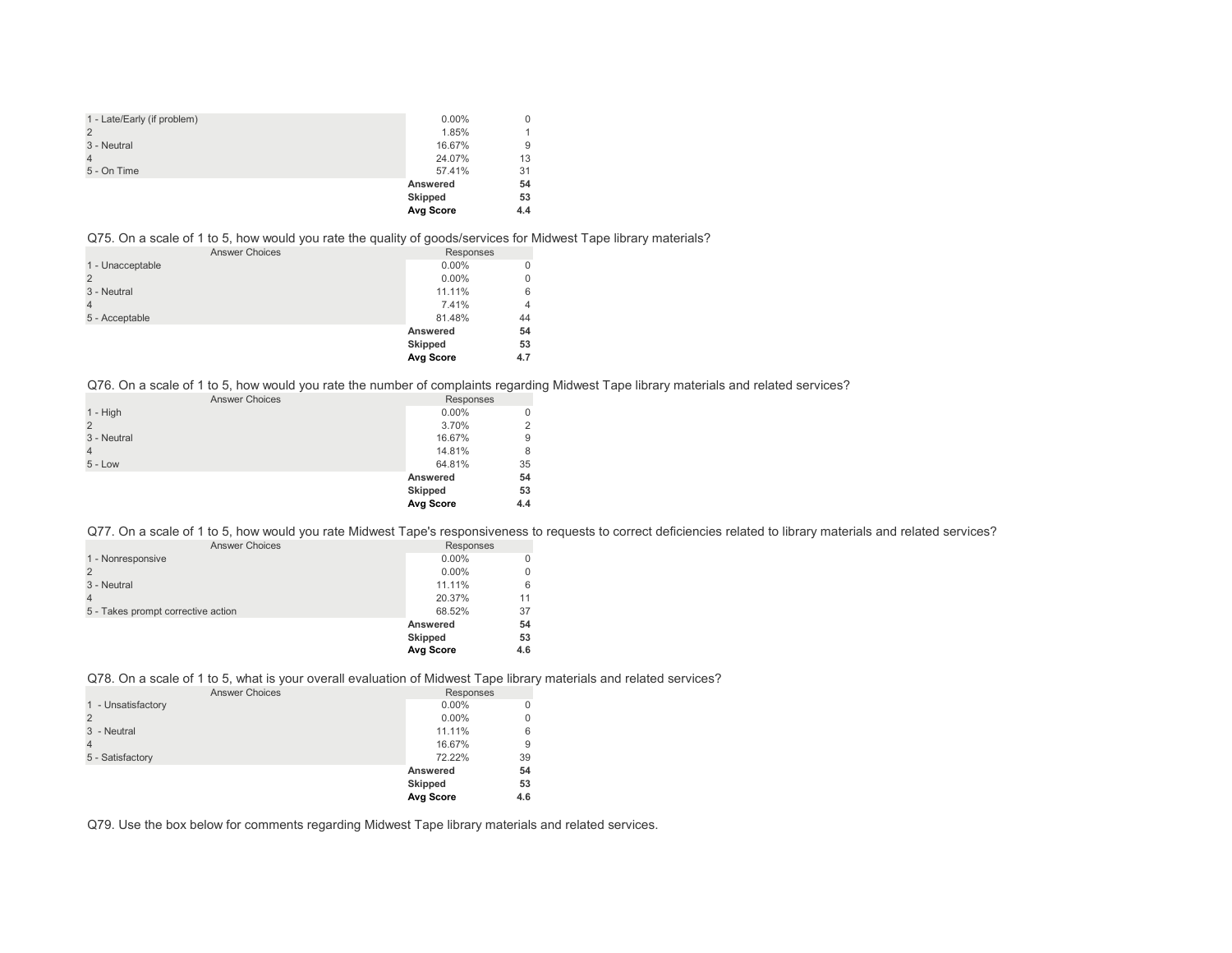| 1 - Late/Early (if problem) | $0.00\%$  | 0   |
|-----------------------------|-----------|-----|
| $\overline{2}$              | 1.85%     |     |
| 3 - Neutral                 | 16.67%    | 9   |
| $\overline{4}$              | 24.07%    | 13  |
| 5 - On Time                 | 57.41%    | 31  |
|                             | Answered  | 54  |
|                             | Skipped   | 53  |
|                             | Avg Score | 4.4 |

#### Q75. On a scale of 1 to 5, how would you rate the quality of goods/services for Midwest Tape library materials?

|                  | <b>Answer Choices</b> | ◢ | $\sim$ | ້<br>Responses |     |
|------------------|-----------------------|---|--------|----------------|-----|
| 1 - Unacceptable |                       |   |        | $0.00\%$       |     |
| 2                |                       |   |        | $0.00\%$       |     |
| 3 - Neutral      |                       |   |        | 11.11%         | 6   |
|                  |                       |   |        | 7.41%          | 4   |
| 5 - Acceptable   |                       |   |        | 81.48%         | 44  |
|                  |                       |   |        | Answered       | 54  |
|                  |                       |   |        | Skipped        | 53  |
|                  |                       |   |        | Avg Score      | 4.7 |

Q76. On a scale of 1 to 5, how would you rate the number of complaints regarding Midwest Tape library materials and related services?

| <b>Answer Choices</b> | Responses |     |
|-----------------------|-----------|-----|
| $1 - High$            | $0.00\%$  | 0   |
| $\mathcal{P}$         | 3.70%     | 2   |
| 3 - Neutral           | 16.67%    | 9   |
| $\overline{4}$        | 14.81%    | 8   |
| $5 - Low$             | 64.81%    | 35  |
|                       | Answered  | 54  |
|                       | Skipped   | 53  |
|                       | Avg Score | 4.4 |

Q77. On a scale of 1 to 5, how would you rate Midwest Tape's responsiveness to requests to correct deficiencies related to library materials and related services?

| <b>Answer Choices</b>              | Responses      |     |
|------------------------------------|----------------|-----|
| 1 - Nonresponsive                  | $0.00\%$       |     |
|                                    | $0.00\%$       |     |
| 3 - Neutral                        | 11.11%         | 6   |
|                                    | 20.37%         | 11  |
| 5 - Takes prompt corrective action | 68.52%         | 37  |
|                                    | Answered       | 54  |
|                                    | <b>Skipped</b> | 53  |
|                                    | Avg Score      | 4.6 |

## Q78. On a scale of 1 to 5, what is your overall evaluation of Midwest Tape library materials and related services?

| <b>Answer Choices</b> | Responses        |     |
|-----------------------|------------------|-----|
| 1 - Unsatisfactory    | $0.00\%$         | 0   |
| $\overline{2}$        | $0.00\%$         | 0   |
| 3 - Neutral           | 11.11%           | 6   |
| $\overline{4}$        | 16.67%           | 9   |
| 5 - Satisfactory      | 72.22%           | 39  |
|                       | Answered         | 54  |
|                       | Skipped          | 53  |
|                       | <b>Avg Score</b> | 4.6 |

Q79. Use the box below for comments regarding Midwest Tape library materials and related services.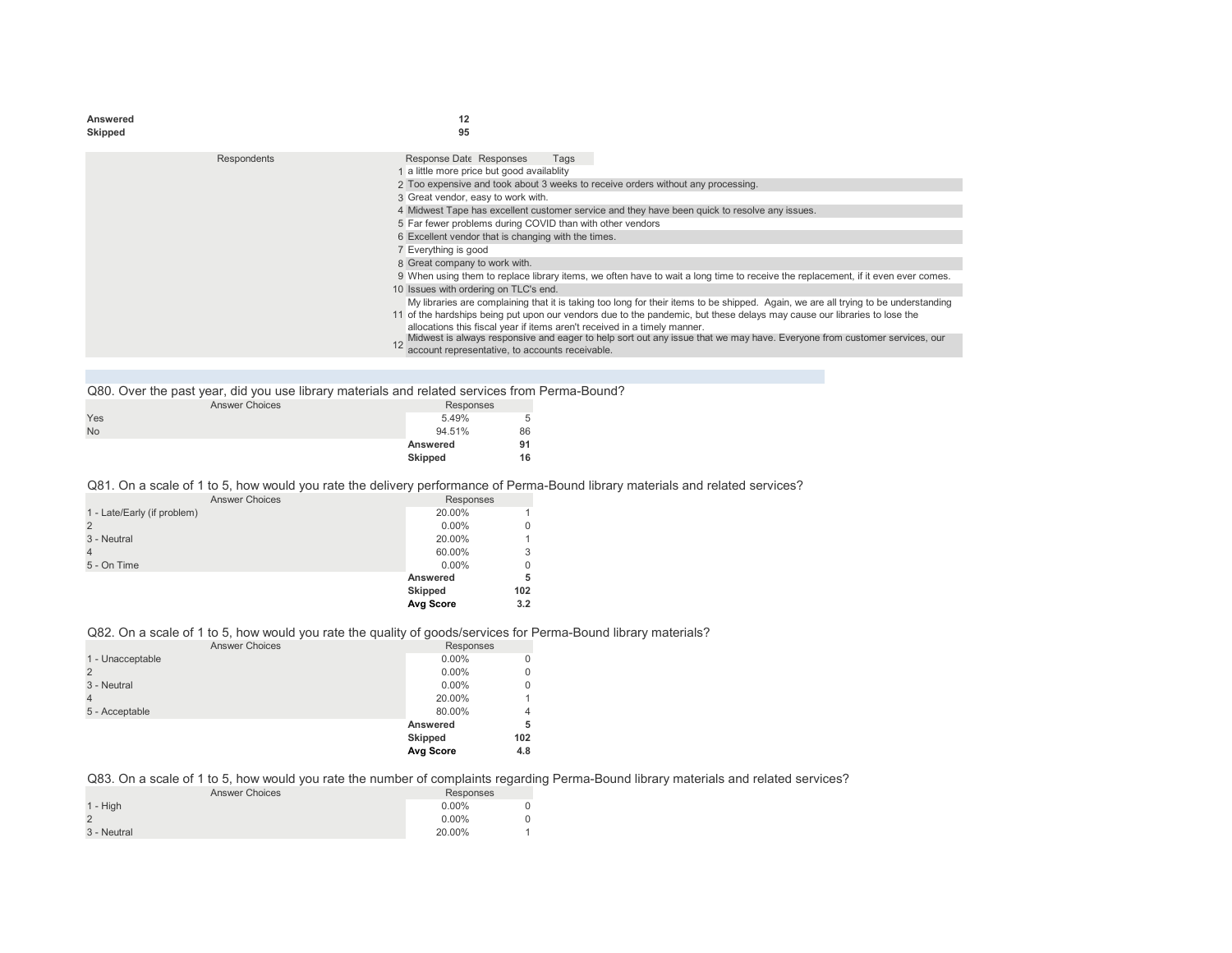| 95<br>Skipped<br>Response Date Responses<br>Respondents<br>Tags<br>1 a little more price but good availablity<br>2 Too expensive and took about 3 weeks to receive orders without any processing.<br>3 Great vendor, easy to work with.<br>4 Midwest Tape has excellent customer service and they have been quick to resolve any issues.<br>5 Far fewer problems during COVID than with other vendors<br>6 Excellent vendor that is changing with the times.<br>7 Everything is good<br>8 Great company to work with.<br>9 When using them to replace library items, we often have to wait a long time to receive the replacement, if it even ever comes. |
|-----------------------------------------------------------------------------------------------------------------------------------------------------------------------------------------------------------------------------------------------------------------------------------------------------------------------------------------------------------------------------------------------------------------------------------------------------------------------------------------------------------------------------------------------------------------------------------------------------------------------------------------------------------|
|                                                                                                                                                                                                                                                                                                                                                                                                                                                                                                                                                                                                                                                           |
|                                                                                                                                                                                                                                                                                                                                                                                                                                                                                                                                                                                                                                                           |
|                                                                                                                                                                                                                                                                                                                                                                                                                                                                                                                                                                                                                                                           |
|                                                                                                                                                                                                                                                                                                                                                                                                                                                                                                                                                                                                                                                           |
|                                                                                                                                                                                                                                                                                                                                                                                                                                                                                                                                                                                                                                                           |
|                                                                                                                                                                                                                                                                                                                                                                                                                                                                                                                                                                                                                                                           |
|                                                                                                                                                                                                                                                                                                                                                                                                                                                                                                                                                                                                                                                           |
|                                                                                                                                                                                                                                                                                                                                                                                                                                                                                                                                                                                                                                                           |
|                                                                                                                                                                                                                                                                                                                                                                                                                                                                                                                                                                                                                                                           |
|                                                                                                                                                                                                                                                                                                                                                                                                                                                                                                                                                                                                                                                           |
|                                                                                                                                                                                                                                                                                                                                                                                                                                                                                                                                                                                                                                                           |
|                                                                                                                                                                                                                                                                                                                                                                                                                                                                                                                                                                                                                                                           |
| 10 Issues with ordering on TLC's end.                                                                                                                                                                                                                                                                                                                                                                                                                                                                                                                                                                                                                     |
| My libraries are complaining that it is taking too long for their items to be shipped. Again, we are all trying to be understanding                                                                                                                                                                                                                                                                                                                                                                                                                                                                                                                       |
| 11 of the hardships being put upon our vendors due to the pandemic, but these delays may cause our libraries to lose the                                                                                                                                                                                                                                                                                                                                                                                                                                                                                                                                  |
| allocations this fiscal year if items aren't received in a timely manner.                                                                                                                                                                                                                                                                                                                                                                                                                                                                                                                                                                                 |
| Midwest is always responsive and eager to help sort out any issue that we may have. Everyone from customer services, our                                                                                                                                                                                                                                                                                                                                                                                                                                                                                                                                  |
| account representative, to accounts receivable.                                                                                                                                                                                                                                                                                                                                                                                                                                                                                                                                                                                                           |

| Q80. Over the past year, did you use library materials and related services from Perma-Bound? |           |    |  |
|-----------------------------------------------------------------------------------------------|-----------|----|--|
| <b>Answer Choices</b>                                                                         | Responses |    |  |
| Yes                                                                                           | 5.49%     |    |  |
| <b>No</b>                                                                                     | 94.51%    | 86 |  |
|                                                                                               | Answered  |    |  |
|                                                                                               | Skipped   | 16 |  |

## Q81. On a scale of 1 to 5, how would you rate the delivery performance of Perma-Bound library materials and related services?

| <b>Answer Choices</b>       | Responses      |     |
|-----------------------------|----------------|-----|
| 1 - Late/Early (if problem) | 20.00%         |     |
| 2                           | $0.00\%$       |     |
| 3 - Neutral                 | 20.00%         |     |
|                             | 60.00%         | 3   |
| 5 - On Time                 | $0.00\%$       | 0   |
|                             | Answered       | 5   |
|                             | <b>Skipped</b> | 102 |
|                             | Avg Score      | 3.2 |

## Q82. On a scale of 1 to 5, how would you rate the quality of goods/services for Perma-Bound library materials?

| <b>Answer Choices</b> | Responses      |              |
|-----------------------|----------------|--------------|
| 1 - Unacceptable      | $0.00\%$       | $\Omega$     |
|                       | $0.00\%$       | $\Omega$     |
| 3 - Neutral           | $0.00\%$       | $\mathbf{0}$ |
| 4                     | 20.00%         | 1            |
| 5 - Acceptable        | 80.00%         | 4            |
|                       | Answered       | 5            |
|                       | <b>Skipped</b> | 102          |
|                       | Avg Score      | 4.8          |

## Q83. On a scale of 1 to 5, how would you rate the number of complaints regarding Perma-Bound library materials and related services?

| <b>Answer Choices</b> | Responses |  |  |
|-----------------------|-----------|--|--|
| $1 - High$            | $0.00\%$  |  |  |
|                       | $0.00\%$  |  |  |
| 3 - Neutral           | 20.00%    |  |  |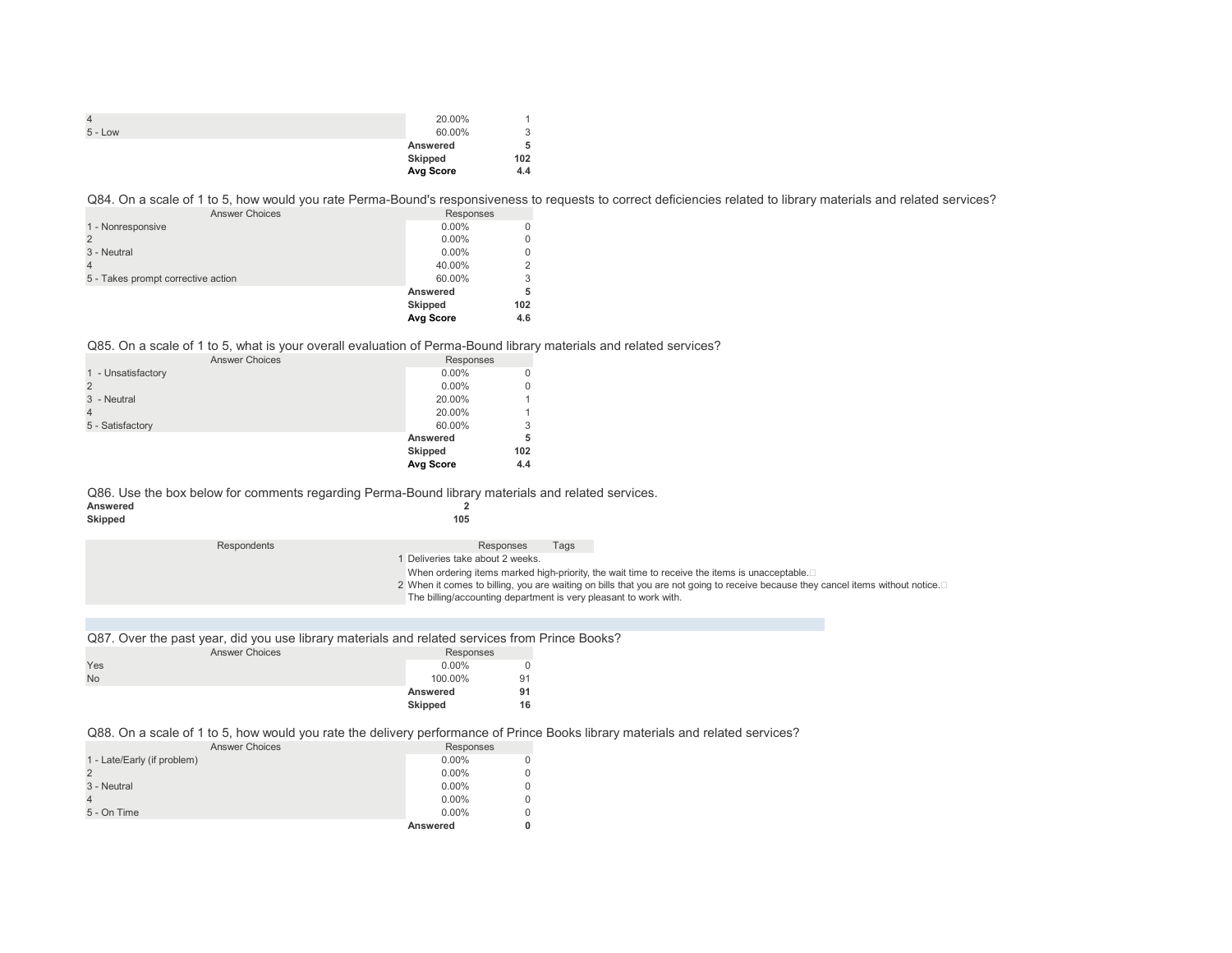|           | 20.00%    |        |
|-----------|-----------|--------|
| $5 - Low$ | 60.00%    | 2<br>J |
|           | Answered  | 5      |
|           | Skipped   | 102    |
|           | Avg Score | 4.4    |

Q84. On a scale of 1 to 5, how would you rate Perma-Bound's responsiveness to requests to correct deficiencies related to library materials and related services?

| <b>Answer Choices</b>              | Responses      |                |
|------------------------------------|----------------|----------------|
| 1 - Nonresponsive                  | $0.00\%$       |                |
|                                    | $0.00\%$       | 0              |
| 3 - Neutral                        | $0.00\%$       | 0              |
|                                    | 40.00%         | $\overline{2}$ |
| 5 - Takes prompt corrective action | 60.00%         | 3              |
|                                    | Answered       | 5              |
|                                    | <b>Skipped</b> | 102            |
|                                    | Avg Score      | 4.6            |

#### Q85. On a scale of 1 to 5, what is your overall evaluation of Perma-Bound library materials and related services?

| <b>Answer Choices</b> | Responses |     |
|-----------------------|-----------|-----|
| 1 - Unsatisfactory    | $0.00\%$  | 0   |
|                       | $0.00\%$  | 0   |
| 3 - Neutral           | 20.00%    |     |
| 4                     | 20.00%    |     |
| 5 - Satisfactory      | 60.00%    | 3   |
|                       | Answered  | 5   |
|                       | Skipped   | 102 |
|                       | Avg Score | 4.4 |

Q86. Use the box below for comments regarding Perma-Bound library materials and related services.<br>Answered 2

| Answered |     |
|----------|-----|
| Skipped  | 105 |

Respondents **Respondents Responses** Tags

1 Deliveries take about 2 weeks.

When ordering items marked high-priority, the wait time to receive the items is unacceptable.

2 When it comes to billing, you are waiting on bills that you are not going to receive because they cancel items without notice.⊡

The billing/accounting department is very pleasant to work with.

|  | Q87. Over the past year, did you use library materials and related services from Prince Books? |  |  |  |  |  |  |
|--|------------------------------------------------------------------------------------------------|--|--|--|--|--|--|
|--|------------------------------------------------------------------------------------------------|--|--|--|--|--|--|

|           | <b>Answer Choices</b> | Responses |    |
|-----------|-----------------------|-----------|----|
| Yes       |                       | $0.00\%$  | 0  |
| <b>No</b> |                       | 100.00%   | 91 |
|           |                       | Answered  | 91 |
|           |                       | Skipped   | 16 |

#### Q88. On a scale of 1 to 5, how would you rate the delivery performance of Prince Books library materials and related services?

| <b>Answer Choices</b>       | Responses |  |
|-----------------------------|-----------|--|
| 1 - Late/Early (if problem) | $0.00\%$  |  |
|                             | $0.00\%$  |  |
| 3 - Neutral                 | $0.00\%$  |  |
|                             | $0.00\%$  |  |
| 5 - On Time                 | $0.00\%$  |  |
|                             | Answered  |  |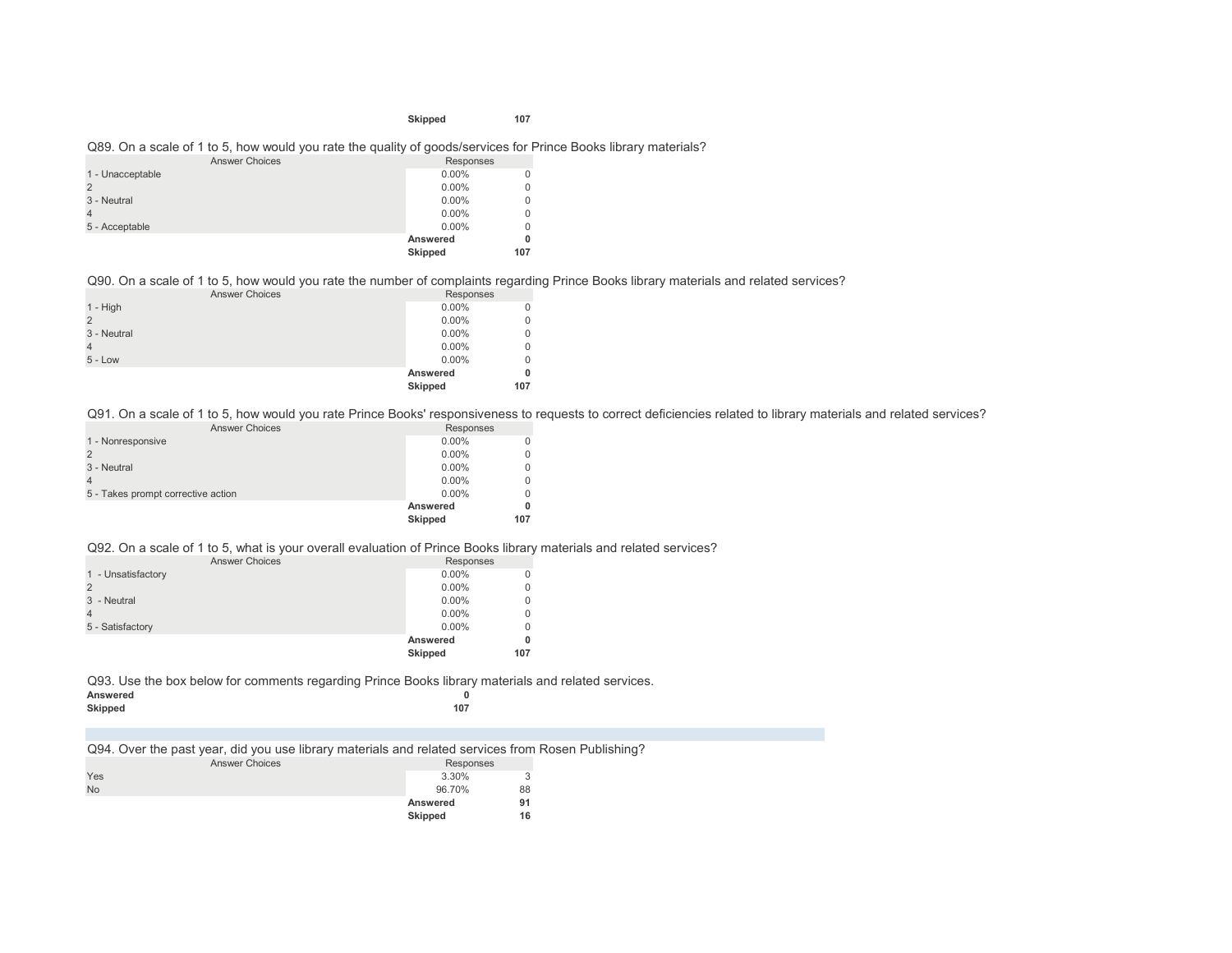#### **Skipped 107**

#### Q89. On a scale of 1 to 5, how would you rate the quality of goods/services for Prince Books library materials?

| <b>Answer Choices</b> | Responses |          |
|-----------------------|-----------|----------|
| 1 - Unacceptable      | $0.00\%$  | 0        |
| $\overline{2}$        | $0.00\%$  | 0        |
| 3 - Neutral           | $0.00\%$  | $\Omega$ |
|                       | $0.00\%$  | $\Omega$ |
| 5 - Acceptable        | $0.00\%$  | $\Omega$ |
|                       | Answered  | 0        |
|                       | Skipped   | 107      |

Q90. On a scale of 1 to 5, how would you rate the number of complaints regarding Prince Books library materials and related services?

| <b>Answer Choices</b> |  | Responses |             |
|-----------------------|--|-----------|-------------|
| $1 - High$            |  | $0.00\%$  | $\mathbf 0$ |
| $\overline{2}$        |  | $0.00\%$  | 0           |
| 3 - Neutral           |  | $0.00\%$  | $\mathbf 0$ |
| $\overline{4}$        |  | $0.00\%$  | $\mathbf 0$ |
| $5 - Low$             |  | $0.00\%$  | $\mathbf 0$ |
|                       |  | Answered  | 0           |
|                       |  | Skipped   | 107         |
|                       |  |           |             |

Q91. On a scale of 1 to 5, how would you rate Prince Books' responsiveness to requests to correct deficiencies related to library materials and related services?

| <b>Answer Choices</b>              | Responses      |     |
|------------------------------------|----------------|-----|
| 1 - Nonresponsive                  | $0.00\%$       |     |
|                                    | $0.00\%$       |     |
| 3 - Neutral                        | $0.00\%$       |     |
|                                    | $0.00\%$       |     |
| 5 - Takes prompt corrective action | $0.00\%$       |     |
|                                    | Answered       |     |
|                                    | <b>Skipped</b> | 107 |

Q92. On a scale of 1 to 5, what is your overall evaluation of Prince Books library materials and related services?

| <b>Answer Choices</b> | Responses      |     |
|-----------------------|----------------|-----|
| 1 - Unsatisfactory    | $0.00\%$       | U   |
|                       | $0.00\%$       | C   |
| 3 - Neutral           | $0.00\%$       | 0   |
|                       | $0.00\%$       | 0   |
| 5 - Satisfactory      | $0.00\%$       | C   |
|                       | Answered       | 0   |
|                       | <b>Skipped</b> | 107 |

Q93. Use the box below for comments regarding Prince Books library materials and related services.

| Answered |     |
|----------|-----|
| Skipped  | 107 |
|          |     |

Q94. Over the past year, did you use library materials and related services from Rosen Publishing?

|           | <b>Answer Choices</b> | Responses |    |
|-----------|-----------------------|-----------|----|
| Yes       |                       | 3.30%     | 3  |
| <b>No</b> |                       | 96.70%    | 88 |
|           |                       | Answered  | 91 |
|           |                       | Skipped   | 16 |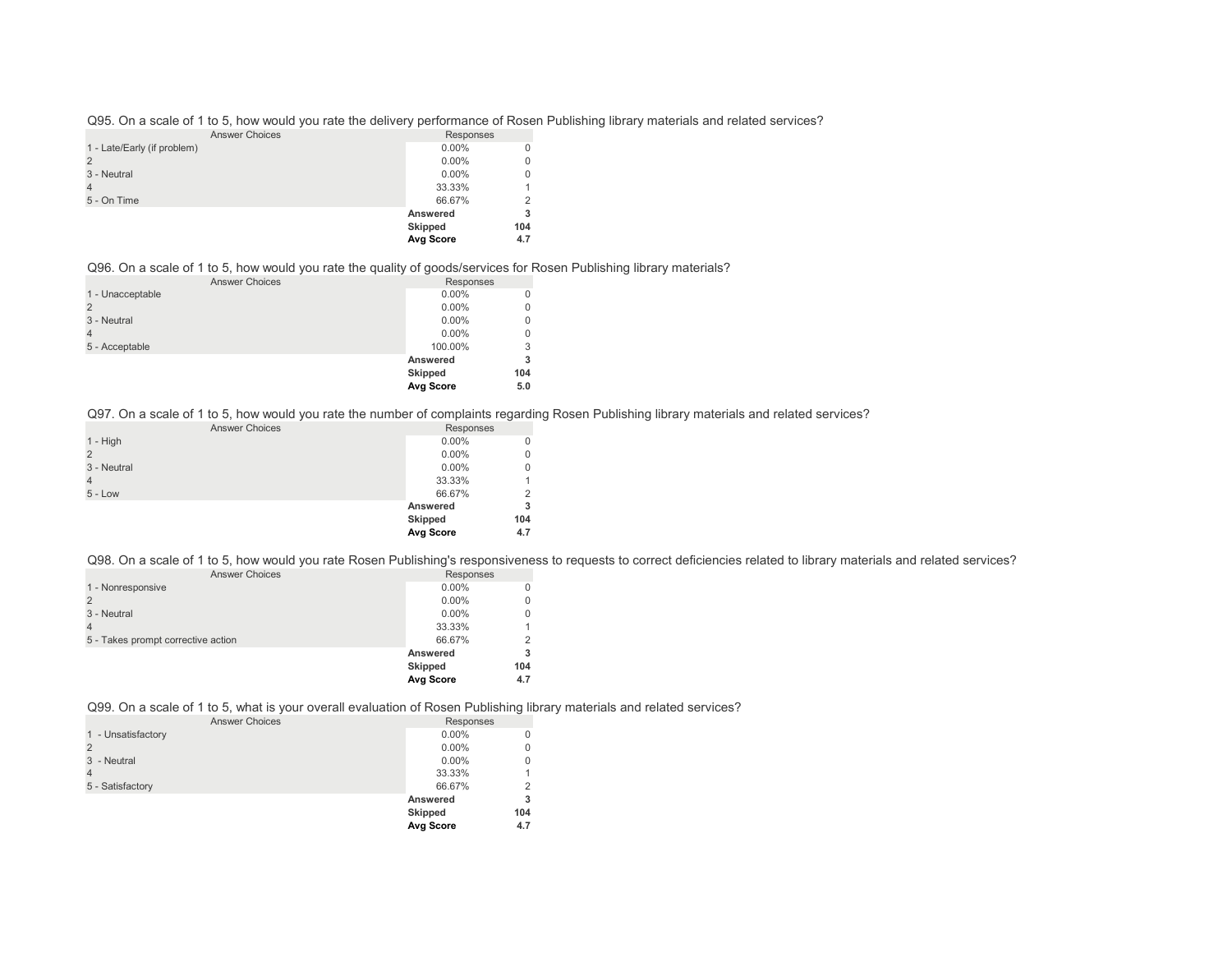Q95. On a scale of 1 to 5, how would you rate the delivery performance of Rosen Publishing library materials and related services?

| <b>Answer Choices</b>       | Responses |          |
|-----------------------------|-----------|----------|
| 1 - Late/Early (if problem) | $0.00\%$  | $\Omega$ |
| $\overline{2}$              | $0.00\%$  | $\Omega$ |
| 3 - Neutral                 | $0.00\%$  | $\Omega$ |
| $\overline{4}$              | 33.33%    | 1        |
| 5 - On Time                 | 66.67%    | 2        |
|                             | Answered  | 3        |
|                             | Skipped   | 104      |
|                             | Avg Score | 4.7      |

#### Q96. On a scale of 1 to 5, how would you rate the quality of goods/services for Rosen Publishing library materials?

| <b>Answer Choices</b> | Responses      |     |
|-----------------------|----------------|-----|
| 1 - Unacceptable      | $0.00\%$       |     |
|                       | $0.00\%$       |     |
| 3 - Neutral           | $0.00\%$       |     |
|                       | $0.00\%$       |     |
| 5 - Acceptable        | 100.00%        | 3   |
|                       | Answered       | 3   |
|                       | <b>Skipped</b> | 104 |
|                       | Avg Score      | 5.0 |

Q97. On a scale of 1 to 5, how would you rate the number of complaints regarding Rosen Publishing library materials and related services?

| <b>Answer Choices</b> | Responses      |          |
|-----------------------|----------------|----------|
| $1 - High$            | $0.00\%$       |          |
| 2                     | $0.00\%$       | 0        |
| 3 - Neutral           | $0.00\%$       | $\Omega$ |
| $\overline{4}$        | 33.33%         |          |
| $5 - Low$             | 66.67%         | 2        |
|                       | Answered       | 3        |
|                       | <b>Skipped</b> | 104      |
|                       | Avg Score      | 4.7      |

Q98. On a scale of 1 to 5, how would you rate Rosen Publishing's responsiveness to requests to correct deficiencies related to library materials and related services?

| <b>Answer Choices</b>              | Responses      |     |
|------------------------------------|----------------|-----|
| 1 - Nonresponsive                  | $0.00\%$       | 0   |
|                                    | $0.00\%$       | 0   |
| 3 - Neutral                        | $0.00\%$       | 0   |
|                                    | 33.33%         |     |
| 5 - Takes prompt corrective action | 66.67%         | 2   |
|                                    | Answered       |     |
|                                    | <b>Skipped</b> | 104 |
|                                    | Avg Score      | 4.7 |

Q99. On a scale of 1 to 5, what is your overall evaluation of Rosen Publishing library materials and related services?

| <b>Answer Choices</b> | Responses      |     |
|-----------------------|----------------|-----|
| 1 - Unsatisfactory    | $0.00\%$       |     |
|                       | $0.00\%$       | 0   |
| 3 - Neutral           | $0.00\%$       | 0   |
|                       | 33.33%         |     |
| 5 - Satisfactory      | 66.67%         | 2   |
|                       | Answered       | 3   |
|                       | <b>Skipped</b> | 104 |
|                       | Avg Score      | 4.7 |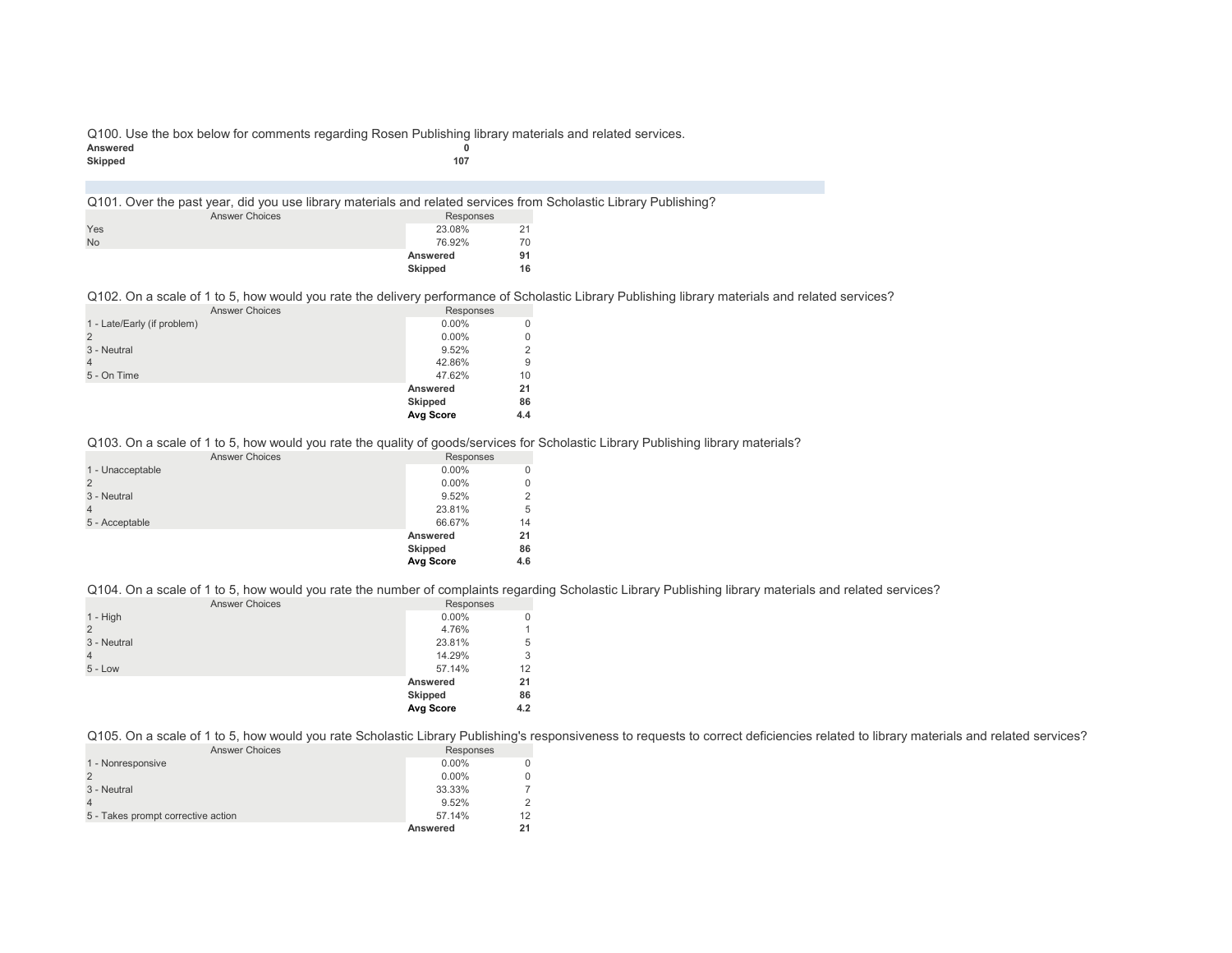Q100. Use the box below for comments regarding Rosen Publishing library materials and related services.<br>Answered Answered 0<br>Skipped 107 **Skipped 107**

| Q101. Over the past year, did you use library materials and related services from Scholastic Library Publishing? |                       |                |    |  |
|------------------------------------------------------------------------------------------------------------------|-----------------------|----------------|----|--|
|                                                                                                                  | <b>Answer Choices</b> | Responses      |    |  |
| Yes                                                                                                              |                       | 23.08%         | 21 |  |
| <b>No</b>                                                                                                        |                       | 76.92%         | 70 |  |
|                                                                                                                  |                       | Answered       | 91 |  |
|                                                                                                                  |                       | <b>Skipped</b> | 16 |  |
|                                                                                                                  |                       |                |    |  |

Q102. On a scale of 1 to 5, how would you rate the delivery performance of Scholastic Library Publishing library materials and related services?

| <b>Answer Choices</b>       | Responses      |          |
|-----------------------------|----------------|----------|
| 1 - Late/Early (if problem) | $0.00\%$       | $\Omega$ |
|                             | $0.00\%$       | 0        |
| 3 - Neutral                 | 9.52%          | 2        |
| 4                           | 42.86%         | 9        |
| 5 - On Time                 | 47.62%         | 10       |
|                             | Answered       | 21       |
|                             | <b>Skipped</b> | 86       |
|                             | Avg Score      | 4.4      |

Q103. On a scale of 1 to 5, how would you rate the quality of goods/services for Scholastic Library Publishing library materials?

| <b>Answer Choices</b> | Responses       |     |
|-----------------------|-----------------|-----|
| 1 - Unacceptable      | $0.00\%$        | 0   |
|                       | $0.00\%$        | 0   |
| 3 - Neutral           | 9.52%           | 2   |
| 4                     | 23.81%          | 5   |
| 5 - Acceptable        | 66.67%          | 14  |
|                       | <b>Answered</b> | 21  |
|                       | <b>Skipped</b>  | 86  |
|                       | Avg Score       | 4.6 |
|                       |                 |     |

Q104. On a scale of 1 to 5, how would you rate the number of complaints regarding Scholastic Library Publishing library materials and related services?

| <b>Answer Choices</b> | Responses      |              |
|-----------------------|----------------|--------------|
| 1 - High              | $0.00\%$       | 0            |
| $\mathcal{P}$         | 4.76%          | $\mathbf{1}$ |
| 3 - Neutral           | 23.81%         | 5            |
|                       | 14.29%         | 3            |
| $5 - Low$             | 57.14%         | 12           |
|                       | Answered       | 21           |
|                       | <b>Skipped</b> | 86           |
|                       | Avg Score      | 4.2          |
|                       |                |              |

Q105. On a scale of 1 to 5, how would you rate Scholastic Library Publishing's responsiveness to requests to correct deficiencies related to library materials and related services?

| <b>Answer Choices</b>              | Responses |    |
|------------------------------------|-----------|----|
| 1 - Nonresponsive                  | $0.00\%$  |    |
|                                    | $0.00\%$  |    |
| 3 - Neutral                        | 33.33%    |    |
|                                    | 9.52%     |    |
| 5 - Takes prompt corrective action | 57.14%    | 12 |
|                                    | Answered  | 21 |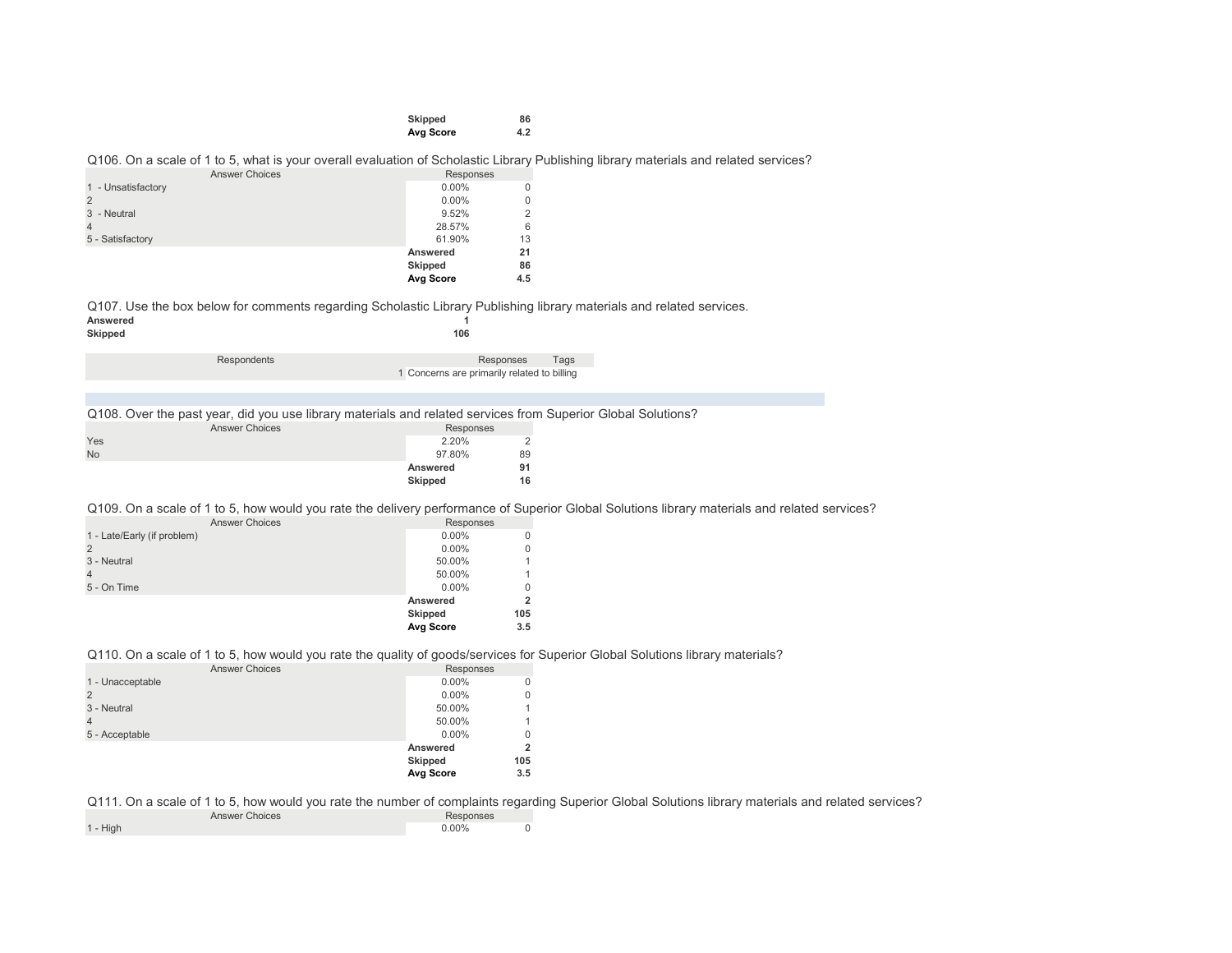| Skipped   | 86  |
|-----------|-----|
| Avg Score | 4.2 |

Q106. On a scale of 1 to 5, what is your overall evaluation of Scholastic Library Publishing library materials and related services?

| <b>Answer Choices</b> | Responses        |     |
|-----------------------|------------------|-----|
| 1 - Unsatisfactory    | $0.00\%$         | 0   |
|                       | $0.00\%$         | 0   |
| 3 - Neutral           | 9.52%            | 2   |
|                       | 28.57%           | 6   |
| 5 - Satisfactory      | 61.90%           | 13  |
|                       | Answered         | 21  |
|                       | <b>Skipped</b>   | 86  |
|                       | <b>Avg Score</b> | 4.5 |

Q107. Use the box below for comments regarding Scholastic Library Publishing library materials and related services.<br>Answered Answered 1<br>
Skinned 1<br> **106** 

| Skipped |             | 106                                         |
|---------|-------------|---------------------------------------------|
|         | Respondents | Tags<br>Responses                           |
|         |             | 1 Concerns are primarily related to billing |

Q108. Over the past year, did you use library materials and related services from Superior Global Solutions?

| <b>Answer Choices</b> |  | Responses |                |
|-----------------------|--|-----------|----------------|
| Yes                   |  | 2.20%     | $\overline{2}$ |
| <b>No</b>             |  | 97.80%    | 89             |
|                       |  | Answered  | 91             |
|                       |  | Skipped   | 16             |

Q109. On a scale of 1 to 5, how would you rate the delivery performance of Superior Global Solutions library materials and related services?

|                             | Avg Score | 3.5 |
|-----------------------------|-----------|-----|
|                             | Skipped   | 105 |
|                             | Answered  | 2   |
| 5 - On Time                 | $0.00\%$  | 0   |
| 4                           | 50.00%    |     |
| 3 - Neutral                 | 50.00%    |     |
|                             | $0.00\%$  | 0   |
| 1 - Late/Early (if problem) | $0.00\%$  | 0   |
| <b>Answer Choices</b>       | Responses |     |

#### Q110. On a scale of 1 to 5, how would you rate the quality of goods/services for Superior Global Solutions library materials?

| <b>Answer Choices</b> | Responses      |     |
|-----------------------|----------------|-----|
| 1 - Unacceptable      | $0.00\%$       |     |
|                       | $0.00\%$       | 0   |
| 3 - Neutral           | 50.00%         |     |
| 4                     | 50.00%         |     |
| 5 - Acceptable        | $0.00\%$       | 0   |
|                       | Answered       |     |
|                       | <b>Skipped</b> | 105 |
|                       | Avg Score      | 3.5 |

Q111. On a scale of 1 to 5, how would you rate the number of complaints regarding Superior Global Solutions library materials and related services?

| <b>Answer Choices</b> | Responses |  |
|-----------------------|-----------|--|
| 1 - High              | 0.00%     |  |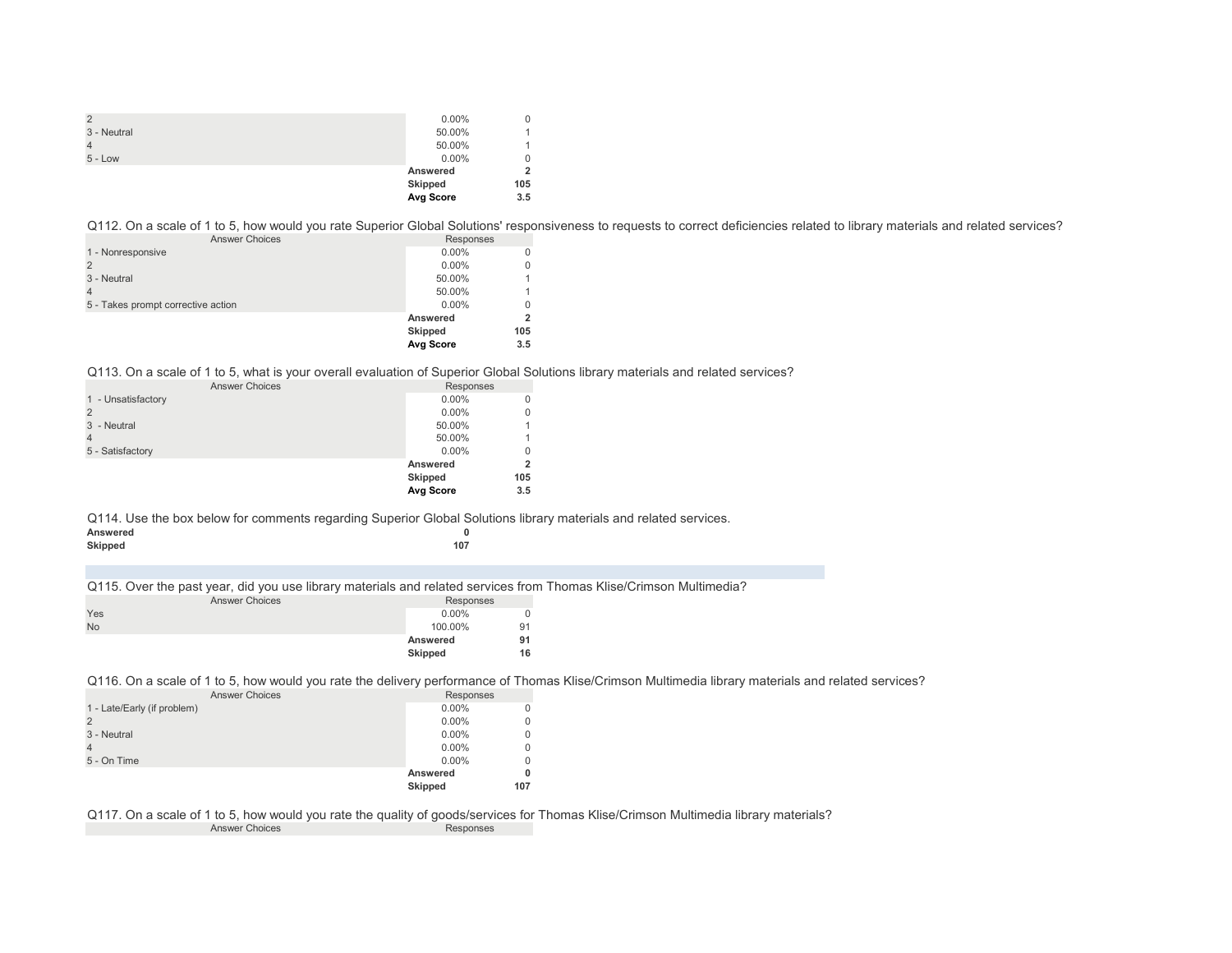| $\overline{2}$ | $0.00\%$  | 0   |
|----------------|-----------|-----|
| 3 - Neutral    | 50.00%    |     |
| $\overline{4}$ | 50.00%    |     |
| $5 - Low$      | $0.00\%$  | 0   |
|                | Answered  | 2   |
|                | Skipped   | 105 |
|                | Avg Score | 3.5 |

Q112. On a scale of 1 to 5, how would you rate Superior Global Solutions' responsiveness to requests to correct deficiencies related to library materials and related services?

| <b>Answer Choices</b> |                                    | Responses        |     |  |
|-----------------------|------------------------------------|------------------|-----|--|
|                       | 1 - Nonresponsive                  | $0.00\%$         |     |  |
|                       |                                    | $0.00\%$         |     |  |
|                       | 3 - Neutral                        | 50.00%           |     |  |
|                       |                                    | 50.00%           |     |  |
|                       | 5 - Takes prompt corrective action | $0.00\%$         | O   |  |
|                       |                                    | Answered         |     |  |
|                       |                                    | <b>Skipped</b>   | 105 |  |
|                       |                                    | <b>Avg Score</b> | 3.5 |  |
|                       |                                    |                  |     |  |

#### Q113. On a scale of 1 to 5, what is your overall evaluation of Superior Global Solutions library materials and related services?

| <b>Answer Choices</b> | Responses        |     |
|-----------------------|------------------|-----|
| 1 - Unsatisfactory    | $0.00\%$         | 0   |
|                       | $0.00\%$         | 0   |
| 3 - Neutral           | 50.00%           |     |
|                       | 50.00%           |     |
| 5 - Satisfactory      | $0.00\%$         | 0   |
|                       | Answered         | 2   |
|                       | <b>Skipped</b>   | 105 |
|                       | <b>Avg Score</b> | 3.5 |

Q114. Use the box below for comments regarding Superior Global Solutions library materials and related services.

| Answered |  | . . |     |
|----------|--|-----|-----|
| Skipped  |  |     | 107 |

Q115. Over the past year, did you use library materials and related services from Thomas Klise/Crimson Multimedia?

| <b>Answer Choices</b> |  | Responses |    |
|-----------------------|--|-----------|----|
| Yes                   |  | $0.00\%$  | 0  |
| <b>No</b>             |  | 100.00%   | 91 |
|                       |  | Answered  | 91 |
|                       |  | Skipped   | 16 |

Q116. On a scale of 1 to 5, how would you rate the delivery performance of Thomas Klise/Crimson Multimedia library materials and related services?

| <b>Answer Choices</b>       | Responses |     |
|-----------------------------|-----------|-----|
| 1 - Late/Early (if problem) | $0.00\%$  |     |
|                             | $0.00\%$  |     |
| 3 - Neutral                 | $0.00\%$  |     |
|                             | $0.00\%$  |     |
| 5 - On Time                 | $0.00\%$  |     |
|                             | Answered  |     |
|                             | Skipped   | 107 |

Q117. On a scale of 1 to 5, how would you rate the quality of goods/services for Thomas Klise/Crimson Multimedia library materials?<br>Answer Choices Answer Choices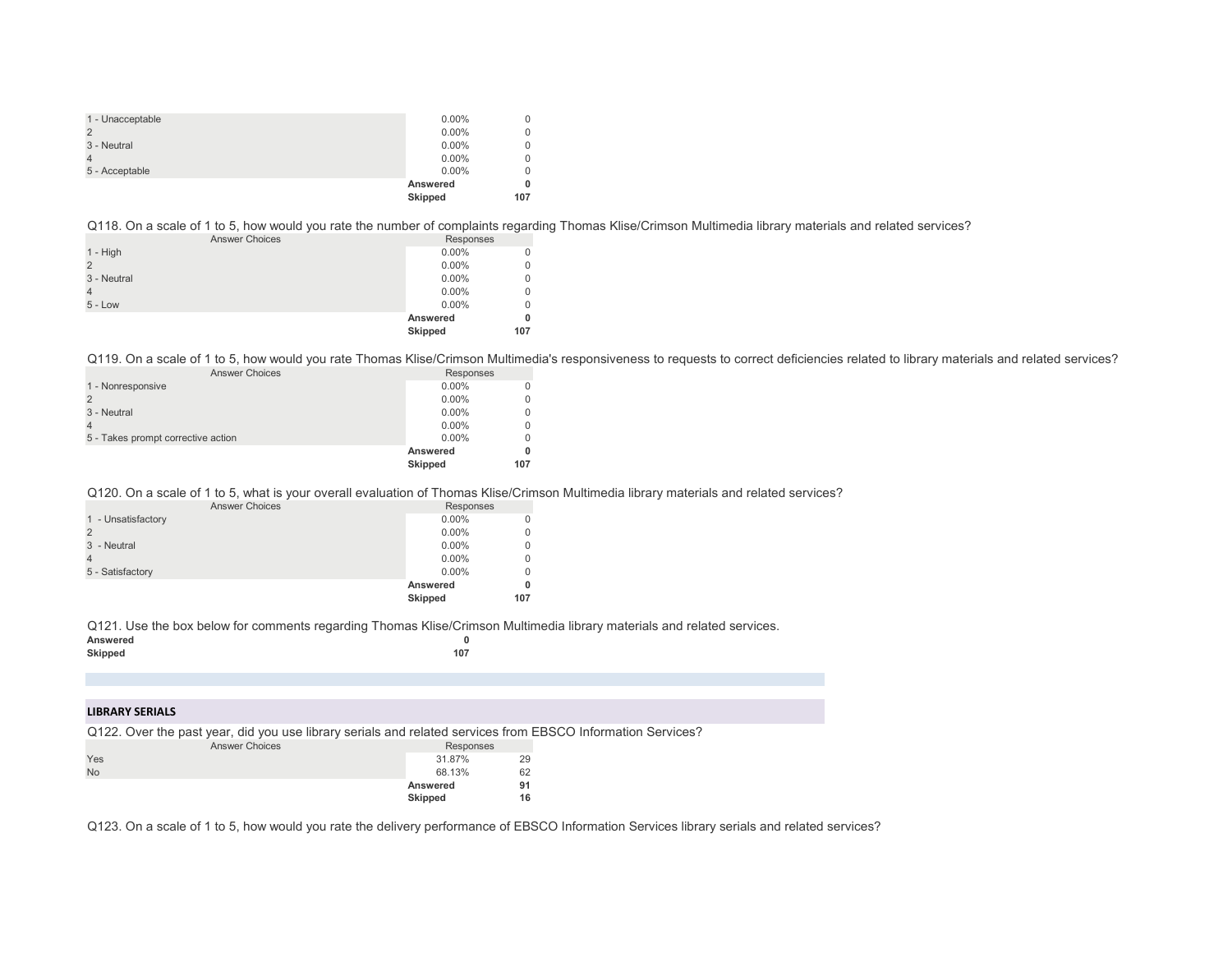| 1 - Unacceptable | $0.00\%$       | 0   |
|------------------|----------------|-----|
|                  | $0.00\%$       | 0   |
| 3 - Neutral      | $0.00\%$       | 0   |
|                  | $0.00\%$       | 0   |
| 5 - Acceptable   | $0.00\%$       | 0   |
|                  | Answered       | 0   |
|                  | <b>Skipped</b> | 107 |

Q118. On a scale of 1 to 5, how would you rate the number of complaints regarding Thomas Klise/Crimson Multimedia library materials and related services?

| <b>Answer Choices</b> | Responses |     |
|-----------------------|-----------|-----|
| $1 - High$            | $0.00\%$  |     |
|                       | $0.00\%$  | 0   |
| 3 - Neutral           | $0.00\%$  | 0   |
|                       | $0.00\%$  | 0   |
| $5 - Low$             | $0.00\%$  | 0   |
|                       | Answered  |     |
|                       | Skipped   | 107 |
|                       |           |     |

Q119. On a scale of 1 to 5, how would you rate Thomas Klise/Crimson Multimedia's responsiveness to requests to correct deficiencies related to library materials and related services?

| <b>Answer Choices</b>              | Responses      |     |
|------------------------------------|----------------|-----|
| 1 - Nonresponsive                  | $0.00\%$       |     |
|                                    | $0.00\%$       |     |
| 3 - Neutral                        | $0.00\%$       |     |
|                                    | $0.00\%$       |     |
| 5 - Takes prompt corrective action | $0.00\%$       |     |
|                                    | Answered       |     |
|                                    | <b>Skipped</b> | 107 |
|                                    |                |     |

Q120. On a scale of 1 to 5, what is your overall evaluation of Thomas Klise/Crimson Multimedia library materials and related services?

| <b>Answer Choices</b> | Responses |          |
|-----------------------|-----------|----------|
| 1 - Unsatisfactory    | $0.00\%$  | $\Omega$ |
|                       | $0.00\%$  | $\Omega$ |
| 3 - Neutral           | $0.00\%$  | $\Omega$ |
|                       | $0.00\%$  | $\Omega$ |
| 5 - Satisfactory      | $0.00\%$  | $\Omega$ |
|                       | Answered  | 0        |
|                       | Skipped   | 107      |

Q121. Use the box below for comments regarding Thomas Klise/Crimson Multimedia library materials and related services.

| Answered |     |
|----------|-----|
| Skipped  | 107 |

### **LIBRARY SERIALS**

Q122. Over the past year, did you use library serials and related services from EBSCO Information Services?

| <b>Answer Choices</b> | Responses      |    |  |
|-----------------------|----------------|----|--|
| Yes                   | 31.87%         | 29 |  |
| <b>No</b>             | 68.13%         | 62 |  |
|                       | Answered       | 91 |  |
|                       | <b>Skipped</b> | 16 |  |

Q123. On a scale of 1 to 5, how would you rate the delivery performance of EBSCO Information Services library serials and related services?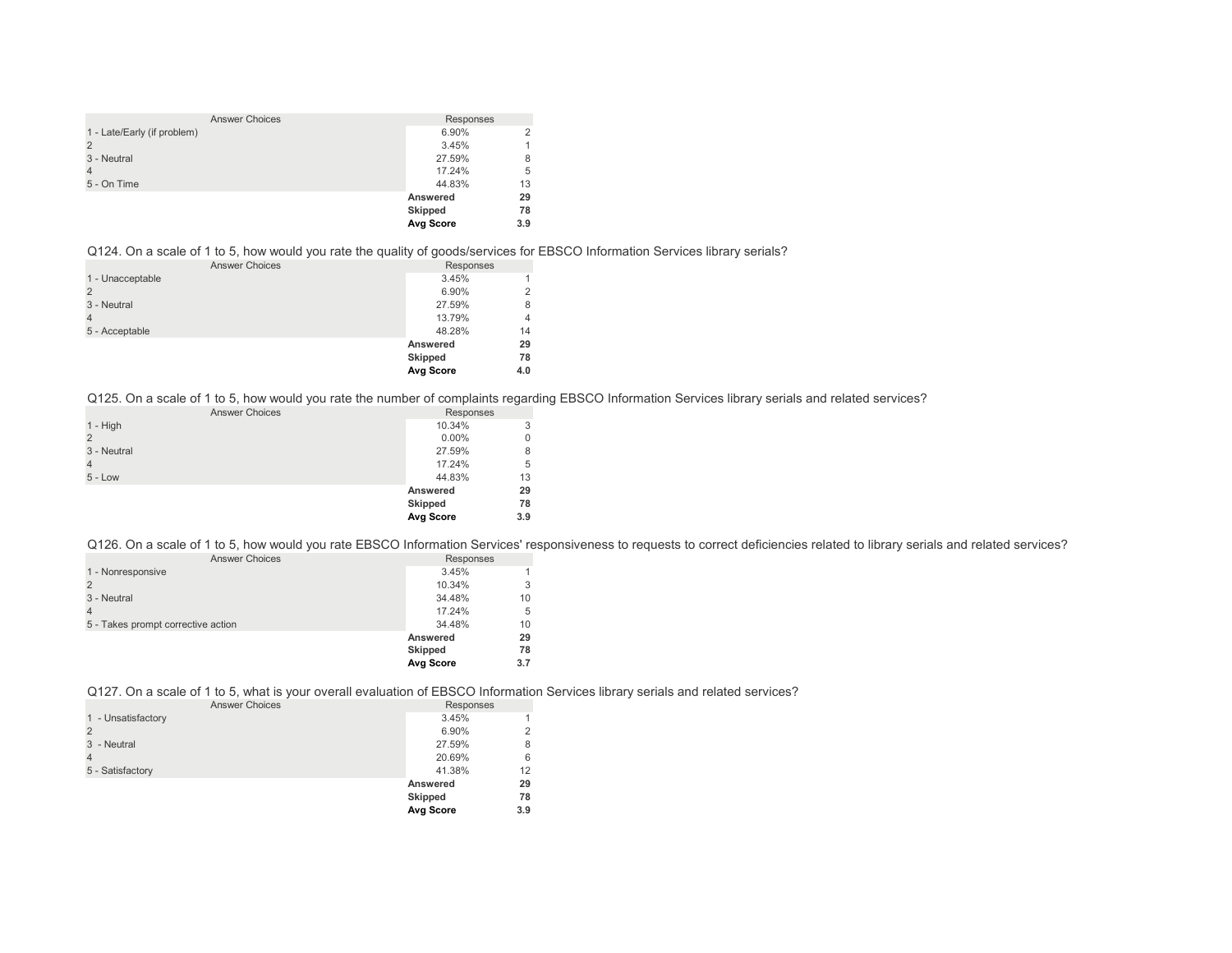| <b>Answer Choices</b>       | Responses        |     |
|-----------------------------|------------------|-----|
| 1 - Late/Early (if problem) | 6.90%            |     |
| $\overline{2}$              | 3.45%            |     |
| 3 - Neutral                 | 27.59%           | 8   |
| $\overline{4}$              | 17.24%           | 5   |
| 5 - On Time                 | 44.83%           | 13  |
|                             | Answered         | 29  |
|                             | <b>Skipped</b>   | 78  |
|                             | <b>Avg Score</b> | 3.9 |

## Q124. On a scale of 1 to 5, how would you rate the quality of goods/services for EBSCO Information Services library serials?

| <b>Answer Choices</b> | Responses      |     |
|-----------------------|----------------|-----|
| 1 - Unacceptable      | 3.45%          |     |
|                       | 6.90%          |     |
| 3 - Neutral           | 27.59%         | 8   |
|                       | 13.79%         | 4   |
| 5 - Acceptable        | 48.28%         | 14  |
|                       | Answered       | 29  |
|                       | <b>Skipped</b> | 78  |
|                       | Avg Score      | 4.0 |

Q125. On a scale of 1 to 5, how would you rate the number of complaints regarding EBSCO Information Services library serials and related services?

| <b>Answer Choices</b> | Responses      |     |
|-----------------------|----------------|-----|
| $1 - High$            | 10.34%         | 3   |
| 2                     | $0.00\%$       | 0   |
| 3 - Neutral           | 27.59%         | 8   |
| $\overline{4}$        | 17.24%         | 5   |
| $5 - Low$             | 44.83%         | 13  |
|                       | Answered       | 29  |
|                       | <b>Skipped</b> | 78  |
|                       | Avg Score      | 3.9 |

Q126. On a scale of 1 to 5, how would you rate EBSCO Information Services' responsiveness to requests to correct deficiencies related to library serials and related services?

| <b>Answer Choices</b>              | Responses        |     |
|------------------------------------|------------------|-----|
| 1 - Nonresponsive                  | 3.45%            | 1   |
|                                    | 10.34%           | 3   |
| 3 - Neutral                        | 34.48%           | 10  |
|                                    | 17.24%           | 5   |
| 5 - Takes prompt corrective action | 34.48%           | 10  |
|                                    | Answered         | 29  |
|                                    | <b>Skipped</b>   | 78  |
|                                    | <b>Avg Score</b> | 3.7 |
|                                    |                  |     |

Q127. On a scale of 1 to 5, what is your overall evaluation of EBSCO Information Services library serials and related services?

| <b>Answer Choices</b> | Responses      |     |
|-----------------------|----------------|-----|
| 1 - Unsatisfactory    | 3.45%          |     |
| $\overline{2}$        | 6.90%          | っ   |
| 3 - Neutral           | 27.59%         | 8   |
| $\overline{4}$        | 20.69%         | 6   |
| 5 - Satisfactory      | 41.38%         | 12  |
|                       | Answered       | 29  |
|                       | <b>Skipped</b> | 78  |
|                       | Avg Score      | 3.9 |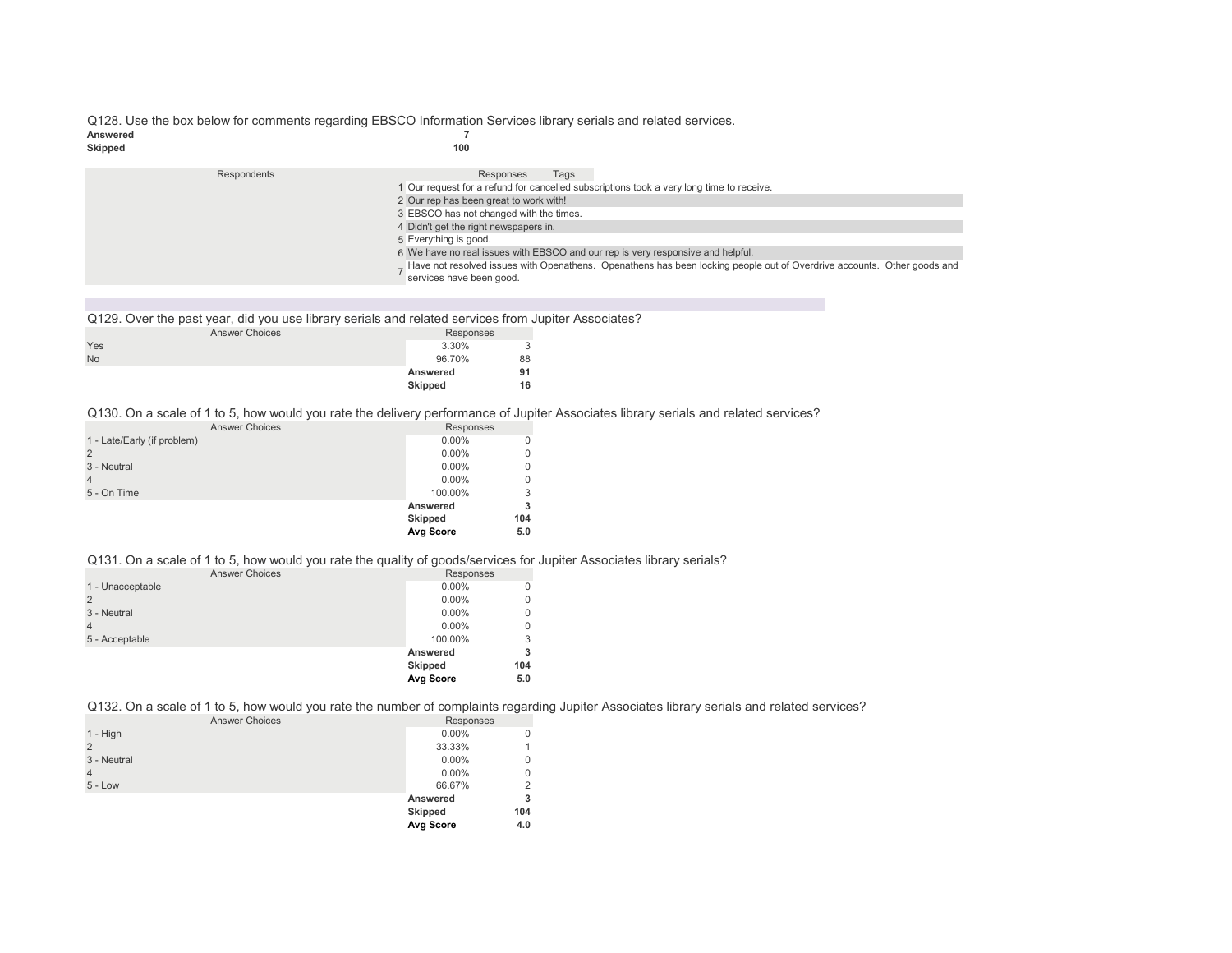# Q128. Use the box below for comments regarding EBSCO Information Services library serials and related services.<br>
T Answered 7<br>Skipped 100

# **Skipped 100**

| Respondents                                                                     | Responses<br>Tags                                                                                                       |  |
|---------------------------------------------------------------------------------|-------------------------------------------------------------------------------------------------------------------------|--|
|                                                                                 | 1 Our request for a refund for cancelled subscriptions took a very long time to receive.                                |  |
|                                                                                 | 2 Our rep has been great to work with!                                                                                  |  |
| 3 EBSCO has not changed with the times.                                         |                                                                                                                         |  |
| 4 Didn't get the right newspapers in.                                           |                                                                                                                         |  |
|                                                                                 | 5 Everything is good.                                                                                                   |  |
| 6 We have no real issues with EBSCO and our rep is very responsive and helpful. |                                                                                                                         |  |
|                                                                                 | Have not resolved issues with Openathens. Openathens has been locking people out of Overdrive accounts. Other goods and |  |
|                                                                                 | services have been good.                                                                                                |  |

Q129. Over the past year, did you use library serials and related services from Jupiter Associates?

|           | . .<br><b>Answer Choices</b> | Responses |    |
|-----------|------------------------------|-----------|----|
| Yes       |                              | 3.30%     | 3  |
| <b>No</b> |                              | 96.70%    | 88 |
|           |                              | Answered  | 91 |
|           |                              | Skipped   | 16 |

Q130. On a scale of 1 to 5, how would you rate the delivery performance of Jupiter Associates library serials and related services?

| <b>Answer Choices</b>       | Responses      |          |
|-----------------------------|----------------|----------|
| 1 - Late/Early (if problem) | $0.00\%$       | 0        |
| $\overline{2}$              | $0.00\%$       | 0        |
| 3 - Neutral                 | $0.00\%$       | $\Omega$ |
| $\overline{4}$              | $0.00\%$       | $\Omega$ |
| 5 - On Time                 | 100.00%        | 3        |
|                             | Answered       |          |
|                             | <b>Skipped</b> | 104      |
|                             | Avg Score      | 5.0      |

Q131. On a scale of 1 to 5, how would you rate the quality of goods/services for Jupiter Associates library serials?

| <b>Answer Choices</b> | Responses |          |
|-----------------------|-----------|----------|
| 1 - Unacceptable      | $0.00\%$  | $\Omega$ |
| $\overline{2}$        | $0.00\%$  | $\Omega$ |
| 3 - Neutral           | $0.00\%$  | $\Omega$ |
| $\overline{4}$        | $0.00\%$  | 0        |
| 5 - Acceptable        | 100.00%   | 3        |
|                       | Answered  | 3        |
|                       | Skipped   | 104      |
|                       | Avg Score | 5.0      |

Q132. On a scale of 1 to 5, how would you rate the number of complaints regarding Jupiter Associates library serials and related services?

| <b>Answer Choices</b> | Responses |     |
|-----------------------|-----------|-----|
| $1 - High$            | $0.00\%$  |     |
|                       | 33.33%    |     |
| 3 - Neutral           | $0.00\%$  |     |
| $\overline{4}$        | $0.00\%$  |     |
| $5 - Low$             | 66.67%    | 2   |
|                       | Answered  | 3   |
|                       | Skipped   | 104 |
|                       | Avg Score | 4.0 |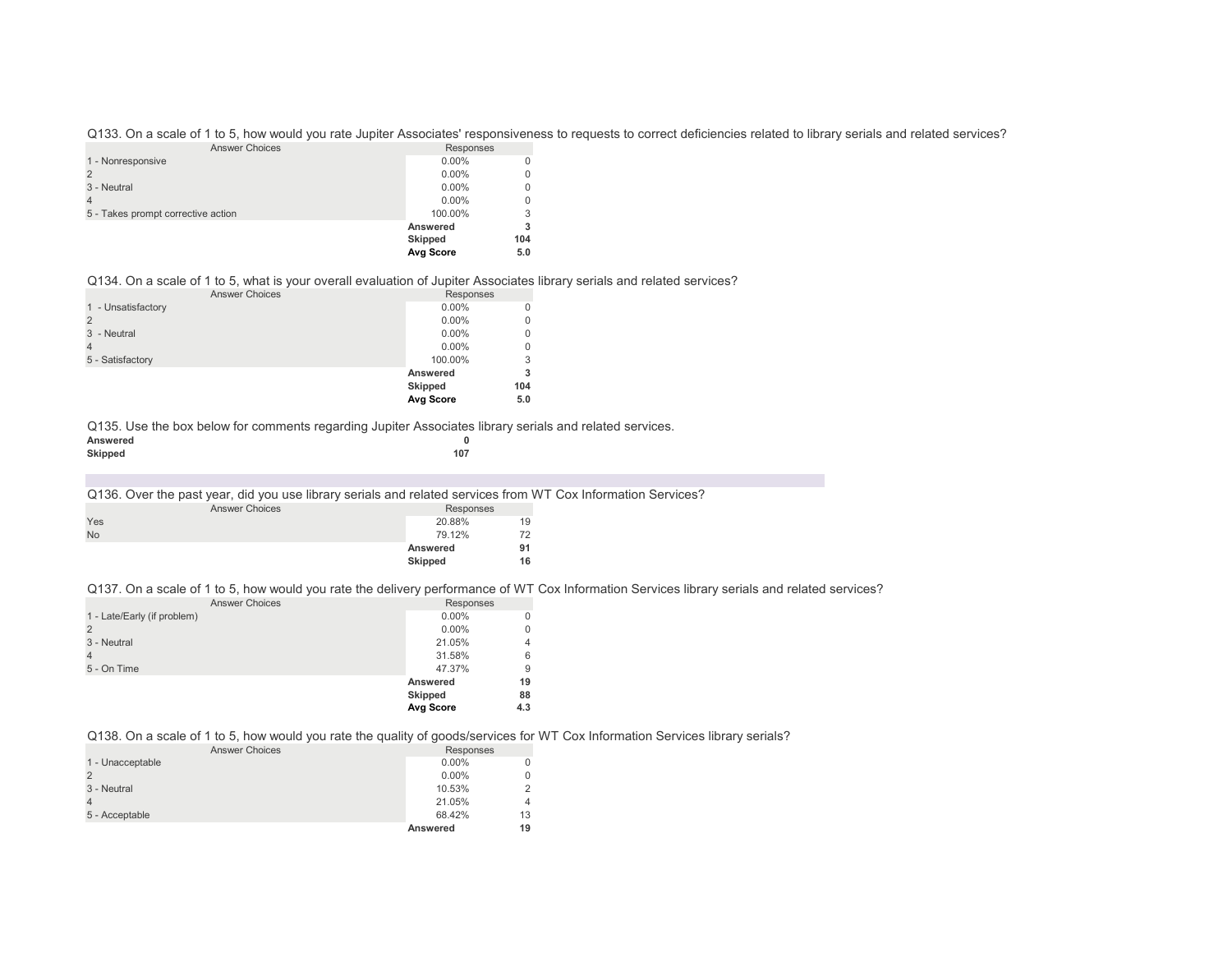Q133. On a scale of 1 to 5, how would you rate Jupiter Associates' responsiveness to requests to correct deficiencies related to library serials and related services?

| <b>Answer Choices</b>              | Responses        |          |
|------------------------------------|------------------|----------|
| 1 - Nonresponsive                  | $0.00\%$         | 0        |
|                                    | $0.00\%$         | $\Omega$ |
| 3 - Neutral                        | $0.00\%$         | $\Omega$ |
|                                    | $0.00\%$         | $\Omega$ |
| 5 - Takes prompt corrective action | 100.00%          | 3        |
|                                    | Answered         | 3        |
|                                    | <b>Skipped</b>   | 104      |
|                                    | <b>Avg Score</b> | 5.0      |

Q134. On a scale of 1 to 5, what is your overall evaluation of Jupiter Associates library serials and related services?

|                       | Avg Score      | 5.0          |
|-----------------------|----------------|--------------|
|                       | <b>Skipped</b> | 104          |
|                       | Answered       | 3            |
| 5 - Satisfactory      | 100.00%        | 3            |
|                       | $0.00\%$       | $\mathbf{0}$ |
| 3 - Neutral           | $0.00\%$       | 0            |
|                       | $0.00\%$       | 0            |
| 1 - Unsatisfactory    | $0.00\%$       | $\Omega$     |
| <b>Answer Choices</b> | Responses      |              |

Q135. Use the box below for comments regarding Jupiter Associates library serials and related services.

| Answered |     |  |
|----------|-----|--|
| Skipped  | 107 |  |

#### Q136. Over the past year, did you use library serials and related services from WT Cox Information Services?

| <b>Answer Choices</b> | Responses |    |
|-----------------------|-----------|----|
| Yes                   | 20.88%    | 19 |
| <b>No</b>             | 79.12%    | 72 |
|                       | Answered  | 91 |
|                       | Skipped   | 16 |

#### Q137. On a scale of 1 to 5, how would you rate the delivery performance of WT Cox Information Services library serials and related services?

| <b>Answer Choices</b>       | Responses |                |
|-----------------------------|-----------|----------------|
| 1 - Late/Early (if problem) | $0.00\%$  | 0              |
|                             | $0.00\%$  | $\Omega$       |
| 3 - Neutral                 | 21.05%    | $\overline{4}$ |
|                             | 31.58%    | 6              |
| 5 - On Time                 | 47.37%    | 9              |
|                             | Answered  | 19             |
|                             | Skipped   | 88             |
|                             | Avg Score | 4.3            |
|                             |           |                |

## Q138. On a scale of 1 to 5, how would you rate the quality of goods/services for WT Cox Information Services library serials?

| <b>Answer Choices</b> | Responses |    |
|-----------------------|-----------|----|
| 1 - Unacceptable      | $0.00\%$  |    |
|                       | $0.00\%$  |    |
| 3 - Neutral           | 10.53%    |    |
|                       | 21.05%    |    |
| 5 - Acceptable        | 68.42%    | 13 |
|                       | Answered  | 19 |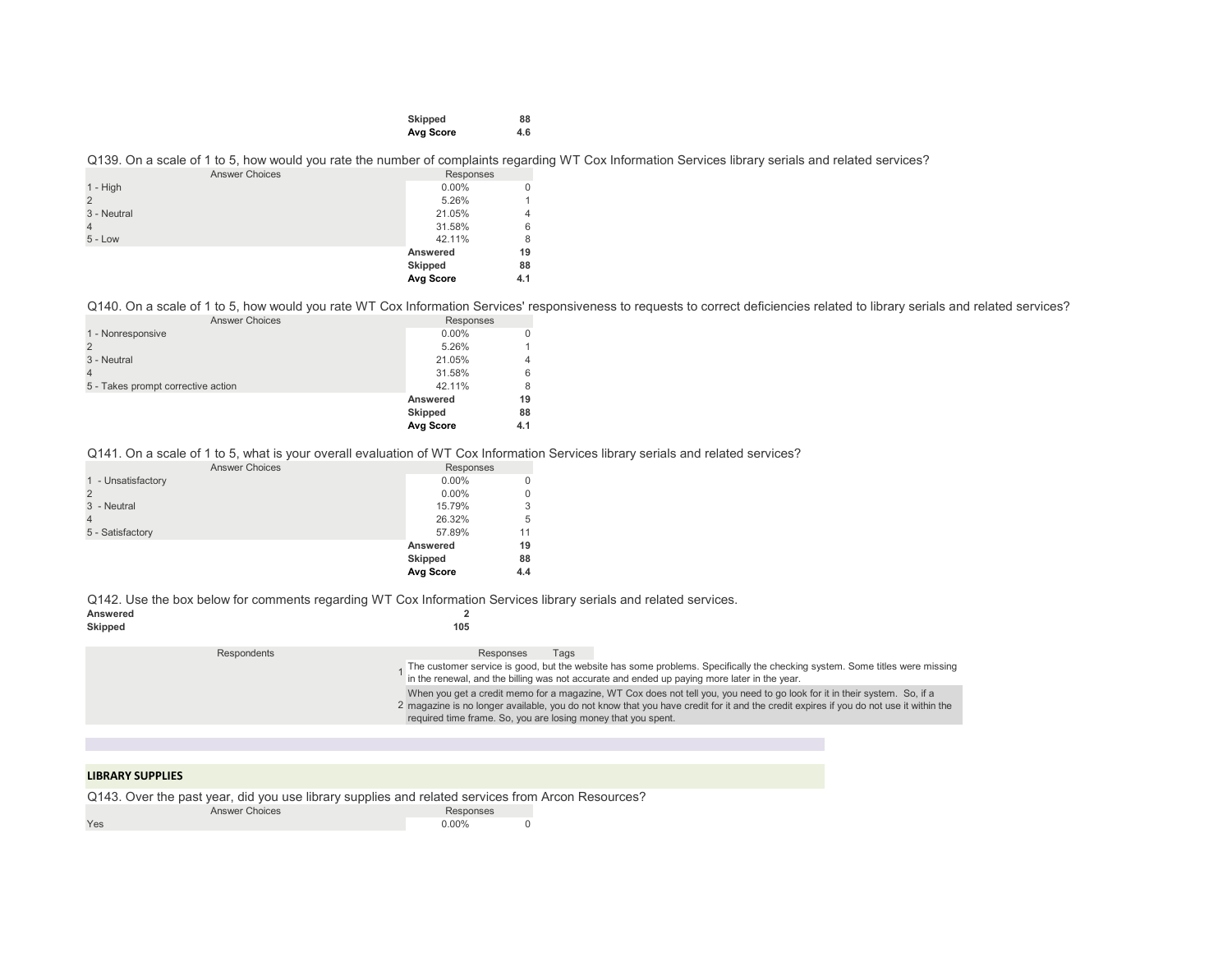| Skipped   | 88  |
|-----------|-----|
| Avg Score | 4.6 |

## Q139. On a scale of 1 to 5, how would you rate the number of complaints regarding WT Cox Information Services library serials and related services?

| <b>Answer Choices</b> | Responses |     |
|-----------------------|-----------|-----|
| $1 - High$            | $0.00\%$  |     |
|                       | 5.26%     |     |
| 3 - Neutral           | 21.05%    | 4   |
|                       | 31.58%    | 6   |
| $5 - Low$             | 42.11%    | 8   |
|                       | Answered  | 19  |
|                       | Skipped   | 88  |
|                       | Avg Score | 4.1 |

Q140. On a scale of 1 to 5, how would you rate WT Cox Information Services' responsiveness to requests to correct deficiencies related to library serials and related services?

| <b>Answer Choices</b>              | Responses      |     |
|------------------------------------|----------------|-----|
| 1 - Nonresponsive                  | $0.00\%$       | 0   |
|                                    | 5.26%          |     |
| 3 - Neutral                        | 21.05%         | 4   |
|                                    | 31.58%         | 6   |
| 5 - Takes prompt corrective action | 42.11%         | 8   |
|                                    | Answered       | 19  |
|                                    | <b>Skipped</b> | 88  |
|                                    | Avg Score      | 4.1 |

Q141. On a scale of 1 to 5, what is your overall evaluation of WT Cox Information Services library serials and related services?

| <b>Answer Choices</b> | Responses |          |
|-----------------------|-----------|----------|
| 1 - Unsatisfactory    | $0.00\%$  | $\Omega$ |
|                       | $0.00\%$  | $\Omega$ |
| 3 - Neutral           | 15.79%    | 3        |
| 4                     | 26.32%    | 5        |
| 5 - Satisfactory      | 57.89%    | 11       |
|                       | Answered  | 19       |
|                       | Skipped   | 88       |
|                       | Avg Score | 4.4      |

|             | Answered | Q142. Use the box below for comments regarding WT Cox Information Services library serials and related services.                                                                                                                                                                                                                    |
|-------------|----------|-------------------------------------------------------------------------------------------------------------------------------------------------------------------------------------------------------------------------------------------------------------------------------------------------------------------------------------|
|             | Skipped  | 105                                                                                                                                                                                                                                                                                                                                 |
| Respondents |          | Responses<br>Taɑs<br>The customer service is good, but the website has some problems. Specifically the checking system. Some titles were missing<br>in the renewal, and the billing was not accurate and ended up paying more later in the year.                                                                                    |
|             |          | When you get a credit memo for a magazine, WT Cox does not tell you, you need to go look for it in their system. So, if a<br>2 magazine is no longer available, you do not know that you have credit for it and the credit expires if you do not use it within the<br>required time frame. So, you are losing money that you spent. |
|             |          |                                                                                                                                                                                                                                                                                                                                     |

## **LIBRARY SUPPLIES**

Q143. Over the past year, did you use library supplies and related services from Arcon Resources?

| <b>Answer Choices</b> | Responses |  |
|-----------------------|-----------|--|
| Yes                   | $0.00\%$  |  |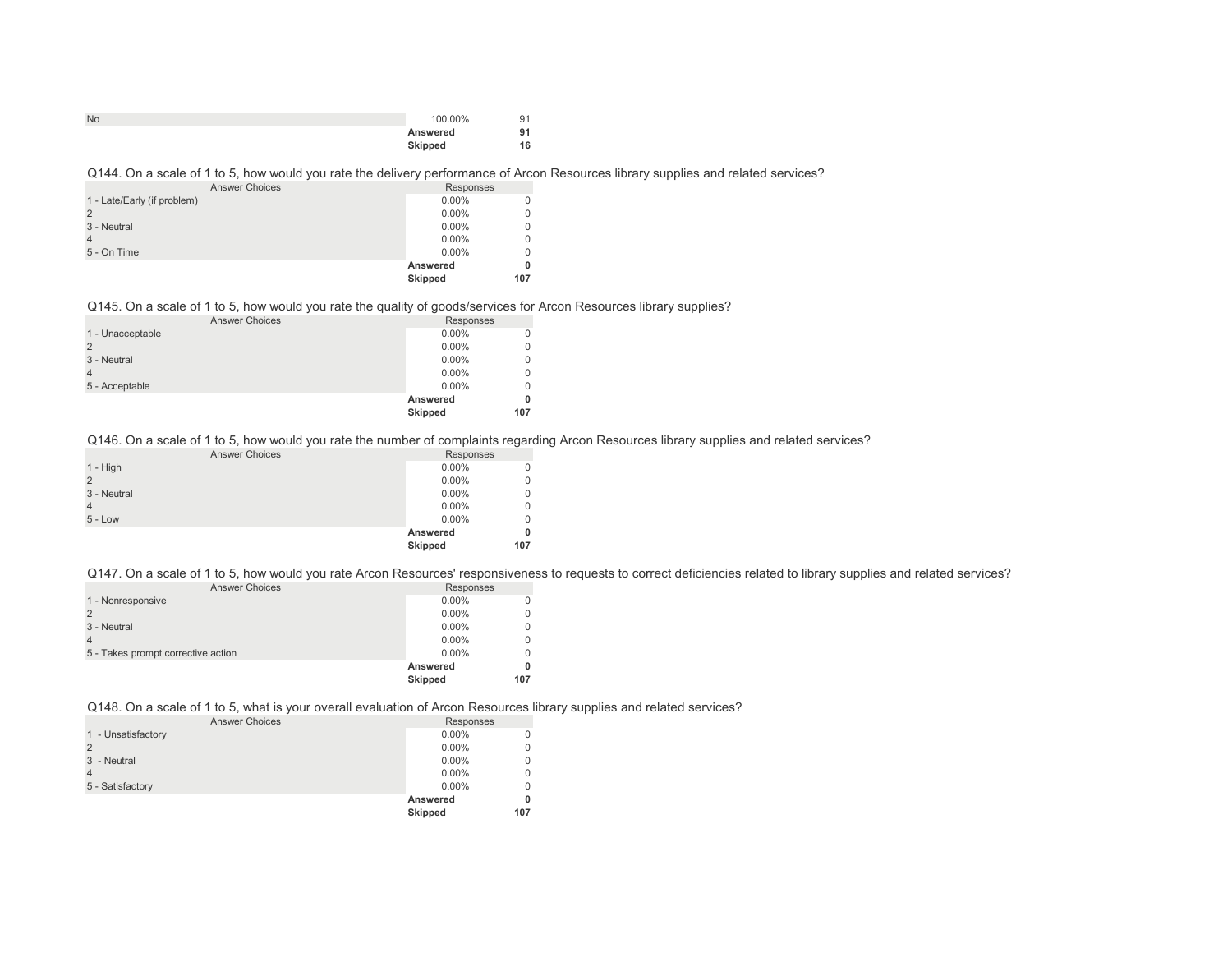| <b>No</b> | 100.00%  | 91 |
|-----------|----------|----|
|           | Answered | 91 |
|           | Skipped  | 16 |

## Q144. On a scale of 1 to 5, how would you rate the delivery performance of Arcon Resources library supplies and related services?

| <b>Answer Choices</b>       | Responses      |     |
|-----------------------------|----------------|-----|
| 1 - Late/Early (if problem) | $0.00\%$       |     |
|                             | $0.00\%$       |     |
| 3 - Neutral                 | $0.00\%$       |     |
|                             | $0.00\%$       |     |
| 5 - On Time                 | $0.00\%$       |     |
|                             | Answered       |     |
|                             | <b>Skipped</b> | 107 |

## Q145. On a scale of 1 to 5, how would you rate the quality of goods/services for Arcon Resources library supplies?

| <b>Answer Choices</b> | Responses |          |
|-----------------------|-----------|----------|
| 1 - Unacceptable      | $0.00\%$  | $\Omega$ |
|                       | $0.00\%$  | 0        |
| 3 - Neutral           | $0.00\%$  | 0        |
|                       | $0.00\%$  | 0        |
| 5 - Acceptable        | $0.00\%$  | $\Omega$ |
|                       | Answered  | 0        |
|                       | Skipped   | 107      |
|                       |           |          |

Q146. On a scale of 1 to 5, how would you rate the number of complaints regarding Arcon Resources library supplies and related services?

|                | <b>Answer Choices</b> | Responses |             |
|----------------|-----------------------|-----------|-------------|
| 1 - High       |                       | $0.00\%$  | 0           |
| $\overline{2}$ |                       | $0.00\%$  | $\mathbf 0$ |
| 3 - Neutral    |                       | $0.00\%$  | $\mathbf 0$ |
| $\overline{4}$ |                       | $0.00\%$  | $\mathbf 0$ |
| $5 - Low$      |                       | $0.00\%$  | $\mathbf 0$ |
|                |                       | Answered  | 0           |
|                |                       | Skipped   | 107         |
|                |                       |           |             |

Q147. On a scale of 1 to 5, how would you rate Arcon Resources' responsiveness to requests to correct deficiencies related to library supplies and related services?

| <b>Answer Choices</b>              | Responses      |     |
|------------------------------------|----------------|-----|
| 1 - Nonresponsive                  | $0.00\%$       |     |
|                                    | $0.00\%$       |     |
| 3 - Neutral                        | $0.00\%$       |     |
|                                    | $0.00\%$       |     |
| 5 - Takes prompt corrective action | $0.00\%$       |     |
|                                    | Answered       |     |
|                                    | <b>Skipped</b> | 107 |

Q148. On a scale of 1 to 5, what is your overall evaluation of Arcon Resources library supplies and related services?

| <b>Answer Choices</b> | Responses      |     |
|-----------------------|----------------|-----|
| 1 - Unsatisfactory    | $0.00\%$       |     |
|                       | $0.00\%$       |     |
| 3 - Neutral           | $0.00\%$       |     |
|                       | $0.00\%$       |     |
| 5 - Satisfactory      | $0.00\%$       |     |
|                       | Answered       |     |
|                       | <b>Skipped</b> | 107 |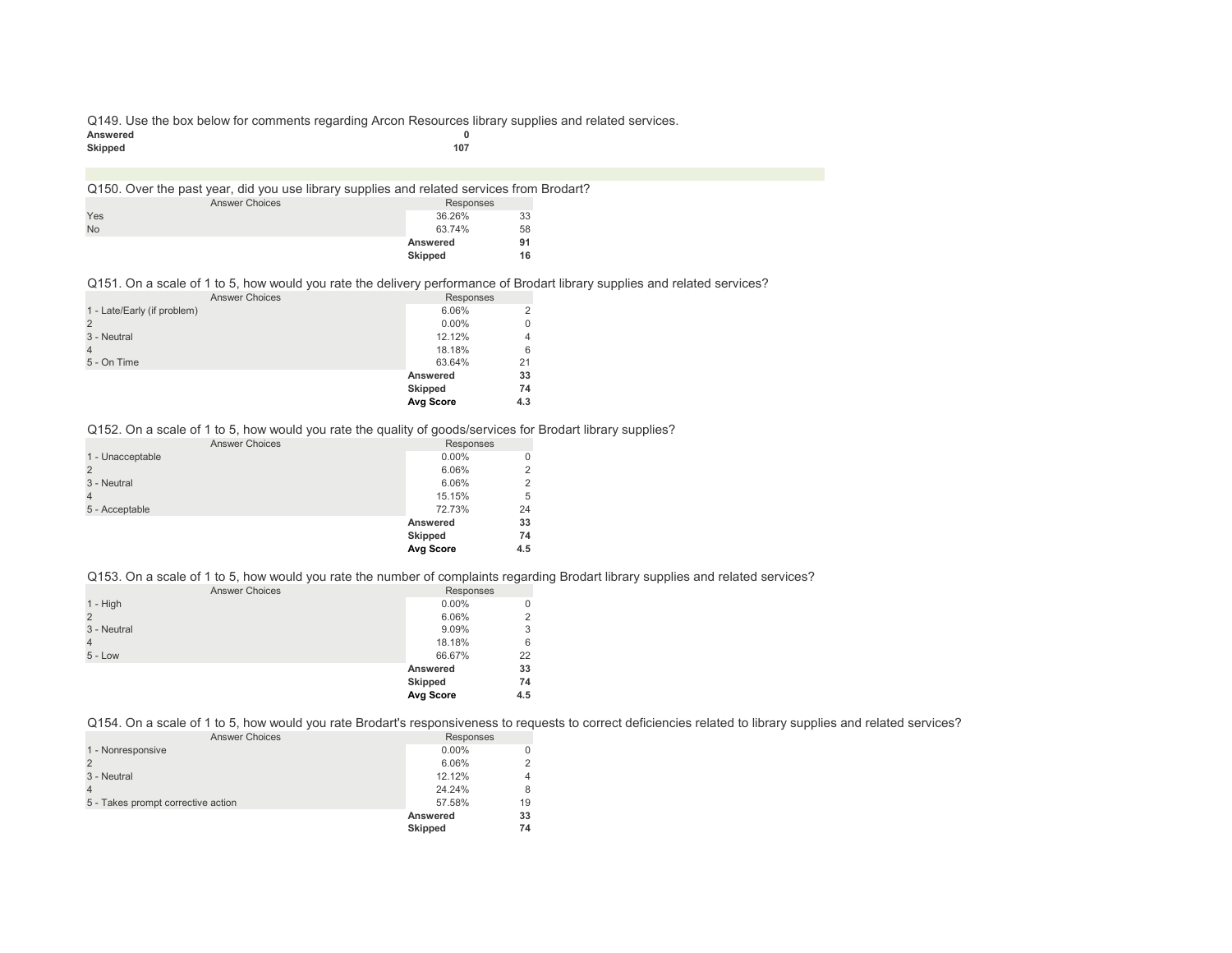Q149. Use the box below for comments regarding Arcon Resources library supplies and related services.<br>Answered Answered 0<br>Skipped 107 **Skipped 107**

|           | Q150. Over the past year, did you use library supplies and related services from Brodart? |                |    |  |
|-----------|-------------------------------------------------------------------------------------------|----------------|----|--|
|           | <b>Answer Choices</b>                                                                     | Responses      |    |  |
| Yes       |                                                                                           | 36.26%         | 33 |  |
| <b>No</b> |                                                                                           | 63.74%         | 58 |  |
|           |                                                                                           | Answered       | 91 |  |
|           |                                                                                           | <b>Skipped</b> | 16 |  |

Q151. On a scale of 1 to 5, how would you rate the delivery performance of Brodart library supplies and related services?

| <b>Answer Choices</b>       | Responses |                |
|-----------------------------|-----------|----------------|
| 1 - Late/Early (if problem) | 6.06%     | $\overline{2}$ |
|                             | $0.00\%$  | $\mathbf 0$    |
| 3 - Neutral                 | 12.12%    | $\overline{4}$ |
|                             | 18.18%    | 6              |
| 5 - On Time                 | 63.64%    | 21             |
|                             | Answered  | 33             |
|                             | Skipped   | 74             |
|                             | Avg Score | 4.3            |
|                             |           |                |

Q152. On a scale of 1 to 5, how would you rate the quality of goods/services for Brodart library supplies?

|                       | Avg Score      | 4.5 |
|-----------------------|----------------|-----|
|                       | <b>Skipped</b> | 74  |
|                       | Answered       | 33  |
| 5 - Acceptable        | 72.73%         | 24  |
|                       | 15.15%         | 5   |
| 3 - Neutral           | 6.06%          | 2   |
|                       | 6.06%          | 2   |
| 1 - Unacceptable      | $0.00\%$       |     |
| <b>Answer Choices</b> | Responses      |     |

Q153. On a scale of 1 to 5, how would you rate the number of complaints regarding Brodart library supplies and related services?

| <b>Answer Choices</b> | Responses |     |
|-----------------------|-----------|-----|
| $1 - High$            | $0.00\%$  | 0   |
| $\overline{2}$        | 6.06%     | 2   |
| 3 - Neutral           | 9.09%     | 3   |
| $\overline{4}$        | 18.18%    | 6   |
| $5 - Low$             | 66.67%    | 22  |
|                       | Answered  | 33  |
|                       | Skipped   | 74  |
|                       | Avg Score | 4.5 |

Q154. On a scale of 1 to 5, how would you rate Brodart's responsiveness to requests to correct deficiencies related to library supplies and related services?

| <b>Answer Choices</b>              | Responses      |    |
|------------------------------------|----------------|----|
| 1 - Nonresponsive                  | $0.00\%$       |    |
|                                    | 6.06%          |    |
| 3 - Neutral                        | 12.12%         | 4  |
|                                    | 24.24%         |    |
| 5 - Takes prompt corrective action | 57.58%         | 19 |
|                                    | Answered       | 33 |
|                                    | <b>Skipped</b> | 74 |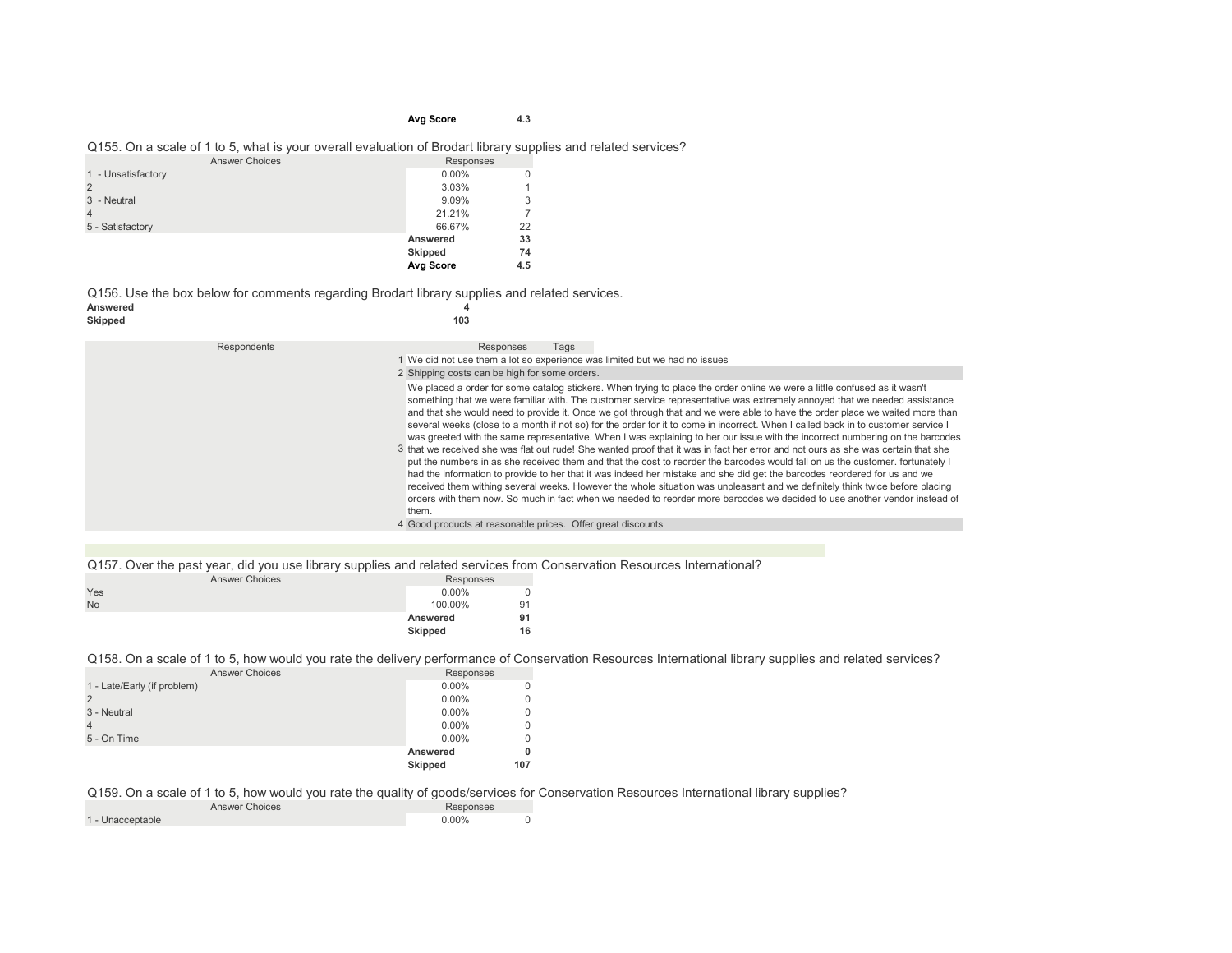#### **Avg Score 4.3**

#### Q155. On a scale of 1 to 5, what is your overall evaluation of Brodart library supplies and related services?

| <b>Answer Choices</b> | Responses |     |
|-----------------------|-----------|-----|
| 1 - Unsatisfactory    | $0.00\%$  | 0   |
| $\overline{2}$        | 3.03%     |     |
| 3 - Neutral           | 9.09%     | 3   |
| $\overline{4}$        | 21.21%    |     |
| 5 - Satisfactory      | 66.67%    | 22  |
|                       | Answered  | 33  |
|                       | Skipped   | 74  |
|                       | Avg Score | 4.5 |

Q156. Use the box below for comments regarding Brodart library supplies and related services.<br>Answered

#### **Answered 4**  $Skipped$

| Respondents | Responses<br>Tags                                                                                                                                                                                                                                                                                                                                                                                                                                                                                                                                                                                                                                                                                                                                                                                                                                                                                                                                                                                                                                                                                                                                                                                                                                                                                                                      |
|-------------|----------------------------------------------------------------------------------------------------------------------------------------------------------------------------------------------------------------------------------------------------------------------------------------------------------------------------------------------------------------------------------------------------------------------------------------------------------------------------------------------------------------------------------------------------------------------------------------------------------------------------------------------------------------------------------------------------------------------------------------------------------------------------------------------------------------------------------------------------------------------------------------------------------------------------------------------------------------------------------------------------------------------------------------------------------------------------------------------------------------------------------------------------------------------------------------------------------------------------------------------------------------------------------------------------------------------------------------|
|             | 1 We did not use them a lot so experience was limited but we had no issues                                                                                                                                                                                                                                                                                                                                                                                                                                                                                                                                                                                                                                                                                                                                                                                                                                                                                                                                                                                                                                                                                                                                                                                                                                                             |
|             | 2 Shipping costs can be high for some orders.                                                                                                                                                                                                                                                                                                                                                                                                                                                                                                                                                                                                                                                                                                                                                                                                                                                                                                                                                                                                                                                                                                                                                                                                                                                                                          |
|             | We placed a order for some catalog stickers. When trying to place the order online we were a little confused as it wasn't<br>something that we were familiar with. The customer service representative was extremely annoyed that we needed assistance<br>and that she would need to provide it. Once we got through that and we were able to have the order place we waited more than<br>several weeks (close to a month if not so) for the order for it to come in incorrect. When I called back in to customer service I<br>was greeted with the same representative. When I was explaining to her our issue with the incorrect numbering on the barcodes<br>3 that we received she was flat out rude! She wanted proof that it was in fact her error and not ours as she was certain that she<br>put the numbers in as she received them and that the cost to reorder the barcodes would fall on us the customer, fortunately I<br>had the information to provide to her that it was indeed her mistake and she did get the barcodes reordered for us and we<br>received them withing several weeks. However the whole situation was unpleasant and we definitely think twice before placing<br>orders with them now. So much in fact when we needed to reorder more barcodes we decided to use another vendor instead of<br>them. |
|             | 4 Good products at reasonable prices. Offer great discounts                                                                                                                                                                                                                                                                                                                                                                                                                                                                                                                                                                                                                                                                                                                                                                                                                                                                                                                                                                                                                                                                                                                                                                                                                                                                            |

## Q157. Over the past year, did you use library supplies and related services from Conservation Resources International?

|           | <b>Answer Choices</b> |          |    |
|-----------|-----------------------|----------|----|
| Yes       |                       | $0.00\%$ | 0  |
| <b>No</b> |                       | 100.00%  | 91 |
|           |                       | Answered | 91 |
|           |                       | Skipped  | 16 |

#### Q158. On a scale of 1 to 5, how would you rate the delivery performance of Conservation Resources International library supplies and related services?

| <b>Answer Choices</b>       | Responses      |     |
|-----------------------------|----------------|-----|
| 1 - Late/Early (if problem) | $0.00\%$       |     |
| 2                           | $0.00\%$       |     |
| 3 - Neutral                 | $0.00\%$       |     |
| $\overline{4}$              | $0.00\%$       |     |
| 5 - On Time                 | $0.00\%$       |     |
|                             | Answered       |     |
|                             | <b>Skipped</b> | 107 |

#### Q159. On a scale of 1 to 5, how would you rate the quality of goods/services for Conservation Resources International library supplies? Responses

| <b>Answer Choices</b> | Responses |  |
|-----------------------|-----------|--|
| 1 - Unacceptable      | 0.00%     |  |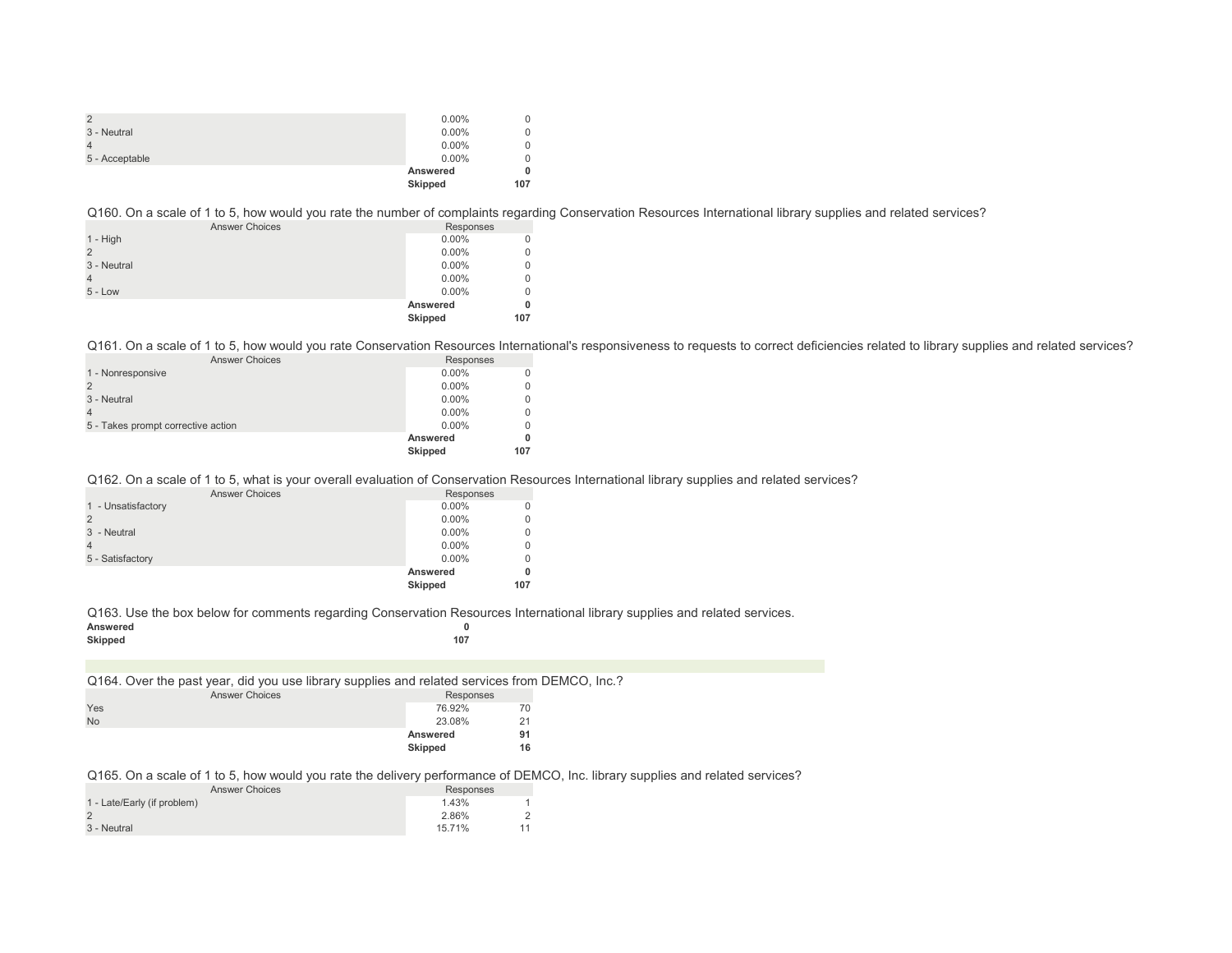|                | $0.00\%$       |     |
|----------------|----------------|-----|
| 3 - Neutral    | $0.00\%$       |     |
|                | $0.00\%$       |     |
| 5 - Acceptable | $0.00\%$       |     |
|                | Answered       |     |
|                | <b>Skipped</b> | 107 |

Q160. On a scale of 1 to 5, how would you rate the number of complaints regarding Conservation Resources International library supplies and related services?

| <b>Answer Choices</b> | Responses |     |
|-----------------------|-----------|-----|
| $1 - High$            | $0.00\%$  |     |
|                       | $0.00\%$  | 0   |
| 3 - Neutral           | $0.00\%$  | 0   |
|                       | $0.00\%$  | 0   |
| $5 - Low$             | $0.00\%$  | 0   |
|                       | Answered  | 0   |
|                       | Skipped   | 107 |

Q161. On a scale of 1 to 5, how would you rate Conservation Resources International's responsiveness to requests to correct deficiencies related to library supplies and related services?

| <b>Answer Choices</b>              | Responses      |     |
|------------------------------------|----------------|-----|
| 1 - Nonresponsive                  | $0.00\%$       |     |
|                                    | $0.00\%$       |     |
| 3 - Neutral                        | $0.00\%$       |     |
|                                    | $0.00\%$       |     |
| 5 - Takes prompt corrective action | $0.00\%$       |     |
|                                    | Answered       |     |
|                                    | <b>Skipped</b> | 107 |

Q162. On a scale of 1 to 5, what is your overall evaluation of Conservation Resources International library supplies and related services?

| <b>Answer Choices</b> | Responses |          |
|-----------------------|-----------|----------|
| 1 - Unsatisfactory    | $0.00\%$  | $\Omega$ |
| $\overline{2}$        | $0.00\%$  | $\Omega$ |
| 3 - Neutral           | $0.00\%$  | $\Omega$ |
| $\overline{4}$        | $0.00\%$  | $\Omega$ |
| 5 - Satisfactory      | $0.00\%$  | $\Omega$ |
|                       | Answered  | 0        |
|                       | Skipped   | 107      |

Q163. Use the box below for comments regarding Conservation Resources International library supplies and related services.

| Answered<br>Skipped                                                                           | 0<br>107       |    |  |
|-----------------------------------------------------------------------------------------------|----------------|----|--|
|                                                                                               |                |    |  |
| Q164. Over the past year, did you use library supplies and related services from DEMCO, Inc.? |                |    |  |
| <b>Answer Choices</b>                                                                         | Responses      |    |  |
| Yes                                                                                           | 76.92%         | 70 |  |
| <b>No</b>                                                                                     | 23.08%         | 21 |  |
|                                                                                               | Answered       | 91 |  |
|                                                                                               | <b>Skipped</b> | 16 |  |
|                                                                                               |                |    |  |

Q165. On a scale of 1 to 5, how would you rate the delivery performance of DEMCO, Inc. library supplies and related services?

| <b>Answer Choices</b>       | Responses |    |
|-----------------------------|-----------|----|
| 1 - Late/Early (if problem) | 1.43%     |    |
|                             | 2.86%     |    |
| 3 - Neutral                 | 15.71%    | 11 |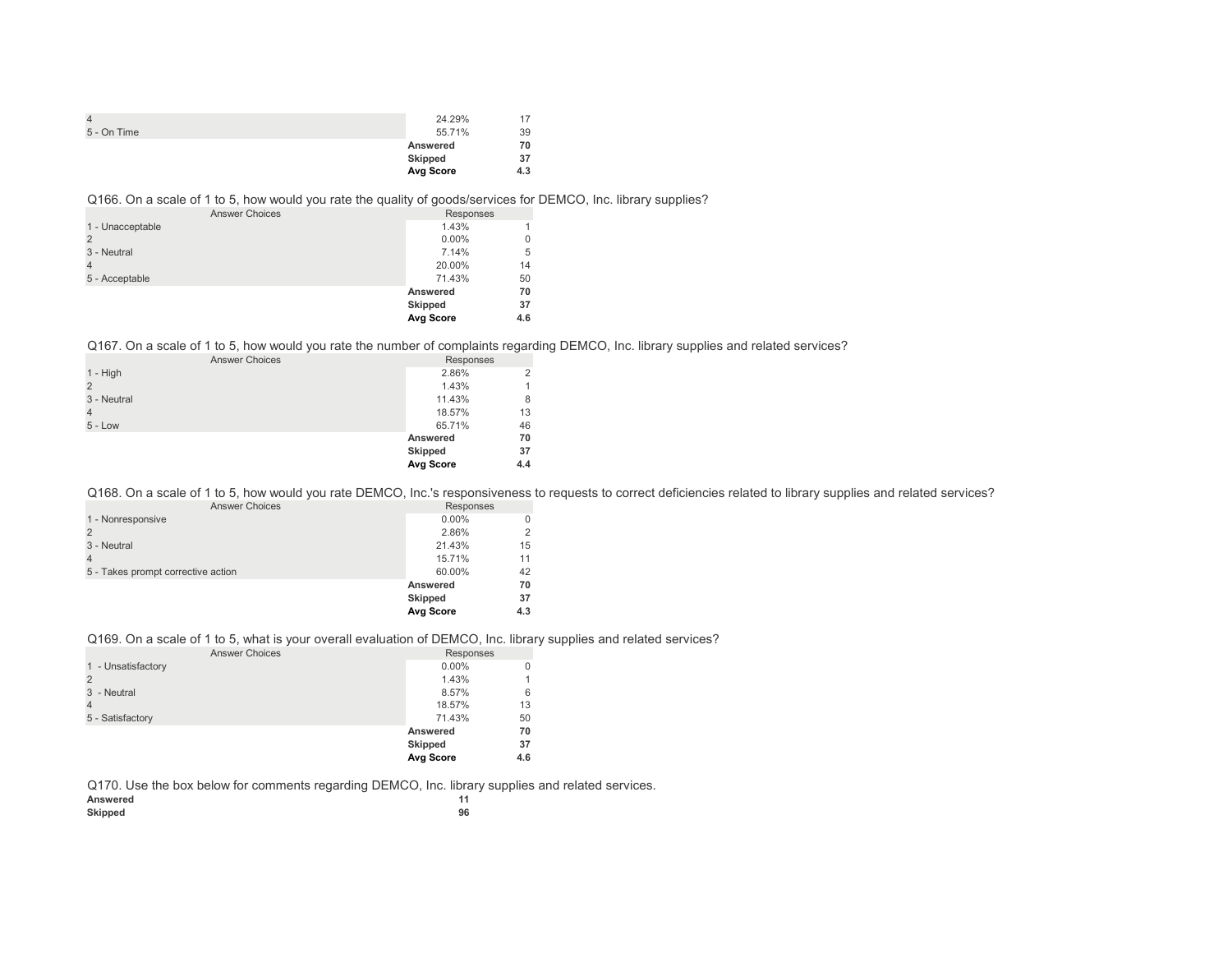|             | 24.29%    | 17  |
|-------------|-----------|-----|
| 5 - On Time | 55.71%    | 39  |
|             | Answered  | 70  |
|             | Skipped   | 37  |
|             | Avg Score | 4.3 |

## Q166. On a scale of 1 to 5, how would you rate the quality of goods/services for DEMCO, Inc. library supplies?

| <b>Answer Choices</b> | Responses      |     |
|-----------------------|----------------|-----|
| 1 - Unacceptable      | 1.43%          |     |
| $\overline{2}$        | $0.00\%$       | 0   |
| 3 - Neutral           | 7.14%          | 5   |
| 4                     | 20.00%         | 14  |
| 5 - Acceptable        | 71.43%         | 50  |
|                       | Answered       | 70  |
|                       | <b>Skipped</b> | 37  |
|                       | Avg Score      | 4.6 |

Q167. On a scale of 1 to 5, how would you rate the number of complaints regarding DEMCO, Inc. library supplies and related services?

| <b>Answer Choices</b> | Responses      |                |
|-----------------------|----------------|----------------|
| $1 - High$            | 2.86%          | $\overline{2}$ |
| $\overline{2}$        | 1.43%          |                |
| 3 - Neutral           | 11.43%         | 8              |
| $\overline{4}$        | 18.57%         | 13             |
| $5 - Low$             | 65.71%         | 46             |
|                       | Answered       | 70             |
|                       | <b>Skipped</b> | 37             |
|                       | Avg Score      | 4.4            |

Q168. On a scale of 1 to 5, how would you rate DEMCO, Inc.'s responsiveness to requests to correct deficiencies related to library supplies and related services?

| <b>Answer Choices</b>              | Responses      |     |
|------------------------------------|----------------|-----|
| 1 - Nonresponsive                  | $0.00\%$       |     |
|                                    | 2.86%          |     |
| 3 - Neutral                        | 21.43%         | 15  |
|                                    | 15.71%         | 11  |
| 5 - Takes prompt corrective action | 60.00%         | 42  |
|                                    | Answered       | 70  |
|                                    | <b>Skipped</b> | 37  |
|                                    | Avg Score      | 4.3 |

## Q169. On a scale of 1 to 5, what is your overall evaluation of DEMCO, Inc. library supplies and related services?

| <b>Answer Choices</b> | Responses        |     |
|-----------------------|------------------|-----|
| 1 - Unsatisfactory    | $0.00\%$         | 0   |
| $\overline{2}$        | 1.43%            |     |
| 3 - Neutral           | 8.57%            | 6   |
| $\overline{4}$        | 18.57%           | 13  |
| 5 - Satisfactory      | 71.43%           | 50  |
|                       | Answered         | 70  |
|                       | <b>Skipped</b>   | 37  |
|                       | <b>Avg Score</b> | 4.6 |

Q170. Use the box below for comments regarding DEMCO, Inc. library supplies and related services.

| Answered |    |
|----------|----|
| Skipped  | 96 |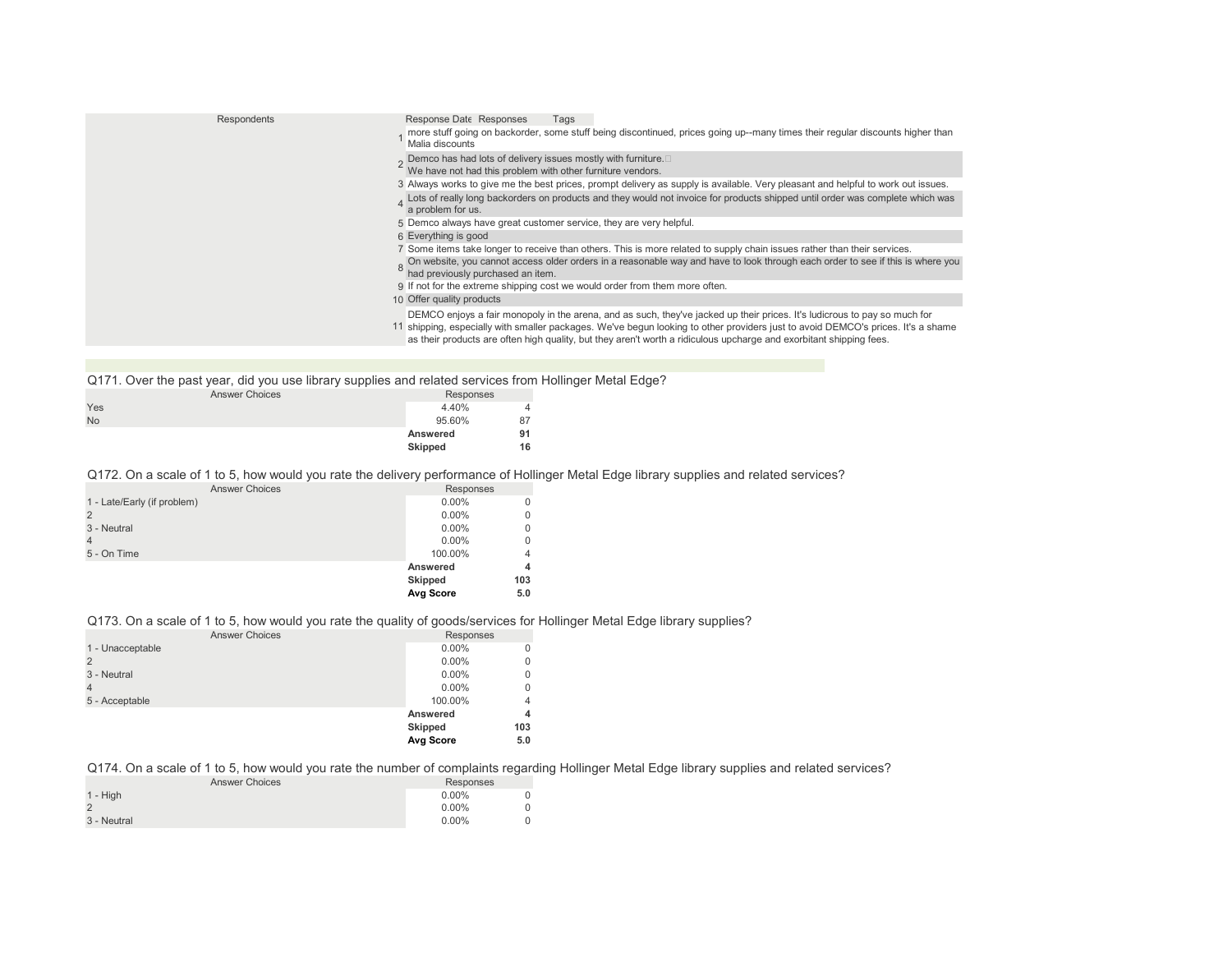| <b>Respondents</b> | Response Date Responses<br>Tags<br>more stuff going on backorder, some stuff being discontinued, prices going up--many times their regular discounts higher than<br>Malia discounts                                                                                                                                                                                                  |
|--------------------|--------------------------------------------------------------------------------------------------------------------------------------------------------------------------------------------------------------------------------------------------------------------------------------------------------------------------------------------------------------------------------------|
|                    | Demco has had lots of delivery issues mostly with furniture.<br>We have not had this problem with other furniture vendors.                                                                                                                                                                                                                                                           |
|                    | 3 Always works to give me the best prices, prompt delivery as supply is available. Very pleasant and helpful to work out issues.                                                                                                                                                                                                                                                     |
|                    | Lots of really long backorders on products and they would not invoice for products shipped until order was complete which was<br>a problem for us.                                                                                                                                                                                                                                   |
|                    | 5 Demco always have great customer service, they are very helpful.                                                                                                                                                                                                                                                                                                                   |
|                    | 6 Everything is good                                                                                                                                                                                                                                                                                                                                                                 |
|                    | 7 Some items take longer to receive than others. This is more related to supply chain issues rather than their services.<br>On website, you cannot access older orders in a reasonable way and have to look through each order to see if this is where you<br>had previously purchased an item.                                                                                      |
|                    | 9 If not for the extreme shipping cost we would order from them more often.                                                                                                                                                                                                                                                                                                          |
|                    | 10 Offer quality products                                                                                                                                                                                                                                                                                                                                                            |
|                    | DEMCO enjoys a fair monopoly in the arena, and as such, they've jacked up their prices. It's ludicrous to pay so much for<br>11 shipping, especially with smaller packages. We've begun looking to other providers just to avoid DEMCO's prices. It's a shame<br>as their products are often high quality, but they aren't worth a ridiculous upcharge and exorbitant shipping fees. |
|                    |                                                                                                                                                                                                                                                                                                                                                                                      |

| Q171. Over the past year, did you use library supplies and related services from Hollinger Metal Edge? |                |    |  |
|--------------------------------------------------------------------------------------------------------|----------------|----|--|
| <b>Answer Choices</b>                                                                                  | Responses      |    |  |
| Yes                                                                                                    | 4.40%          |    |  |
| <b>No</b>                                                                                              | 95.60%         | 87 |  |
|                                                                                                        | Answered       | 91 |  |
|                                                                                                        | <b>Skipped</b> | 16 |  |

Q172. On a scale of 1 to 5, how would you rate the delivery performance of Hollinger Metal Edge library supplies and related services?

| <b>Answer Choices</b>       | Responses |                |
|-----------------------------|-----------|----------------|
| 1 - Late/Early (if problem) | $0.00\%$  | $\Omega$       |
| 2                           | $0.00\%$  | $\Omega$       |
| 3 - Neutral                 | $0.00\%$  | $\Omega$       |
| $\overline{4}$              | $0.00\%$  | $\Omega$       |
| 5 - On Time                 | 100.00%   | $\overline{4}$ |
|                             | Answered  | 4              |
|                             | Skipped   | 103            |
|                             | Avg Score | 5.0            |

# Q173. On a scale of 1 to 5, how would you rate the quality of goods/services for Hollinger Metal Edge library supplies?

| <b>Answer Choices</b> | Responses |          |
|-----------------------|-----------|----------|
| 1 - Unacceptable      | $0.00\%$  | $\Omega$ |
| 2                     | $0.00\%$  | 0        |
| 3 - Neutral           | $0.00\%$  | $\Omega$ |
| $\overline{4}$        | $0.00\%$  | 0        |
| 5 - Acceptable        | 100.00%   | 4        |
|                       | Answered  | 4        |
|                       | Skipped   | 103      |
|                       | Avg Score | 5.0      |

Q174. On a scale of 1 to 5, how would you rate the number of complaints regarding Hollinger Metal Edge library supplies and related services?

| <b>Answer Choices</b> | Responses |  |
|-----------------------|-----------|--|
| $1 - High$            | $0.00\%$  |  |
|                       | $0.00\%$  |  |
| 3 - Neutral           | $0.00\%$  |  |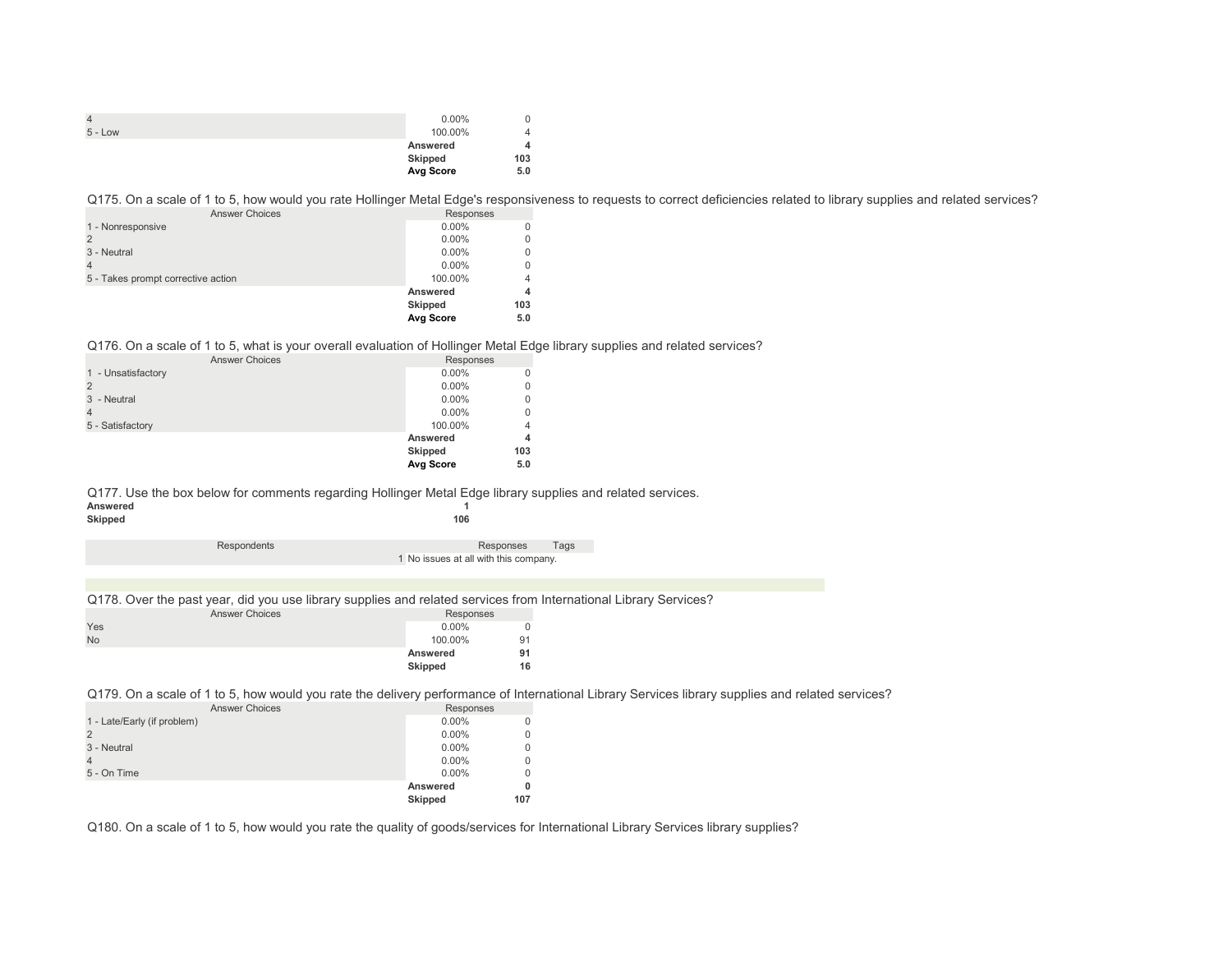|           | $0.00\%$  |     |
|-----------|-----------|-----|
| $5 - Low$ | 100.00%   | Δ   |
|           | Answered  | 4   |
|           | Skipped   | 103 |
|           | Avg Score | 5.0 |

Q175. On a scale of 1 to 5, how would you rate Hollinger Metal Edge's responsiveness to requests to correct deficiencies related to library supplies and related services?

| <b>Answer Choices</b>              | Responses      |     |
|------------------------------------|----------------|-----|
| 1 - Nonresponsive                  | $0.00\%$       |     |
|                                    | $0.00\%$       | 0   |
| 3 - Neutral                        | $0.00\%$       | 0   |
|                                    | $0.00\%$       | 0   |
| 5 - Takes prompt corrective action | 100.00%        | 4   |
|                                    | Answered       | 4   |
|                                    | <b>Skipped</b> | 103 |
|                                    | Avg Score      | 5.0 |

Q176. On a scale of 1 to 5, what is your overall evaluation of Hollinger Metal Edge library supplies and related services?

| <b>Answer Choices</b> | Responses      |          |
|-----------------------|----------------|----------|
| 1 - Unsatisfactory    | $0.00\%$       |          |
|                       | $0.00\%$       | 0        |
| 3 - Neutral           | $0.00\%$       | 0        |
|                       | $0.00\%$       | $\Omega$ |
| 5 - Satisfactory      | 100.00%        | 4        |
|                       | Answered       | 4        |
|                       | <b>Skipped</b> | 103      |
|                       | Avg Score      | 5.0      |

Q177. Use the box below for comments regarding Hollinger Metal Edge library supplies and related services.<br>Answered **Answered 1**

| Skipped |             | 106                                   |  |  |
|---------|-------------|---------------------------------------|--|--|
|         | Respondents | Tags<br>Responses                     |  |  |
|         |             | 1 No issues at all with this company. |  |  |
|         |             |                                       |  |  |

Q178. Over the past year, did you use library supplies and related services from International Library Services?

| Responses     |
|---------------|
| $0.00\%$<br>0 |
| 100.00%<br>91 |
| 91            |
| 16            |
| Answered      |

Q179. On a scale of 1 to 5, how would you rate the delivery performance of International Library Services library supplies and related services?

| <b>Answer Choices</b>       | Responses      |     |
|-----------------------------|----------------|-----|
| 1 - Late/Early (if problem) | $0.00\%$       |     |
| $\overline{2}$              | $0.00\%$       |     |
| 3 - Neutral                 | $0.00\%$       |     |
| $\overline{4}$              | $0.00\%$       |     |
| 5 - On Time                 | $0.00\%$       |     |
|                             | Answered       | O   |
|                             | <b>Skipped</b> | 107 |

Q180. On a scale of 1 to 5, how would you rate the quality of goods/services for International Library Services library supplies?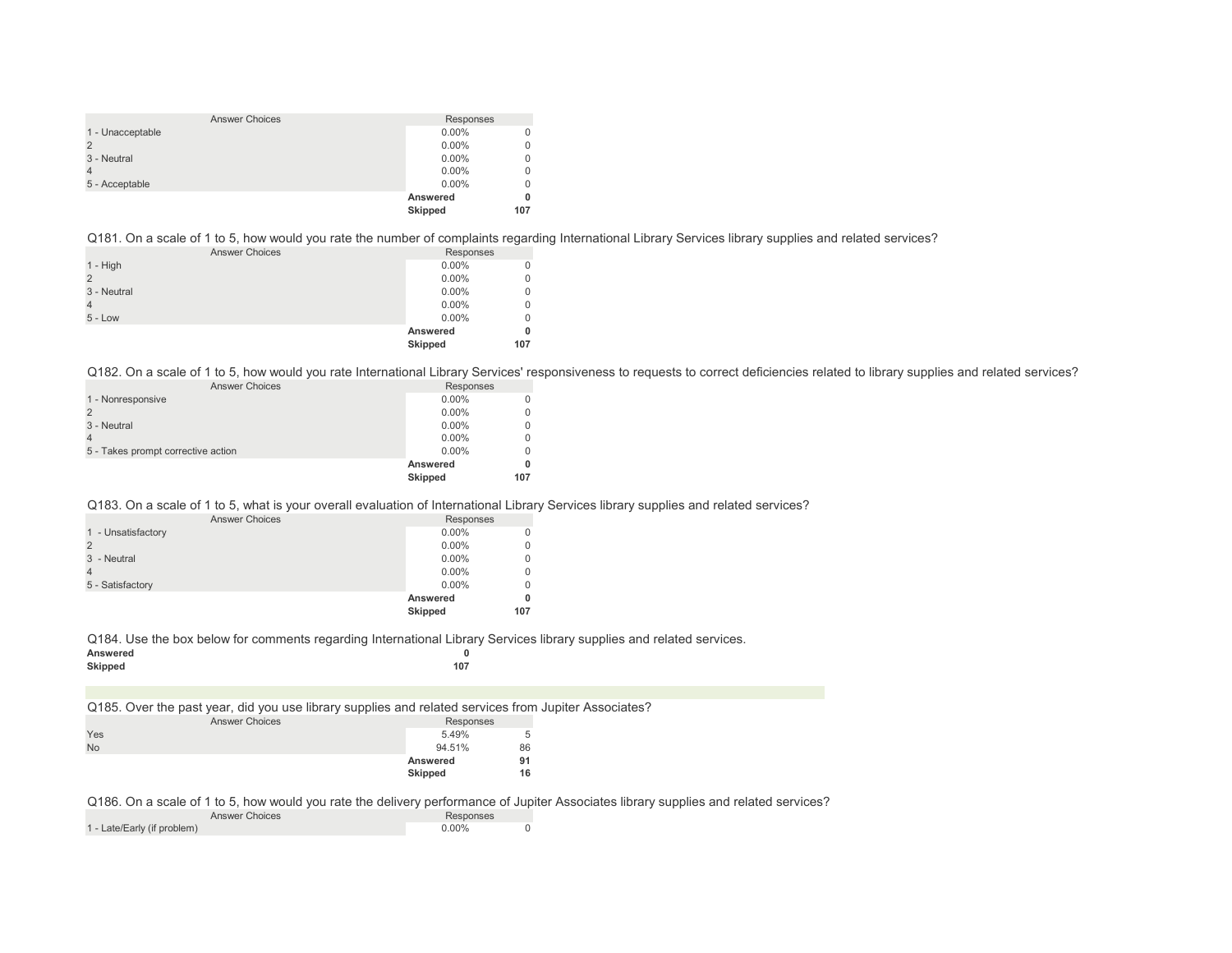| <b>Answer Choices</b> | Responses      |     |
|-----------------------|----------------|-----|
| 1 - Unacceptable      | $0.00\%$       |     |
|                       | $0.00\%$       |     |
| 3 - Neutral           | $0.00\%$       |     |
|                       | $0.00\%$       |     |
| 5 - Acceptable        | $0.00\%$       |     |
|                       | Answered       |     |
|                       | <b>Skipped</b> | 107 |

Q181. On a scale of 1 to 5, how would you rate the number of complaints regarding International Library Services library supplies and related services?

|                       | Answered<br>Skipped | 0<br>107 |
|-----------------------|---------------------|----------|
| $5 - Low$             | $0.00\%$            |          |
|                       | $0.00\%$            | 0        |
| 3 - Neutral           | $0.00\%$            | 0        |
|                       | $0.00\%$            | 0        |
| $1 - High$            | $0.00\%$            |          |
| <b>Answer Choices</b> | Responses           |          |

Q182. On a scale of 1 to 5, how would you rate International Library Services' responsiveness to requests to correct deficiencies related to library supplies and related services?

| <b>Answer Choices</b>              | Responses |     |
|------------------------------------|-----------|-----|
| 1 - Nonresponsive                  | $0.00\%$  |     |
|                                    | $0.00\%$  |     |
| 3 - Neutral                        | $0.00\%$  |     |
|                                    | $0.00\%$  |     |
| 5 - Takes prompt corrective action | $0.00\%$  |     |
|                                    | Answered  |     |
|                                    | Skipped   | 107 |

## Q183. On a scale of 1 to 5, what is your overall evaluation of International Library Services library supplies and related services?

| <b>Answer Choices</b> | Responses |     |
|-----------------------|-----------|-----|
| 1 - Unsatisfactory    | $0.00\%$  |     |
|                       | $0.00\%$  |     |
| 3 - Neutral           | $0.00\%$  |     |
|                       | $0.00\%$  |     |
| 5 - Satisfactory      | $0.00\%$  |     |
|                       | Answered  |     |
|                       | Skipped   | 107 |

Q184. Use the box below for comments regarding International Library Services library supplies and related services.<br>  $\bullet$ 

| Answered       |     |
|----------------|-----|
| <b>Skipped</b> | 107 |

Q185. Over the past year, did you use library supplies and related services from Jupiter Associates? Answer Choices Responses

| ANDIVOL ONOUG |  | <b>TICOPOLISCO</b> |          |    |
|---------------|--|--------------------|----------|----|
| Yes           |  |                    | 5.49%    | 5  |
| No            |  |                    | 94.51%   | 86 |
|               |  |                    | Answered | 91 |
|               |  |                    | Skipped  | 16 |
|               |  |                    |          |    |

Q186. On a scale of 1 to 5, how would you rate the delivery performance of Jupiter Associates library supplies and related services?

| <b>Answer Choices</b>       | Responses |  |
|-----------------------------|-----------|--|
| 1 - Late/Early (if problem) | $0.00\%$  |  |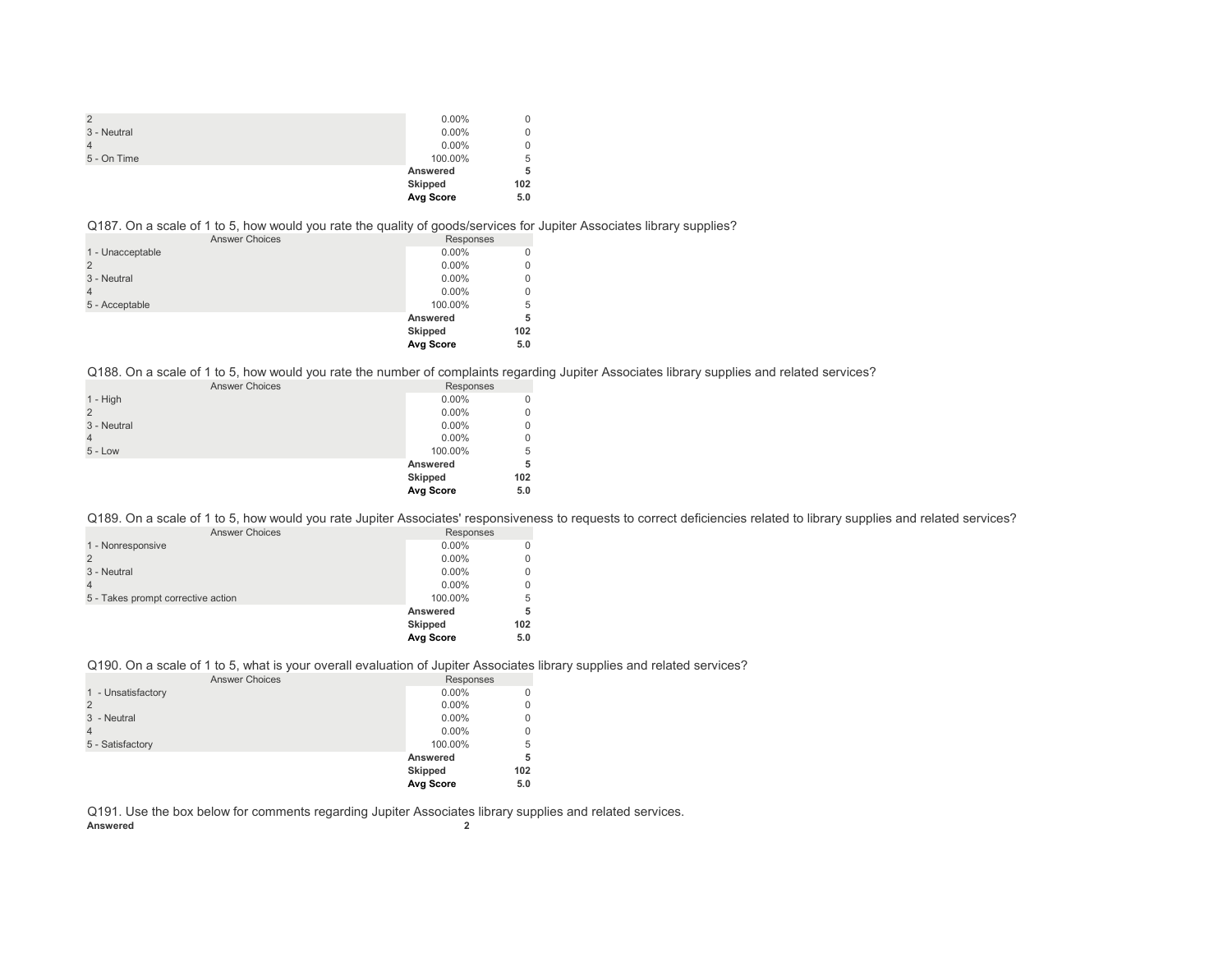|               | Avg Score | 5.0 |
|---------------|-----------|-----|
|               | Skipped   | 102 |
|               | Answered  | 5   |
| 5 - On Time   | 100.00%   | 5   |
|               | $0.00\%$  |     |
| 3 - Neutral   | $0.00\%$  |     |
| $\mathcal{P}$ | $0.00\%$  |     |

#### Q187. On a scale of 1 to 5, how would you rate the quality of goods/services for Jupiter Associates library supplies?

| <b>Answer Choices</b> | Responses      |     |
|-----------------------|----------------|-----|
| 1 - Unacceptable      | $0.00\%$       | 0   |
|                       | $0.00\%$       | 0   |
| 3 - Neutral           | $0.00\%$       | 0   |
|                       | $0.00\%$       | 0   |
| 5 - Acceptable        | 100.00%        | 5   |
|                       | Answered       | 5   |
|                       | <b>Skipped</b> | 102 |
|                       | Avg Score      | 5.0 |

#### Q188. On a scale of 1 to 5, how would you rate the number of complaints regarding Jupiter Associates library supplies and related services?

| <b>Answer Choices</b> | Responses |     |
|-----------------------|-----------|-----|
| $1 - High$            | $0.00\%$  |     |
|                       | $0.00\%$  |     |
| 3 - Neutral           | $0.00\%$  |     |
| 4                     | $0.00\%$  |     |
| $5 - Low$             | 100.00%   | 5   |
|                       | Answered  | 5   |
|                       | Skipped   | 102 |
|                       | Avg Score | 5.0 |

Q189. On a scale of 1 to 5, how would you rate Jupiter Associates' responsiveness to requests to correct deficiencies related to library supplies and related services?

| <b>Answer Choices</b>              | Responses      |     |
|------------------------------------|----------------|-----|
| 1 - Nonresponsive                  | $0.00\%$       |     |
|                                    | $0.00\%$       |     |
| 3 - Neutral                        | $0.00\%$       |     |
|                                    | $0.00\%$       |     |
| 5 - Takes prompt corrective action | 100.00%        | 5   |
|                                    | Answered       |     |
|                                    | <b>Skipped</b> | 102 |
|                                    | Avg Score      | 5.0 |

#### Q190. On a scale of 1 to 5, what is your overall evaluation of Jupiter Associates library supplies and related services?

| <b>Answer Choices</b> | Responses      |     |
|-----------------------|----------------|-----|
| 1 - Unsatisfactory    | $0.00\%$       |     |
| $\overline{2}$        | $0.00\%$       | 0   |
| 3 - Neutral           | $0.00\%$       | 0   |
| $\overline{4}$        | $0.00\%$       | 0   |
| 5 - Satisfactory      | 100.00%        | 5   |
|                       | Answered       | 5   |
|                       | <b>Skipped</b> | 102 |
|                       | Avg Score      | 5.0 |

Q191. Use the box below for comments regarding Jupiter Associates library supplies and related services.<br>Answered **Answered 2**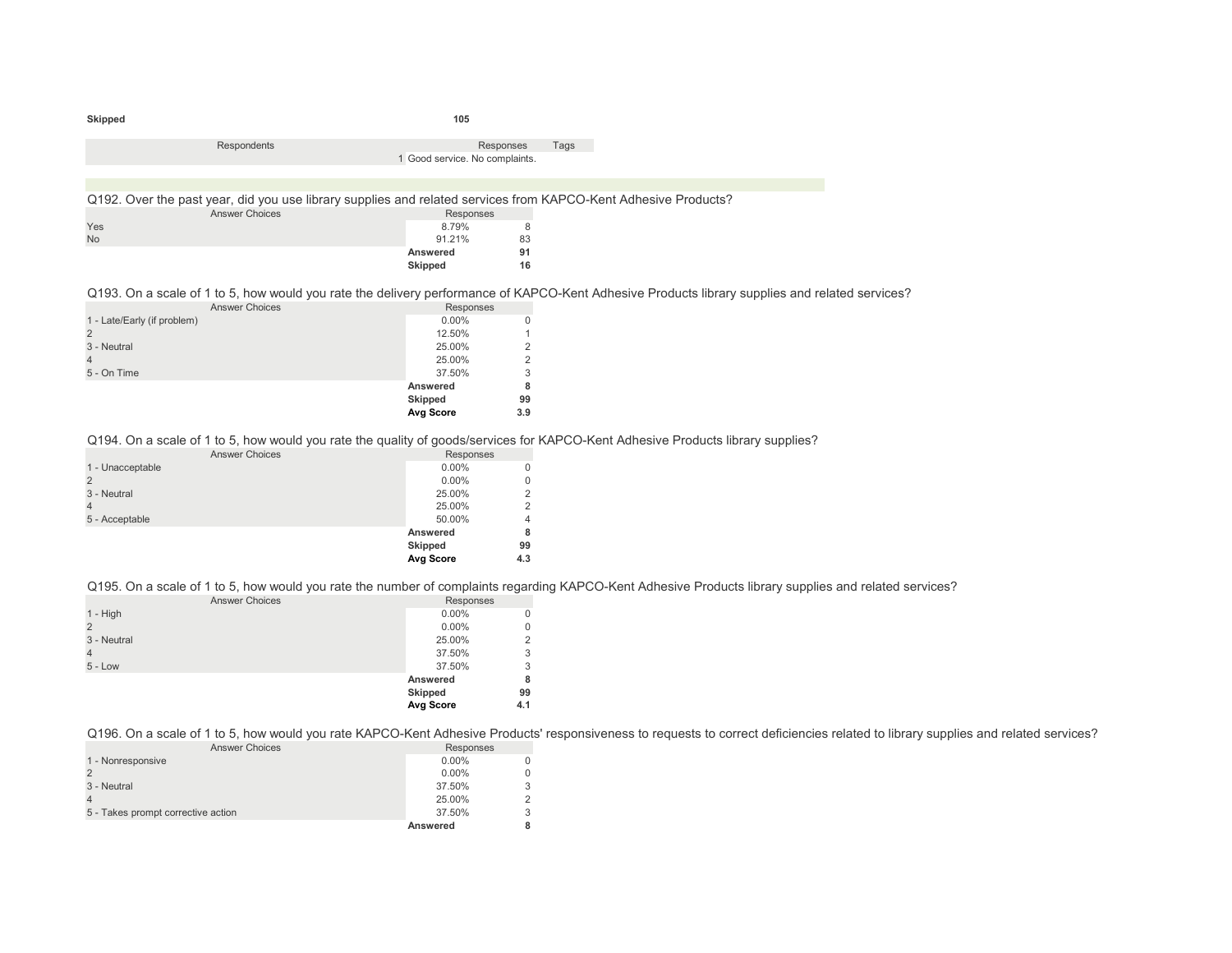| Skipped                     |                                                                                                                                         | 105                            |                   |                                                                                                                                                |
|-----------------------------|-----------------------------------------------------------------------------------------------------------------------------------------|--------------------------------|-------------------|------------------------------------------------------------------------------------------------------------------------------------------------|
|                             | Respondents                                                                                                                             | 1 Good service. No complaints. | Responses<br>Tags |                                                                                                                                                |
|                             | Q192. Over the past year, did you use library supplies and related services from KAPCO-Kent Adhesive Products?<br><b>Answer Choices</b> | Responses                      |                   |                                                                                                                                                |
| Yes<br><b>No</b>            |                                                                                                                                         | 8.79%<br>91.21%<br>Answered    | 8<br>83<br>91     |                                                                                                                                                |
|                             |                                                                                                                                         | Skipped                        | 16                |                                                                                                                                                |
|                             | <b>Answer Choices</b>                                                                                                                   | Responses                      |                   | Q193. On a scale of 1 to 5, how would you rate the delivery performance of KAPCO-Kent Adhesive Products library supplies and related services? |
| 1 - Late/Early (if problem) |                                                                                                                                         | $0.00\%$                       | 0                 |                                                                                                                                                |

|             | Avg Score | 3.9            |
|-------------|-----------|----------------|
|             | Skipped   | 99             |
|             | Answered  | 8              |
| 5 - On Time | 37.50%    | 3              |
|             | 25.00%    | $\overline{2}$ |
| 3 - Neutral | 25.00%    | 2              |
|             | 12.50%    | 1              |
| .           |           |                |

Q194. On a scale of 1 to 5, how would you rate the quality of goods/services for KAPCO-Kent Adhesive Products library supplies?

| <b>Answer Choices</b> | Responses |             |
|-----------------------|-----------|-------------|
| 1 - Unacceptable      | $0.00\%$  | 0           |
|                       | $0.00\%$  | $\mathbf 0$ |
| 3 - Neutral           | 25.00%    | 2           |
| 4                     | 25.00%    | 2           |
| 5 - Acceptable        | 50.00%    | 4           |
|                       | Answered  | 8           |
|                       | Skipped   | 99          |
|                       | Avg Score | 4.3         |

Q195. On a scale of 1 to 5, how would you rate the number of complaints regarding KAPCO-Kent Adhesive Products library supplies and related services?

| <b>Answer Choices</b> | Responses |             |
|-----------------------|-----------|-------------|
| $1 - High$            | $0.00\%$  | 0           |
| $\overline{2}$        | $0.00\%$  | $\mathbf 0$ |
| 3 - Neutral           | 25.00%    | 2           |
| 4                     | 37.50%    | 3           |
| $5 - Low$             | 37.50%    | 3           |
|                       | Answered  | 8           |
|                       | Skipped   | 99          |
|                       | Avg Score | 4.1         |
|                       |           |             |

Q196. On a scale of 1 to 5, how would you rate KAPCO-Kent Adhesive Products' responsiveness to requests to correct deficiencies related to library supplies and related services?

| <b>Answer Choices</b>              | Responses |  |
|------------------------------------|-----------|--|
| 1 - Nonresponsive                  | $0.00\%$  |  |
|                                    | $0.00\%$  |  |
| 3 - Neutral                        | 37.50%    |  |
|                                    | 25.00%    |  |
| 5 - Takes prompt corrective action | 37.50%    |  |
|                                    | Answered  |  |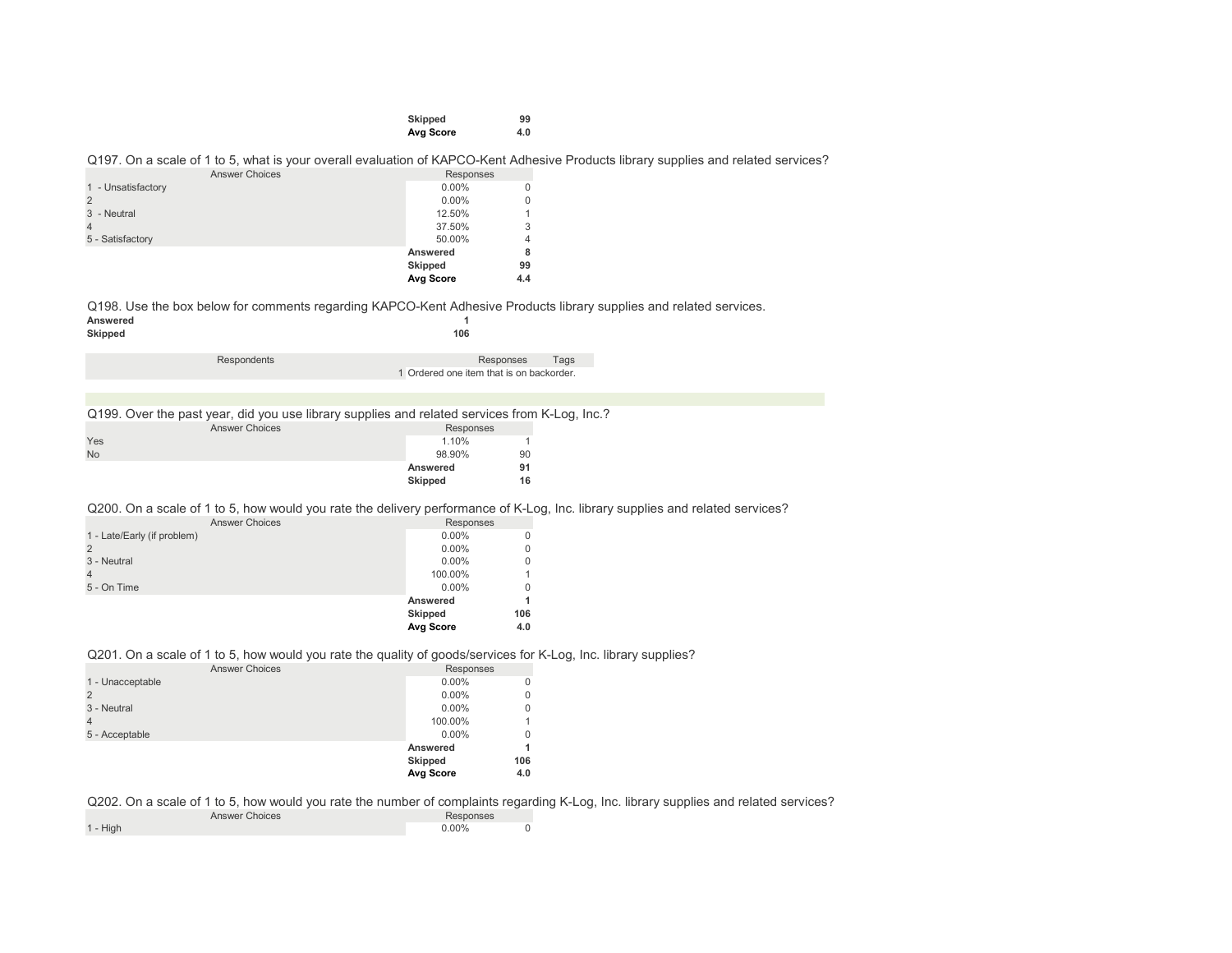| Skipped   | 99  |
|-----------|-----|
| Avg Score | 4.0 |

Q197. On a scale of 1 to 5, what is your overall evaluation of KAPCO-Kent Adhesive Products library supplies and related services?

| <b>Answer Choices</b> | Responses      |     |
|-----------------------|----------------|-----|
| 1 - Unsatisfactory    | $0.00\%$       |     |
| 2                     | $0.00\%$       |     |
| 3 - Neutral           | 12.50%         |     |
|                       | 37.50%         | 3   |
| 5 - Satisfactory      | 50.00%         | 4   |
|                       | Answered       | 8   |
|                       | <b>Skipped</b> | 99  |
|                       | Avg Score      | 4.4 |

Q198. Use the box below for comments regarding KAPCO-Kent Adhesive Products library supplies and related services.<br>Answered **Answered 1**

| Skipped |          | 106  |
|---------|----------|------|
|         |          |      |
|         | $D = -1$ | ---- |

| Respondents | Responses                                | Tags |
|-------------|------------------------------------------|------|
|             | 1 Ordered one item that is on backorder. |      |
|             |                                          |      |

|  |  |  |  |  |  |  |  | Q199. Over the past year, did you use library supplies and related services from K-Log, Inc.? |  |  |
|--|--|--|--|--|--|--|--|-----------------------------------------------------------------------------------------------|--|--|
|--|--|--|--|--|--|--|--|-----------------------------------------------------------------------------------------------|--|--|

|           | <b>Answer Choices</b> | Responses |    |
|-----------|-----------------------|-----------|----|
| Yes       |                       | 1.10%     |    |
| <b>No</b> |                       | 98.90%    | 90 |
|           |                       | Answered  | 91 |
|           |                       | Skipped   | 16 |

Q200. On a scale of 1 to 5, how would you rate the delivery performance of K-Log, Inc. library supplies and related services?

|                             | Avg Score | 4.0 |
|-----------------------------|-----------|-----|
|                             | Skipped   | 106 |
|                             | Answered  |     |
| 5 - On Time                 | $0.00\%$  | 0   |
| $\overline{4}$              | 100.00%   |     |
| 3 - Neutral                 | $0.00\%$  | 0   |
| $\overline{2}$              | $0.00\%$  | 0   |
| 1 - Late/Early (if problem) | $0.00\%$  | 0   |
| <b>Answer Choices</b>       | Responses |     |

#### Q201. On a scale of 1 to 5, how would you rate the quality of goods/services for K-Log, Inc. library supplies?

| <b>Answer Choices</b> | Responses |     |
|-----------------------|-----------|-----|
| 1 - Unacceptable      | $0.00\%$  | 0   |
|                       | $0.00\%$  | 0   |
| 3 - Neutral           | $0.00\%$  | 0   |
|                       | 100.00%   |     |
| 5 - Acceptable        | $0.00\%$  | 0   |
|                       | Answered  |     |
|                       | Skipped   | 106 |
|                       | Avg Score | 4.0 |

Q202. On a scale of 1 to 5, how would you rate the number of complaints regarding K-Log, Inc. library supplies and related services?

| <b>Answer Choices</b> | Responses |  |
|-----------------------|-----------|--|
| $1 - High$            | 0.00%     |  |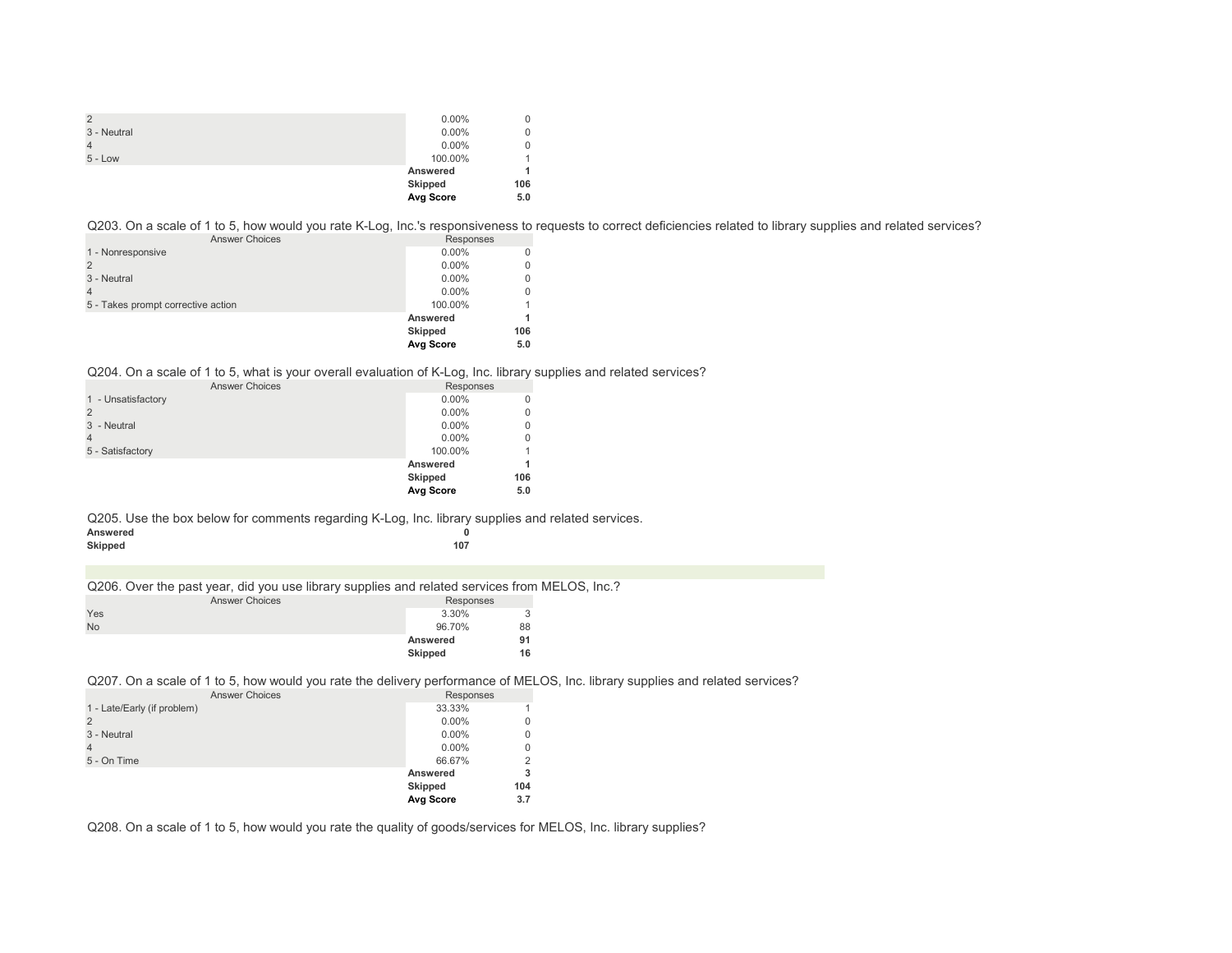|                | Avg Score | 5.0 |
|----------------|-----------|-----|
|                | Skipped   | 106 |
|                | Answered  | 4   |
| $5 - Low$      | 100.00%   |     |
|                | $0.00\%$  | 0   |
| 3 - Neutral    | $0.00\%$  | 0   |
| $\overline{2}$ | $0.00\%$  | 0   |

Q203. On a scale of 1 to 5, how would you rate K-Log, Inc.'s responsiveness to requests to correct deficiencies related to library supplies and related services?

| <b>Answer Choices</b>              | Responses      |     |
|------------------------------------|----------------|-----|
| 1 - Nonresponsive                  | $0.00\%$       |     |
|                                    | $0.00\%$       |     |
| 3 - Neutral                        | $0.00\%$       |     |
|                                    | $0.00\%$       |     |
| 5 - Takes prompt corrective action | 100.00%        |     |
|                                    | Answered       |     |
|                                    | <b>Skipped</b> | 106 |
|                                    | Avg Score      | 5.0 |

### Q204. On a scale of 1 to 5, what is your overall evaluation of K-Log, Inc. library supplies and related services?

| <b>Answer Choices</b> | Responses |     |
|-----------------------|-----------|-----|
| 1 - Unsatisfactory    | $0.00\%$  | 0   |
|                       | $0.00\%$  | 0   |
| 3 - Neutral           | $0.00\%$  | 0   |
|                       | $0.00\%$  | 0   |
| 5 - Satisfactory      | 100.00%   |     |
|                       | Answered  |     |
|                       | Skipped   | 106 |
|                       | Avg Score | 5.0 |

Q205. Use the box below for comments regarding K-Log, Inc. library supplies and related services.

| Answered |     |
|----------|-----|
| Skipped  | 107 |

Q206. Over the past year, did you use library supplies and related services from MELOS, Inc.?

|           | <b>Answer Choices</b> |          | Responses |  |
|-----------|-----------------------|----------|-----------|--|
| Yes       |                       | 3.30%    | 3         |  |
| <b>No</b> |                       | 96.70%   | 88        |  |
|           |                       | Answered | 91        |  |
|           |                       | Skipped  | 16        |  |

Q207. On a scale of 1 to 5, how would you rate the delivery performance of MELOS, Inc. library supplies and related services?

| <b>Answer Choices</b>       | Responses      |     |
|-----------------------------|----------------|-----|
| 1 - Late/Early (if problem) | 33.33%         |     |
| $\overline{2}$              | $0.00\%$       |     |
| 3 - Neutral                 | $0.00\%$       |     |
| $\overline{4}$              | $0.00\%$       | 0   |
| 5 - On Time                 | 66.67%         |     |
|                             | Answered       |     |
|                             | <b>Skipped</b> | 104 |
|                             | Avg Score      | 3.7 |

Q208. On a scale of 1 to 5, how would you rate the quality of goods/services for MELOS, Inc. library supplies?